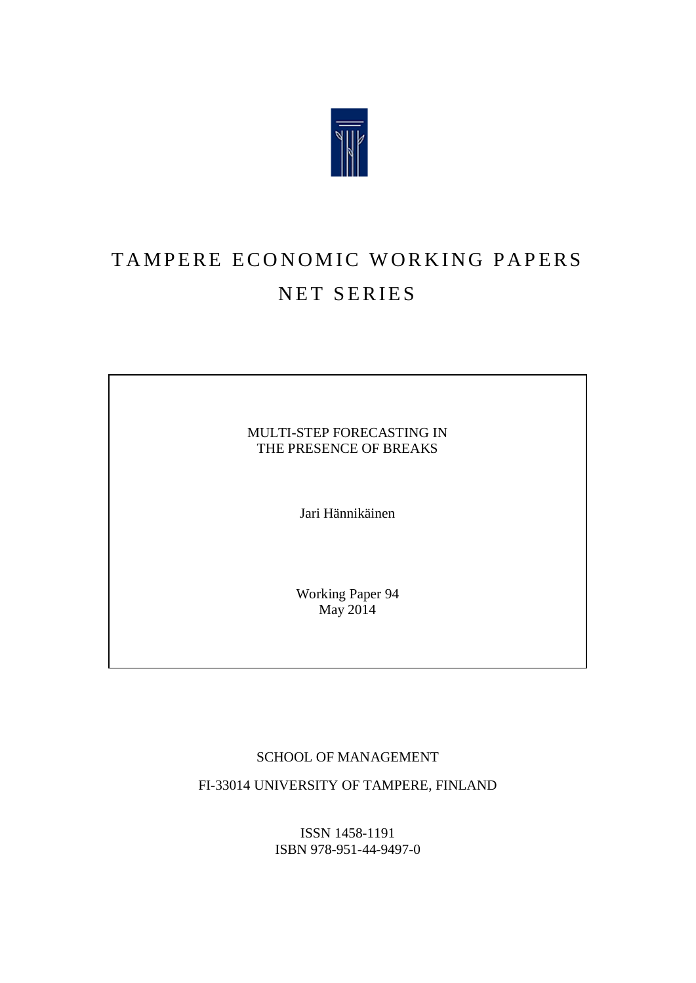

# TAMPERE ECONOMIC WORKING PAPERS NET SERIES

MULTI-STEP FORECASTING IN THE PRESENCE OF BREAKS

Jari Hännikäinen

Working Paper 94  $\text{May } 2014$ 

#### SCHOOL OF MANAGEMENT

FI-33014 UNIVERSITY OF TAMPERE, FINLAND

ISSN 1458-1191 ISBN 978-951-44-9497-0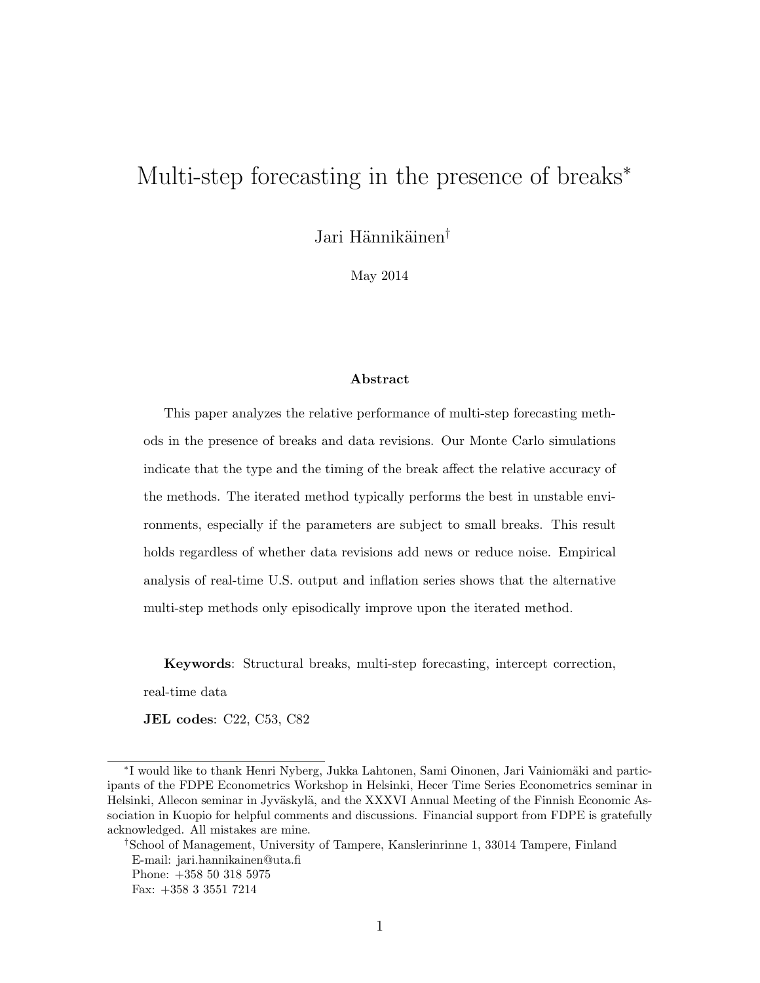## Multi-step forecasting in the presence of breaks<sup>\*</sup>

Jari Hännikäinen<sup>†</sup>

May 2014

#### Abstract

This paper analyzes the relative performance of multi-step forecasting methods in the presence of breaks and data revisions. Our Monte Carlo simulations indicate that the type and the timing of the break affect the relative accuracy of the methods. The iterated method typically performs the best in unstable environments, especially if the parameters are subject to small breaks. This result holds regardless of whether data revisions add news or reduce noise. Empirical analysis of real-time U.S. output and inflation series shows that the alternative multi-step methods only episodically improve upon the iterated method.

Keywords: Structural breaks, multi-step forecasting, intercept correction,

real-time data

JEL codes: C22, C53, C82

†School of Management, University of Tampere, Kanslerinrinne 1, 33014 Tampere, Finland E-mail: jari.hannikainen@uta.fi Phone: +358 50 318 5975 Fax: +358 3 3551 7214

<sup>\*</sup>I would like to thank Henri Nyberg, Jukka Lahtonen, Sami Oinonen, Jari Vainiomäki and participants of the FDPE Econometrics Workshop in Helsinki, Hecer Time Series Econometrics seminar in Helsinki, Allecon seminar in Jyväskylä, and the XXXVI Annual Meeting of the Finnish Economic Association in Kuopio for helpful comments and discussions. Financial support from FDPE is gratefully acknowledged. All mistakes are mine.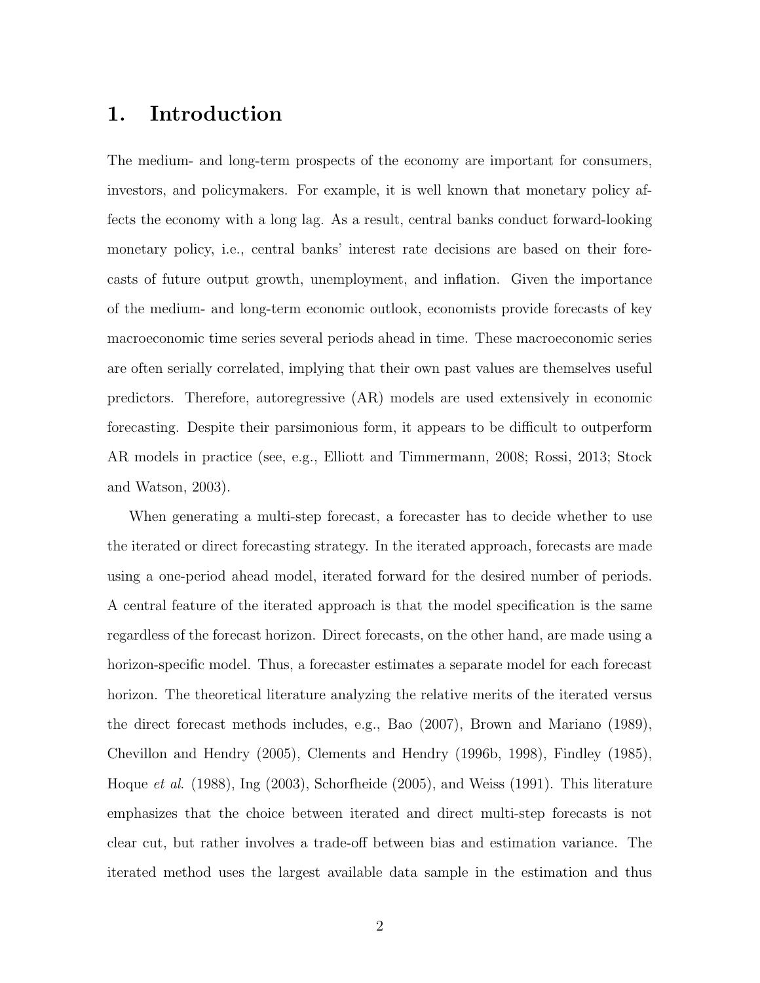## 1. Introduction

The medium- and long-term prospects of the economy are important for consumers, investors, and policymakers. For example, it is well known that monetary policy affects the economy with a long lag. As a result, central banks conduct forward-looking monetary policy, i.e., central banks' interest rate decisions are based on their forecasts of future output growth, unemployment, and inflation. Given the importance of the medium- and long-term economic outlook, economists provide forecasts of key macroeconomic time series several periods ahead in time. These macroeconomic series are often serially correlated, implying that their own past values are themselves useful predictors. Therefore, autoregressive (AR) models are used extensively in economic forecasting. Despite their parsimonious form, it appears to be difficult to outperform AR models in practice (see, e.g., Elliott and Timmermann, 2008; Rossi, 2013; Stock and Watson, 2003).

When generating a multi-step forecast, a forecaster has to decide whether to use the iterated or direct forecasting strategy. In the iterated approach, forecasts are made using a one-period ahead model, iterated forward for the desired number of periods. A central feature of the iterated approach is that the model specification is the same regardless of the forecast horizon. Direct forecasts, on the other hand, are made using a horizon-specific model. Thus, a forecaster estimates a separate model for each forecast horizon. The theoretical literature analyzing the relative merits of the iterated versus the direct forecast methods includes, e.g., Bao (2007), Brown and Mariano (1989), Chevillon and Hendry (2005), Clements and Hendry (1996b, 1998), Findley (1985), Hoque et al. (1988), Ing (2003), Schorfheide (2005), and Weiss (1991). This literature emphasizes that the choice between iterated and direct multi-step forecasts is not clear cut, but rather involves a trade-off between bias and estimation variance. The iterated method uses the largest available data sample in the estimation and thus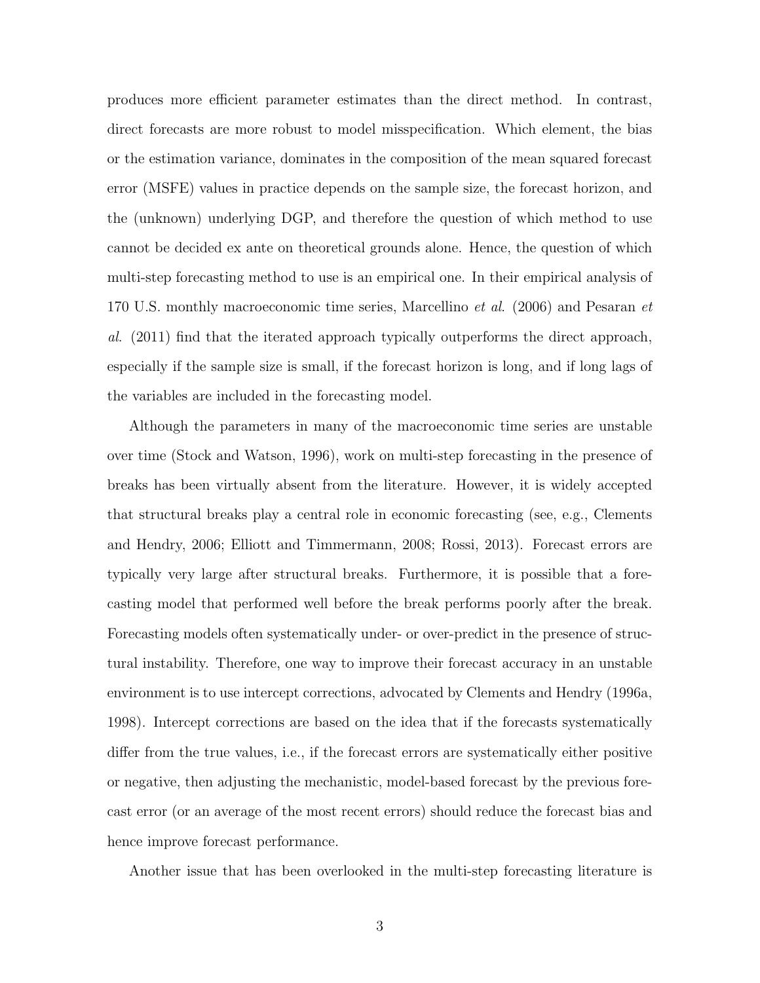produces more efficient parameter estimates than the direct method. In contrast, direct forecasts are more robust to model misspecification. Which element, the bias or the estimation variance, dominates in the composition of the mean squared forecast error (MSFE) values in practice depends on the sample size, the forecast horizon, and the (unknown) underlying DGP, and therefore the question of which method to use cannot be decided ex ante on theoretical grounds alone. Hence, the question of which multi-step forecasting method to use is an empirical one. In their empirical analysis of 170 U.S. monthly macroeconomic time series, Marcellino et al. (2006) and Pesaran et al. (2011) find that the iterated approach typically outperforms the direct approach, especially if the sample size is small, if the forecast horizon is long, and if long lags of the variables are included in the forecasting model.

Although the parameters in many of the macroeconomic time series are unstable over time (Stock and Watson, 1996), work on multi-step forecasting in the presence of breaks has been virtually absent from the literature. However, it is widely accepted that structural breaks play a central role in economic forecasting (see, e.g., Clements and Hendry, 2006; Elliott and Timmermann, 2008; Rossi, 2013). Forecast errors are typically very large after structural breaks. Furthermore, it is possible that a forecasting model that performed well before the break performs poorly after the break. Forecasting models often systematically under- or over-predict in the presence of structural instability. Therefore, one way to improve their forecast accuracy in an unstable environment is to use intercept corrections, advocated by Clements and Hendry (1996a, 1998). Intercept corrections are based on the idea that if the forecasts systematically differ from the true values, i.e., if the forecast errors are systematically either positive or negative, then adjusting the mechanistic, model-based forecast by the previous forecast error (or an average of the most recent errors) should reduce the forecast bias and hence improve forecast performance.

Another issue that has been overlooked in the multi-step forecasting literature is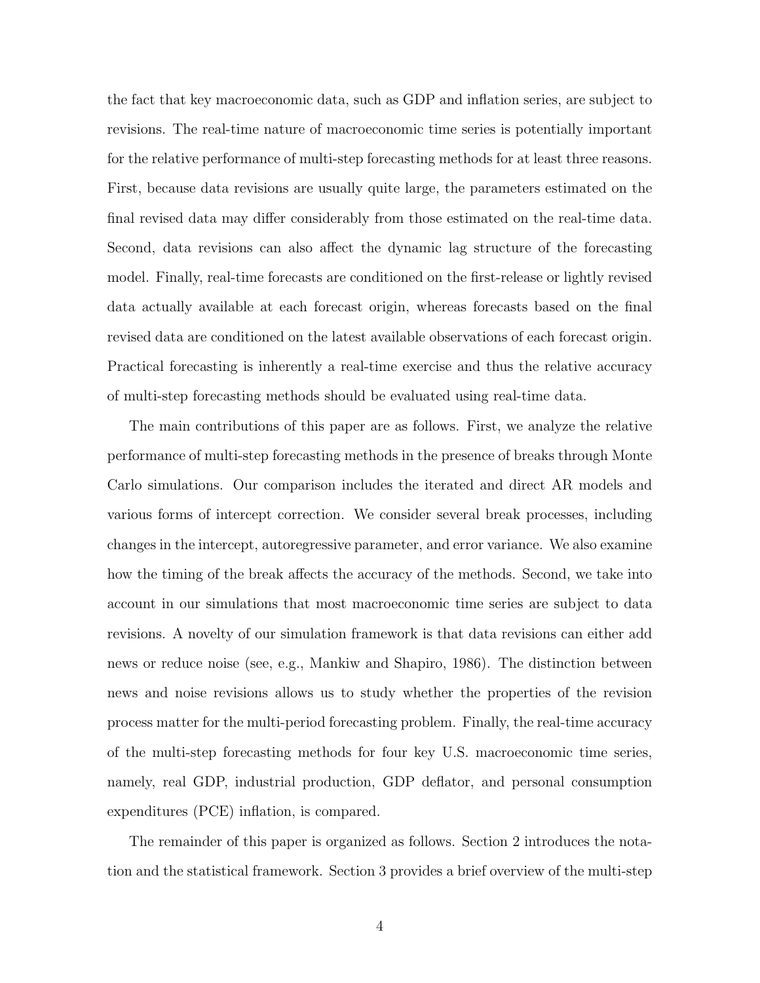the fact that key macroeconomic data, such as GDP and inflation series, are subject to revisions. The real-time nature of macroeconomic time series is potentially important for the relative performance of multi-step forecasting methods for at least three reasons. First, because data revisions are usually quite large, the parameters estimated on the final revised data may differ considerably from those estimated on the real-time data. Second, data revisions can also affect the dynamic lag structure of the forecasting model. Finally, real-time forecasts are conditioned on the first-release or lightly revised data actually available at each forecast origin, whereas forecasts based on the final revised data are conditioned on the latest available observations of each forecast origin. Practical forecasting is inherently a real-time exercise and thus the relative accuracy of multi-step forecasting methods should be evaluated using real-time data.

The main contributions of this paper are as follows. First, we analyze the relative performance of multi-step forecasting methods in the presence of breaks through Monte Carlo simulations. Our comparison includes the iterated and direct AR models and various forms of intercept correction. We consider several break processes, including changes in the intercept, autoregressive parameter, and error variance. We also examine how the timing of the break affects the accuracy of the methods. Second, we take into account in our simulations that most macroeconomic time series are subject to data revisions. A novelty of our simulation framework is that data revisions can either add news or reduce noise (see, e.g., Mankiw and Shapiro, 1986). The distinction between news and noise revisions allows us to study whether the properties of the revision process matter for the multi-period forecasting problem. Finally, the real-time accuracy of the multi-step forecasting methods for four key U.S. macroeconomic time series, namely, real GDP, industrial production, GDP deflator, and personal consumption expenditures (PCE) inflation, is compared.

The remainder of this paper is organized as follows. Section 2 introduces the notation and the statistical framework. Section 3 provides a brief overview of the multi-step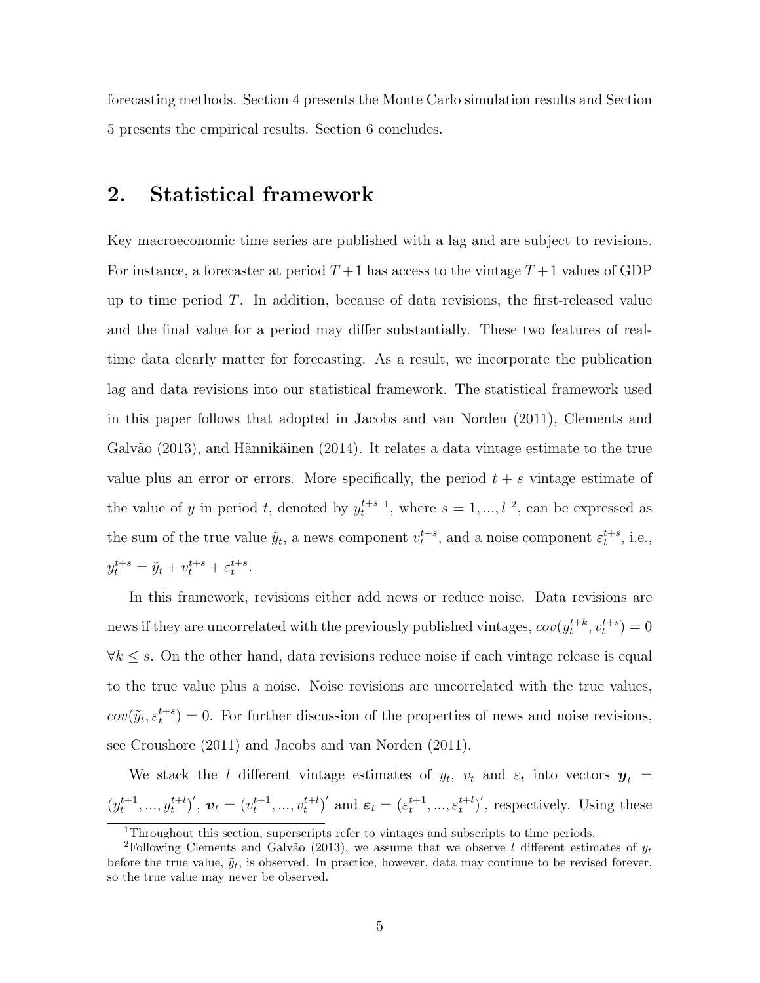forecasting methods. Section 4 presents the Monte Carlo simulation results and Section 5 presents the empirical results. Section 6 concludes.

#### 2. Statistical framework

Key macroeconomic time series are published with a lag and are subject to revisions. For instance, a forecaster at period  $T+1$  has access to the vintage  $T+1$  values of GDP up to time period  $T$ . In addition, because of data revisions, the first-released value and the final value for a period may differ substantially. These two features of realtime data clearly matter for forecasting. As a result, we incorporate the publication lag and data revisions into our statistical framework. The statistical framework used in this paper follows that adopted in Jacobs and van Norden (2011), Clements and Galvão (2013), and Hännikäinen (2014). It relates a data vintage estimate to the true value plus an error or errors. More specifically, the period  $t + s$  vintage estimate of the value of y in period t, denoted by  $y_t^{t+s-1}$  $y_t^{t+s-1}$  $y_t^{t+s-1}$ , where  $s = 1, ..., l^2$  $s = 1, ..., l^2$ , can be expressed as the sum of the true value  $\tilde{y}_t$ , a news component  $v_t^{t+s}$ , and a noise component  $\varepsilon_t^{t+s}$ , i.e.,  $y_t^{t+s} = \tilde{y}_t + v_t^{t+s} + \varepsilon_t^{t+s}.$ 

In this framework, revisions either add news or reduce noise. Data revisions are news if they are uncorrelated with the previously published vintages,  $cov(y_t^{t+k}, v_t^{t+s}) = 0$  $\forall k \leq s$ . On the other hand, data revisions reduce noise if each vintage release is equal to the true value plus a noise. Noise revisions are uncorrelated with the true values,  $cov(\tilde{y}_t, \varepsilon_t^{t+s}) = 0$ . For further discussion of the properties of news and noise revisions, see Croushore (2011) and Jacobs and van Norden (2011).

We stack the l different vintage estimates of  $y_t$ ,  $v_t$  and  $\varepsilon_t$  into vectors  $y_t$  =  $(y_t^{t+1},..., y_t^{t+l})'$ ,  $\mathbf{v}_t = (v_t^{t+1},..., v_t^{t+l})'$  and  $\boldsymbol{\varepsilon}_t = (\varepsilon_t^{t+1},..., \varepsilon_t^{t+l})'$ , respectively. Using these

<span id="page-5-1"></span><span id="page-5-0"></span><sup>1</sup>Throughout this section, superscripts refer to vintages and subscripts to time periods.

<sup>&</sup>lt;sup>2</sup>Following Clements and Galvão (2013), we assume that we observe l different estimates of  $y_t$ before the true value,  $\tilde{y}_t$ , is observed. In practice, however, data may continue to be revised forever, so the true value may never be observed.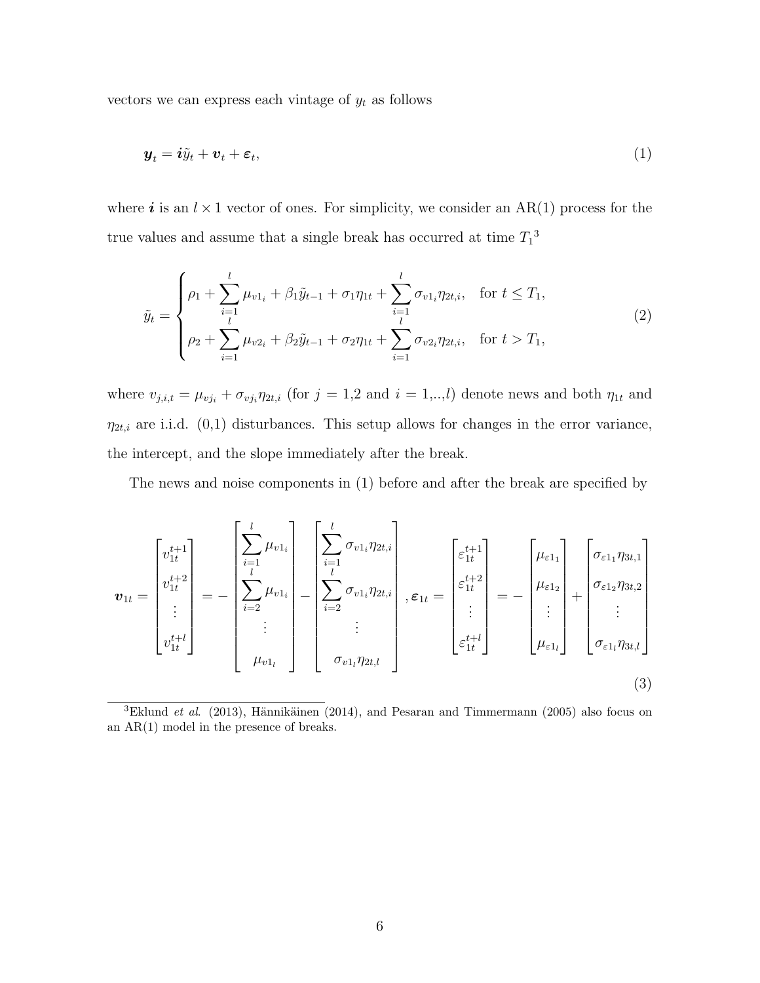vectors we can express each vintage of  $y_t$  as follows

$$
\boldsymbol{y}_t = \boldsymbol{i}\tilde{y}_t + \boldsymbol{v}_t + \boldsymbol{\varepsilon}_t,\tag{1}
$$

where i is an  $l \times 1$  vector of ones. For simplicity, we consider an AR(1) process for the true values and assume that a single break has occurred at time  $T_1^3$  $T_1^3$ 

$$
\tilde{y}_t = \begin{cases}\n\rho_1 + \sum_{i=1}^l \mu_{v1_i} + \beta_1 \tilde{y}_{t-1} + \sigma_1 \eta_{1t} + \sum_{i=1}^l \sigma_{v1_i} \eta_{2t,i}, & \text{for } t \le T_1, \\
\rho_2 + \sum_{i=1}^l \mu_{v2_i} + \beta_2 \tilde{y}_{t-1} + \sigma_2 \eta_{1t} + \sum_{i=1}^l \sigma_{v2_i} \eta_{2t,i}, & \text{for } t > T_1,\n\end{cases}
$$
\n(2)

where  $v_{j,i,t} = \mu_{vj_i} + \sigma_{vj_i}\eta_{2t,i}$  (for  $j = 1,2$  and  $i = 1,...,l$ ) denote news and both  $\eta_{1t}$  and  $\eta_{2t,i}$  are i.i.d. (0,1) disturbances. This setup allows for changes in the error variance, the intercept, and the slope immediately after the break.

The news and noise components in (1) before and after the break are specified by

$$
\boldsymbol{v}_{1t} = \begin{bmatrix} v_{1t}^{t+1} \\ v_{1t}^{t+2} \\ \vdots \\ v_{1t}^{t+l} \end{bmatrix} = - \begin{bmatrix} \sum_{i=1}^{l} \mu_{v1_i} \\ \sum_{i=2}^{l} \mu_{v1_i} \\ \vdots \\ \sum_{i=1}^{l} \mu_{v1_i} \end{bmatrix} - \begin{bmatrix} \sum_{i=1}^{l} \sigma_{v1_i} \eta_{2t,i} \\ \sum_{i=2}^{l} \sigma_{v1_i} \eta_{2t,i} \\ \vdots \\ \sum_{i=1}^{l} \sigma_{v1_i} \eta_{2t,i} \end{bmatrix}, \boldsymbol{\varepsilon}_{1t} = \begin{bmatrix} \varepsilon_{1t}^{t+1} \\ \varepsilon_{1t}^{t+2} \\ \vdots \\ \varepsilon_{1t}^{t+l} \end{bmatrix} = - \begin{bmatrix} \mu_{\varepsilon 1} \\ \mu_{\varepsilon 1} \\ \vdots \\ \mu_{\varepsilon 1} \end{bmatrix} + \begin{bmatrix} \sigma_{\varepsilon 11} \eta_{3t,1} \\ \sigma_{\varepsilon 12} \eta_{3t,2} \\ \vdots \\ \sigma_{\varepsilon 1l} \eta_{3t,l} \end{bmatrix}
$$
(3)

<span id="page-6-0"></span><sup>3</sup>Eklund et al. (2013), Hännikäinen (2014), and Pesaran and Timmermann (2005) also focus on an AR(1) model in the presence of breaks.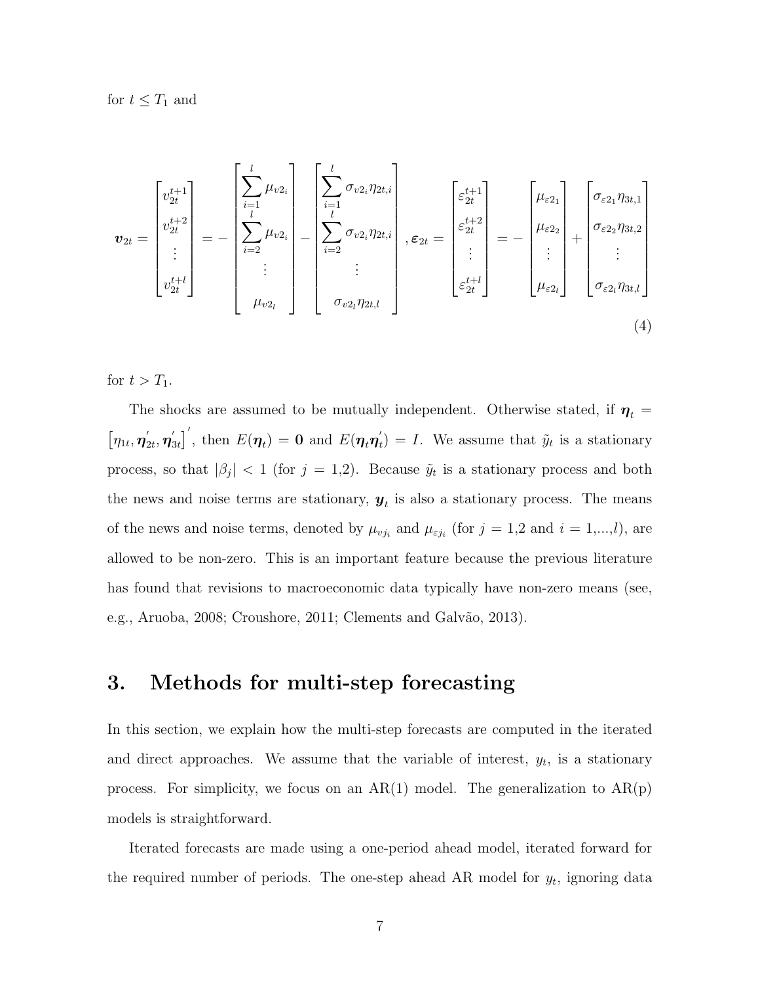for  $t \leq T_1$  and

$$
\boldsymbol{v}_{2t} = \begin{bmatrix} v_{2t}^{t+1} \\ v_{2t}^{t+2} \\ \vdots \\ v_{2t}^{t+l} \end{bmatrix} = - \begin{bmatrix} \sum_{i=1}^{l} \mu_{v2_i} \\ \sum_{i=2}^{l} \mu_{v2_i} \\ \vdots \\ \sum_{i=2}^{l} \mu_{v2_i} \end{bmatrix} - \begin{bmatrix} \sum_{i=1}^{l} \sigma_{v2_i} \eta_{2t,i} \\ \sum_{i=2}^{l} \sigma_{v2_i} \eta_{2t,i} \\ \vdots \\ \sum_{i=2}^{l} \sigma_{v2_i} \eta_{2t,i} \end{bmatrix}, \boldsymbol{\varepsilon}_{2t} = \begin{bmatrix} \varepsilon_{2t}^{t+1} \\ \varepsilon_{2t}^{t+2} \\ \vdots \\ \varepsilon_{2t}^{t+l} \end{bmatrix} = - \begin{bmatrix} \mu_{\varepsilon 2_1} \\ \mu_{\varepsilon 2_2} \\ \vdots \\ \mu_{\varepsilon 2_l} \end{bmatrix} + \begin{bmatrix} \sigma_{\varepsilon 2_1} \eta_{3t,1} \\ \sigma_{\varepsilon 2_2} \eta_{3t,2} \\ \vdots \\ \sigma_{\varepsilon 2_l} \eta_{3t,l} \end{bmatrix}
$$
\n(4)

for  $t > T_1$ .

The shocks are assumed to be mutually independent. Otherwise stated, if  $\eta_t =$  $\left[ \eta_{1t}, \boldsymbol{\eta}^{\prime}_2 \right]$  $_{2t}^{\prime},$   $\boldsymbol{\eta}_{3}^{\prime}$  $\left[\begin{smallmatrix} \mathcal{J}_{3t} \end{smallmatrix}\right]^\prime$ , then  $E(\boldsymbol{\eta}_t) = \mathbf{0}$  and  $E(\boldsymbol{\eta}_t \boldsymbol{\eta}_t^\prime)$  $t<sub>t</sub>(t) = I$ . We assume that  $\tilde{y}<sub>t</sub>$  is a stationary process, so that  $|\beta_j| < 1$  (for  $j = 1,2$ ). Because  $\tilde{y}_t$  is a stationary process and both the news and noise terms are stationary,  $y_t$  is also a stationary process. The means of the news and noise terms, denoted by  $\mu_{v j_i}$  and  $\mu_{\varepsilon j_i}$  (for  $j = 1, 2$  and  $i = 1, ..., l$ ), are allowed to be non-zero. This is an important feature because the previous literature has found that revisions to macroeconomic data typically have non-zero means (see, e.g., Aruoba, 2008; Croushore, 2011; Clements and Galvão, 2013).

#### 3. Methods for multi-step forecasting

In this section, we explain how the multi-step forecasts are computed in the iterated and direct approaches. We assume that the variable of interest,  $y_t$ , is a stationary process. For simplicity, we focus on an  $AR(1)$  model. The generalization to  $AR(p)$ models is straightforward.

Iterated forecasts are made using a one-period ahead model, iterated forward for the required number of periods. The one-step ahead AR model for  $y_t$ , ignoring data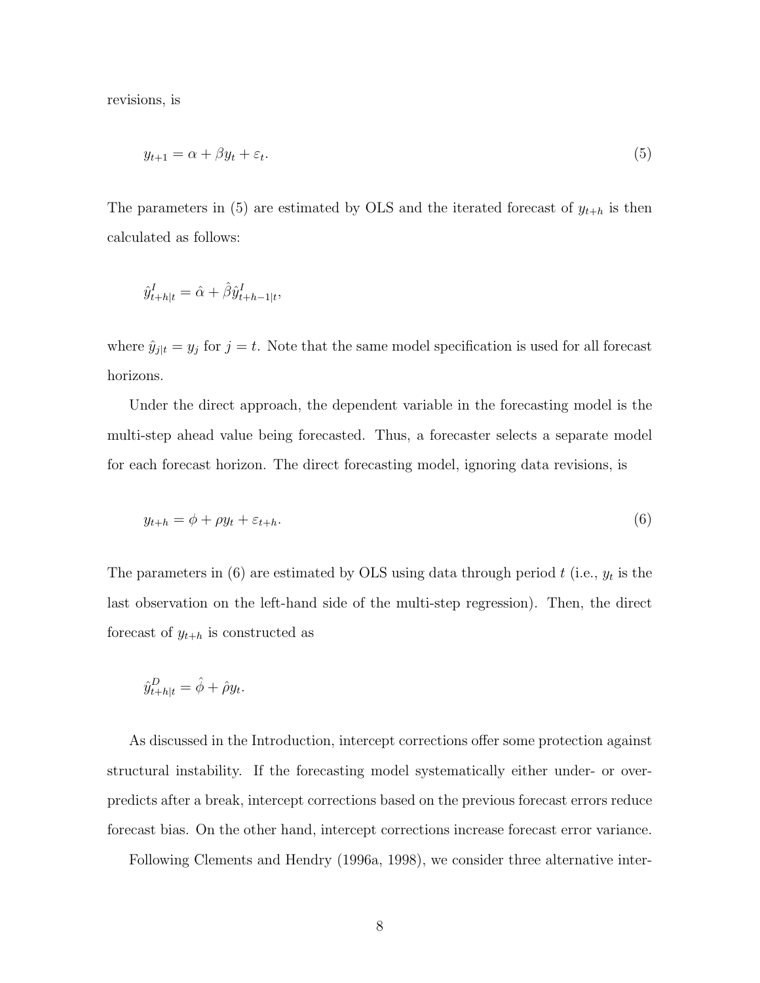revisions, is

$$
y_{t+1} = \alpha + \beta y_t + \varepsilon_t. \tag{5}
$$

The parameters in (5) are estimated by OLS and the iterated forecast of  $y_{t+h}$  is then calculated as follows:

$$
\hat{y}_{t+h|t}^I = \hat{\alpha} + \hat{\beta} \hat{y}_{t+h-1|t}^I,
$$

where  $\hat{y}_{j|t} = y_j$  for  $j = t$ . Note that the same model specification is used for all forecast horizons.

Under the direct approach, the dependent variable in the forecasting model is the multi-step ahead value being forecasted. Thus, a forecaster selects a separate model for each forecast horizon. The direct forecasting model, ignoring data revisions, is

$$
y_{t+h} = \phi + \rho y_t + \varepsilon_{t+h}.\tag{6}
$$

The parameters in (6) are estimated by OLS using data through period  $t$  (i.e.,  $y_t$  is the last observation on the left-hand side of the multi-step regression). Then, the direct forecast of  $y_{t+h}$  is constructed as

$$
\hat{y}_{t+h|t}^D = \hat{\phi} + \hat{\rho} y_t.
$$

As discussed in the Introduction, intercept corrections offer some protection against structural instability. If the forecasting model systematically either under- or overpredicts after a break, intercept corrections based on the previous forecast errors reduce forecast bias. On the other hand, intercept corrections increase forecast error variance.

Following Clements and Hendry (1996a, 1998), we consider three alternative inter-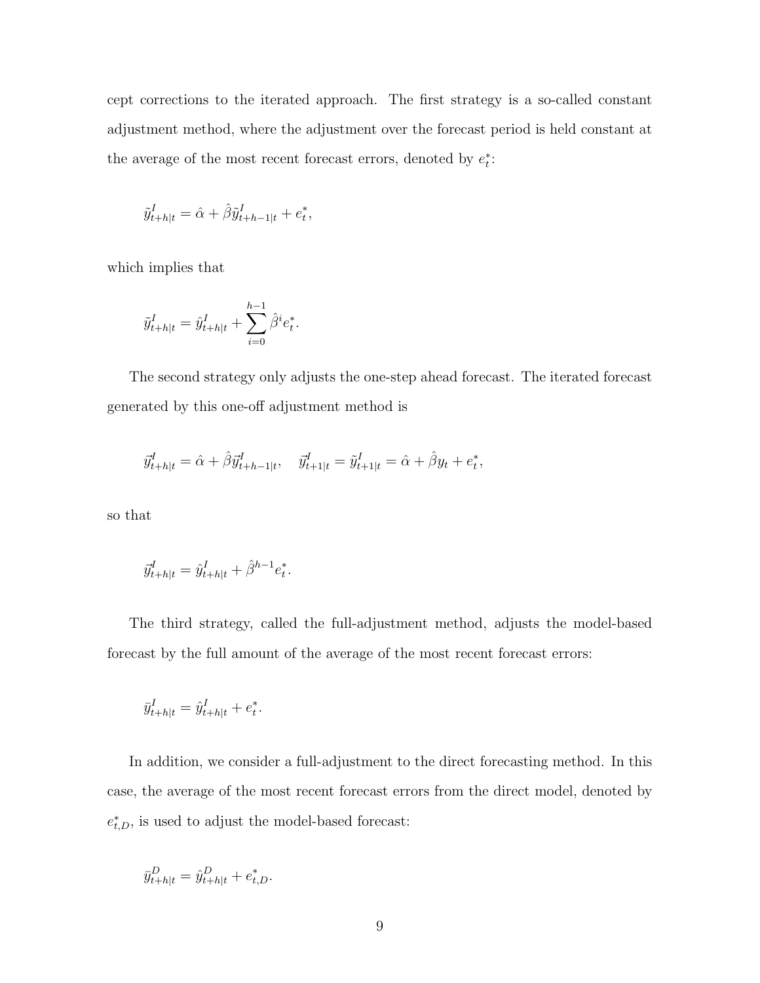cept corrections to the iterated approach. The first strategy is a so-called constant adjustment method, where the adjustment over the forecast period is held constant at the average of the most recent forecast errors, denoted by  $e_t^*$ :

$$
\tilde{y}_{t+h|t}^I = \hat{\alpha} + \hat{\beta} \tilde{y}_{t+h-1|t}^I + e_t^*,
$$

which implies that

$$
\tilde{y}_{t+h|t}^I = \hat{y}_{t+h|t}^I + \sum_{i=0}^{h-1} \hat{\beta}^i e_t^*.
$$

The second strategy only adjusts the one-step ahead forecast. The iterated forecast generated by this one-off adjustment method is

$$
\vec{y}_{t+h|t}^I = \hat{\alpha} + \hat{\beta} \vec{y}_{t+h-1|t}^I, \quad \vec{y}_{t+1|t}^I = \tilde{y}_{t+1|t}^I = \hat{\alpha} + \hat{\beta} y_t + e_t^*,
$$

so that

$$
\vec{y}_{t+h|t}^I = \hat{y}_{t+h|t}^I + \hat{\beta}^{h-1} e_t^*.
$$

The third strategy, called the full-adjustment method, adjusts the model-based forecast by the full amount of the average of the most recent forecast errors:

$$
\bar{y}_{t+h|t}^I = \hat{y}_{t+h|t}^I + e_t^*.
$$

In addition, we consider a full-adjustment to the direct forecasting method. In this case, the average of the most recent forecast errors from the direct model, denoted by  $e_{t,D}^*$ , is used to adjust the model-based forecast:

$$
\bar{y}_{t+h|t}^D = \hat{y}_{t+h|t}^D + e_{t,D}^*.
$$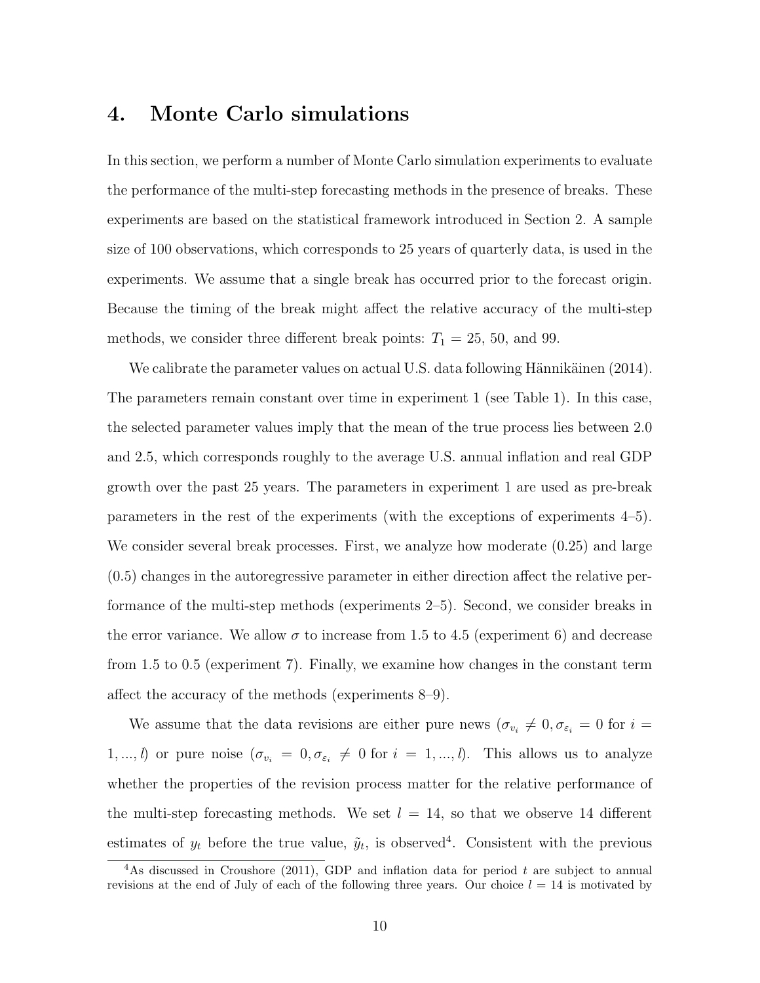### 4. Monte Carlo simulations

In this section, we perform a number of Monte Carlo simulation experiments to evaluate the performance of the multi-step forecasting methods in the presence of breaks. These experiments are based on the statistical framework introduced in Section 2. A sample size of 100 observations, which corresponds to 25 years of quarterly data, is used in the experiments. We assume that a single break has occurred prior to the forecast origin. Because the timing of the break might affect the relative accuracy of the multi-step methods, we consider three different break points:  $T_1 = 25, 50, \text{ and } 99.$ 

We calibrate the parameter values on actual U.S. data following Hännikäinen (2014). The parameters remain constant over time in experiment 1 (see Table 1). In this case, the selected parameter values imply that the mean of the true process lies between 2.0 and 2.5, which corresponds roughly to the average U.S. annual inflation and real GDP growth over the past 25 years. The parameters in experiment 1 are used as pre-break parameters in the rest of the experiments (with the exceptions of experiments 4–5). We consider several break processes. First, we analyze how moderate  $(0.25)$  and large (0.5) changes in the autoregressive parameter in either direction affect the relative performance of the multi-step methods (experiments 2–5). Second, we consider breaks in the error variance. We allow  $\sigma$  to increase from 1.5 to 4.5 (experiment 6) and decrease from 1.5 to 0.5 (experiment 7). Finally, we examine how changes in the constant term affect the accuracy of the methods (experiments 8–9).

We assume that the data revisions are either pure news  $(\sigma_{v_i} \neq 0, \sigma_{\varepsilon_i} = 0$  for  $i =$ 1,..., *l*) or pure noise  $(\sigma_{v_i} = 0, \sigma_{\varepsilon_i} \neq 0 \text{ for } i = 1, ..., l)$ . This allows us to analyze whether the properties of the revision process matter for the relative performance of the multi-step forecasting methods. We set  $l = 14$ , so that we observe 14 different estimates of  $y_t$  before the true value,  $\tilde{y}_t$ , is observed<sup>[4](#page-10-0)</sup>. Consistent with the previous

<span id="page-10-0"></span><sup>&</sup>lt;sup>4</sup>As discussed in Croushore (2011), GDP and inflation data for period t are subject to annual revisions at the end of July of each of the following three years. Our choice  $l = 14$  is motivated by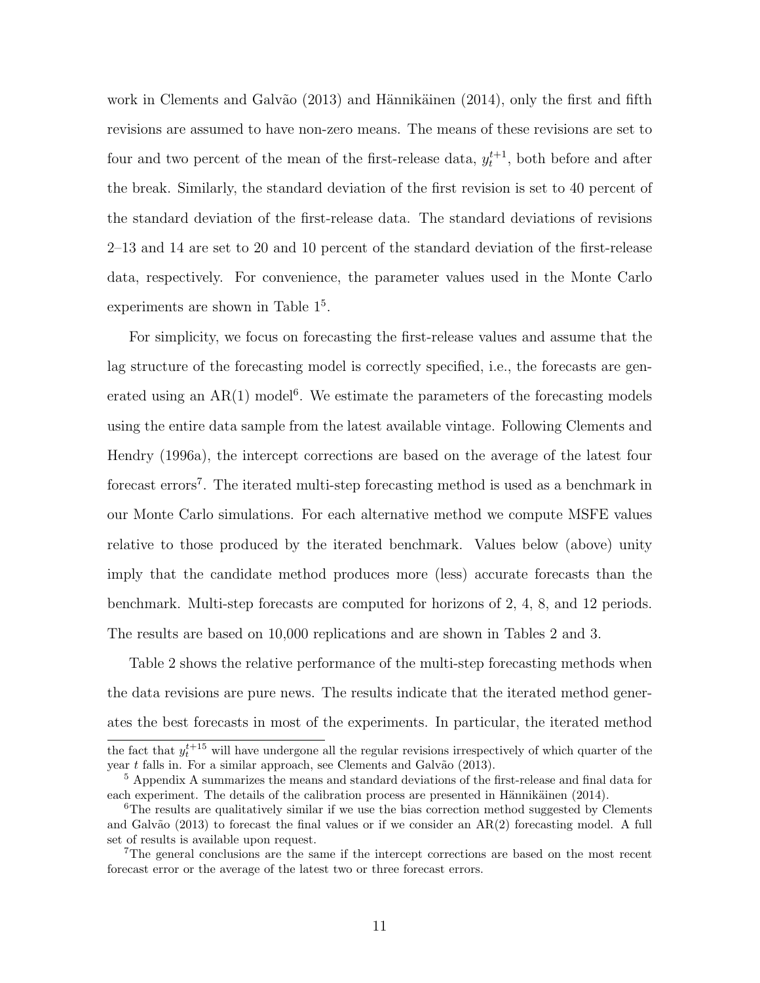work in Clements and Galvão  $(2013)$  and Hännikäinen  $(2014)$ , only the first and fifth revisions are assumed to have non-zero means. The means of these revisions are set to four and two percent of the mean of the first-release data,  $y_t^{t+1}$ , both before and after the break. Similarly, the standard deviation of the first revision is set to 40 percent of the standard deviation of the first-release data. The standard deviations of revisions 2–13 and 14 are set to 20 and 10 percent of the standard deviation of the first-release data, respectively. For convenience, the parameter values used in the Monte Carlo experiments are shown in Table  $1<sup>5</sup>$  $1<sup>5</sup>$  $1<sup>5</sup>$ .

For simplicity, we focus on forecasting the first-release values and assume that the lag structure of the forecasting model is correctly specified, i.e., the forecasts are generated using an  $AR(1)$  model<sup>[6](#page-11-1)</sup>. We estimate the parameters of the forecasting models using the entire data sample from the latest available vintage. Following Clements and Hendry (1996a), the intercept corrections are based on the average of the latest four forecast errors<sup>[7](#page-11-2)</sup>. The iterated multi-step forecasting method is used as a benchmark in our Monte Carlo simulations. For each alternative method we compute MSFE values relative to those produced by the iterated benchmark. Values below (above) unity imply that the candidate method produces more (less) accurate forecasts than the benchmark. Multi-step forecasts are computed for horizons of 2, 4, 8, and 12 periods. The results are based on 10,000 replications and are shown in Tables 2 and 3.

Table 2 shows the relative performance of the multi-step forecasting methods when the data revisions are pure news. The results indicate that the iterated method generates the best forecasts in most of the experiments. In particular, the iterated method

the fact that  $y_t^{t+15}$  will have undergone all the regular revisions irrespectively of which quarter of the year  $t$  falls in. For a similar approach, see Clements and Galvão (2013).

<span id="page-11-0"></span><sup>&</sup>lt;sup>5</sup> Appendix A summarizes the means and standard deviations of the first-release and final data for each experiment. The details of the calibration process are presented in Hännikäinen  $(2014)$ .

<span id="page-11-1"></span><sup>&</sup>lt;sup>6</sup>The results are qualitatively similar if we use the bias correction method suggested by Clements and Galvão (2013) to forecast the final values or if we consider an  $AR(2)$  forecasting model. A full set of results is available upon request.

<span id="page-11-2"></span><sup>7</sup>The general conclusions are the same if the intercept corrections are based on the most recent forecast error or the average of the latest two or three forecast errors.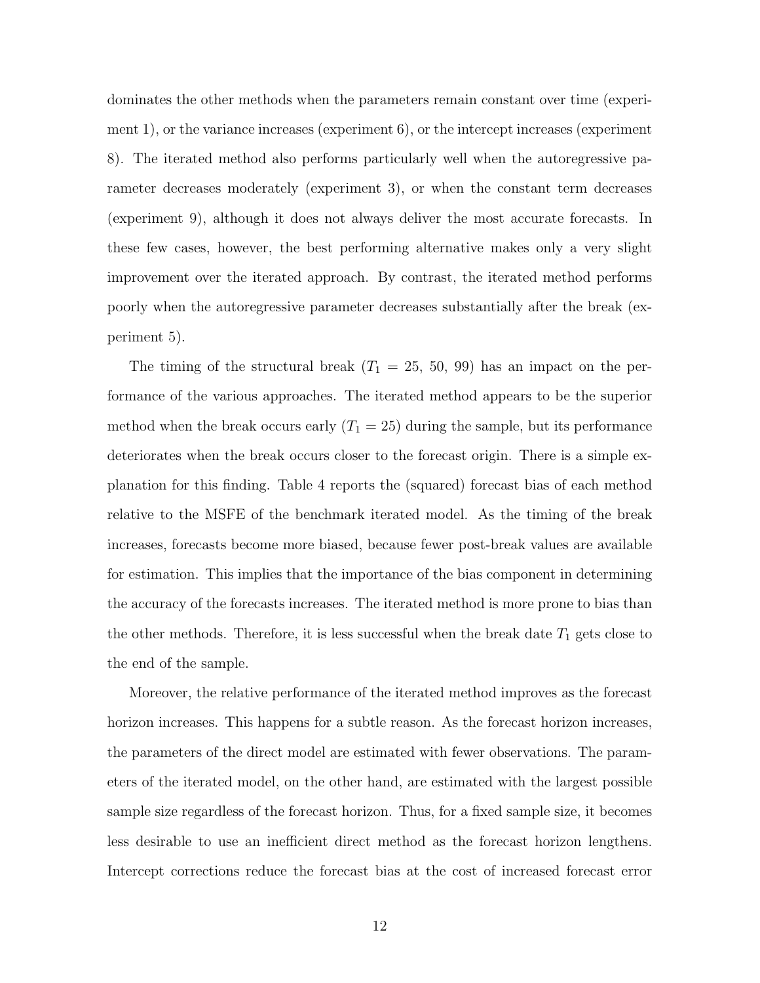dominates the other methods when the parameters remain constant over time (experiment 1), or the variance increases (experiment 6), or the intercept increases (experiment 8). The iterated method also performs particularly well when the autoregressive parameter decreases moderately (experiment 3), or when the constant term decreases (experiment 9), although it does not always deliver the most accurate forecasts. In these few cases, however, the best performing alternative makes only a very slight improvement over the iterated approach. By contrast, the iterated method performs poorly when the autoregressive parameter decreases substantially after the break (experiment 5).

The timing of the structural break  $(T_1 = 25, 50, 99)$  has an impact on the performance of the various approaches. The iterated method appears to be the superior method when the break occurs early  $(T_1 = 25)$  during the sample, but its performance deteriorates when the break occurs closer to the forecast origin. There is a simple explanation for this finding. Table 4 reports the (squared) forecast bias of each method relative to the MSFE of the benchmark iterated model. As the timing of the break increases, forecasts become more biased, because fewer post-break values are available for estimation. This implies that the importance of the bias component in determining the accuracy of the forecasts increases. The iterated method is more prone to bias than the other methods. Therefore, it is less successful when the break date  $T_1$  gets close to the end of the sample.

Moreover, the relative performance of the iterated method improves as the forecast horizon increases. This happens for a subtle reason. As the forecast horizon increases, the parameters of the direct model are estimated with fewer observations. The parameters of the iterated model, on the other hand, are estimated with the largest possible sample size regardless of the forecast horizon. Thus, for a fixed sample size, it becomes less desirable to use an inefficient direct method as the forecast horizon lengthens. Intercept corrections reduce the forecast bias at the cost of increased forecast error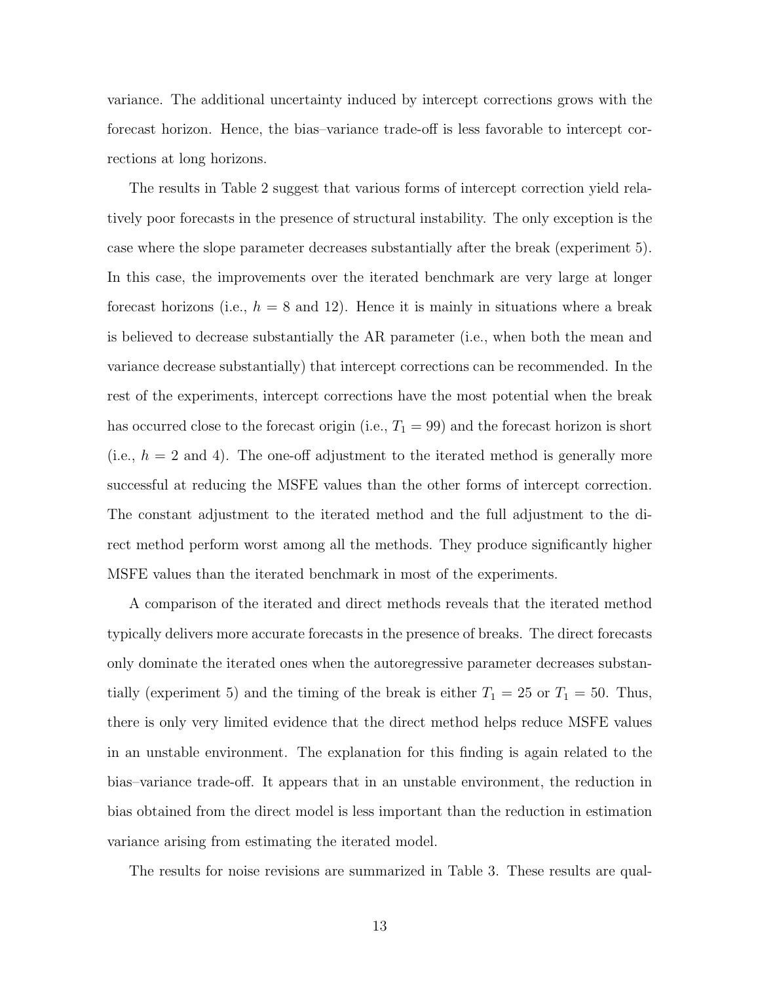variance. The additional uncertainty induced by intercept corrections grows with the forecast horizon. Hence, the bias–variance trade-off is less favorable to intercept corrections at long horizons.

The results in Table 2 suggest that various forms of intercept correction yield relatively poor forecasts in the presence of structural instability. The only exception is the case where the slope parameter decreases substantially after the break (experiment 5). In this case, the improvements over the iterated benchmark are very large at longer forecast horizons (i.e.,  $h = 8$  and 12). Hence it is mainly in situations where a break is believed to decrease substantially the AR parameter (i.e., when both the mean and variance decrease substantially) that intercept corrections can be recommended. In the rest of the experiments, intercept corrections have the most potential when the break has occurred close to the forecast origin (i.e.,  $T_1 = 99$ ) and the forecast horizon is short (i.e.,  $h = 2$  and 4). The one-off adjustment to the iterated method is generally more successful at reducing the MSFE values than the other forms of intercept correction. The constant adjustment to the iterated method and the full adjustment to the direct method perform worst among all the methods. They produce significantly higher MSFE values than the iterated benchmark in most of the experiments.

A comparison of the iterated and direct methods reveals that the iterated method typically delivers more accurate forecasts in the presence of breaks. The direct forecasts only dominate the iterated ones when the autoregressive parameter decreases substantially (experiment 5) and the timing of the break is either  $T_1 = 25$  or  $T_1 = 50$ . Thus, there is only very limited evidence that the direct method helps reduce MSFE values in an unstable environment. The explanation for this finding is again related to the bias–variance trade-off. It appears that in an unstable environment, the reduction in bias obtained from the direct model is less important than the reduction in estimation variance arising from estimating the iterated model.

The results for noise revisions are summarized in Table 3. These results are qual-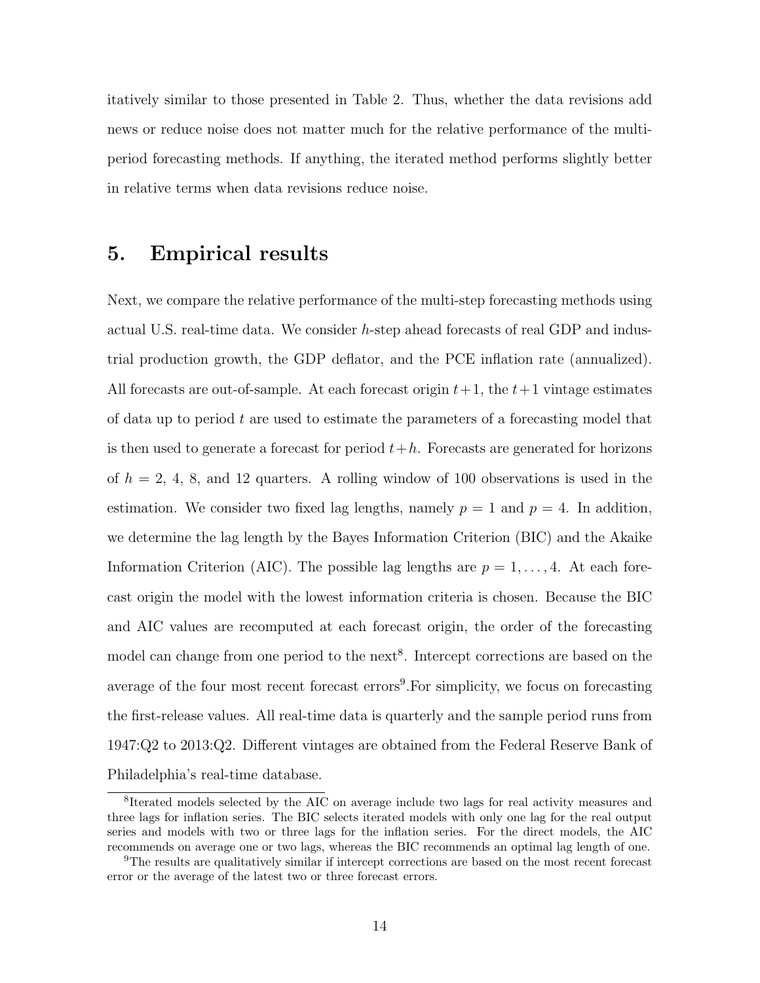itatively similar to those presented in Table 2. Thus, whether the data revisions add news or reduce noise does not matter much for the relative performance of the multiperiod forecasting methods. If anything, the iterated method performs slightly better in relative terms when data revisions reduce noise.

#### 5. Empirical results

Next, we compare the relative performance of the multi-step forecasting methods using actual U.S. real-time data. We consider h-step ahead forecasts of real GDP and industrial production growth, the GDP deflator, and the PCE inflation rate (annualized). All forecasts are out-of-sample. At each forecast origin  $t+1$ , the  $t+1$  vintage estimates of data up to period  $t$  are used to estimate the parameters of a forecasting model that is then used to generate a forecast for period  $t+h$ . Forecasts are generated for horizons of  $h = 2, 4, 8,$  and 12 quarters. A rolling window of 100 observations is used in the estimation. We consider two fixed lag lengths, namely  $p = 1$  and  $p = 4$ . In addition, we determine the lag length by the Bayes Information Criterion (BIC) and the Akaike Information Criterion (AIC). The possible lag lengths are  $p = 1, \ldots, 4$ . At each forecast origin the model with the lowest information criteria is chosen. Because the BIC and AIC values are recomputed at each forecast origin, the order of the forecasting model can change from one period to the next<sup>[8](#page-14-0)</sup>. Intercept corrections are based on the average of the four most recent forecast errors<sup>[9](#page-14-1)</sup>. For simplicity, we focus on forecasting the first-release values. All real-time data is quarterly and the sample period runs from 1947:Q2 to 2013:Q2. Different vintages are obtained from the Federal Reserve Bank of Philadelphia's real-time database.

<span id="page-14-0"></span><sup>&</sup>lt;sup>8</sup>Iterated models selected by the AIC on average include two lags for real activity measures and three lags for inflation series. The BIC selects iterated models with only one lag for the real output series and models with two or three lags for the inflation series. For the direct models, the AIC recommends on average one or two lags, whereas the BIC recommends an optimal lag length of one.

<span id="page-14-1"></span><sup>9</sup>The results are qualitatively similar if intercept corrections are based on the most recent forecast error or the average of the latest two or three forecast errors.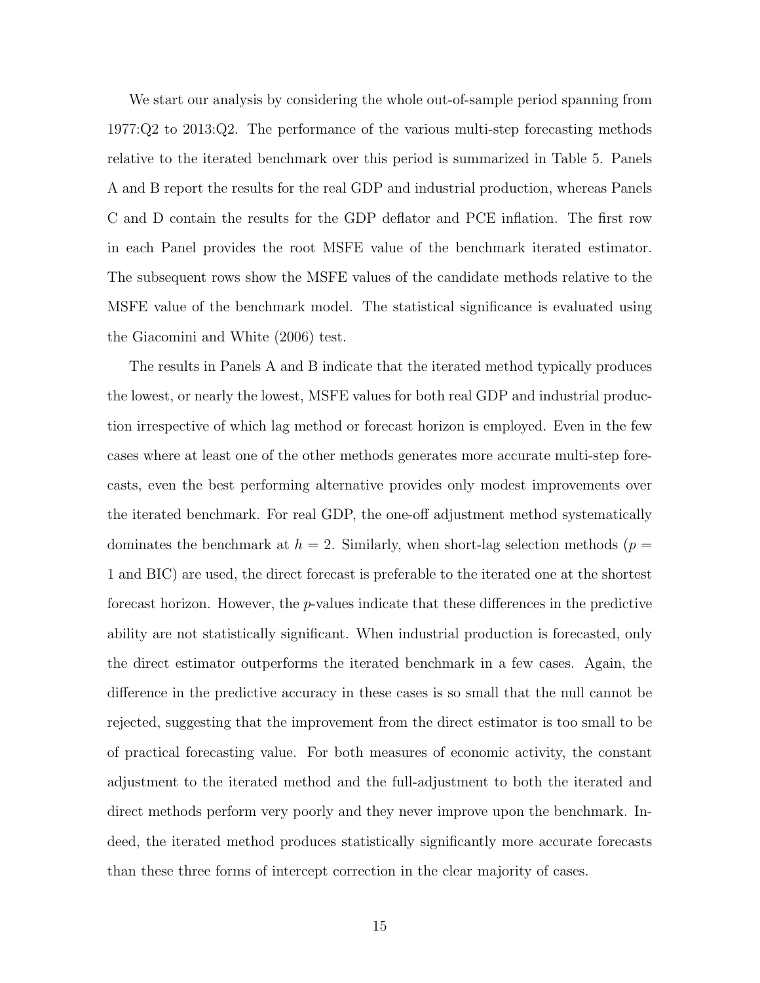We start our analysis by considering the whole out-of-sample period spanning from 1977:Q2 to 2013:Q2. The performance of the various multi-step forecasting methods relative to the iterated benchmark over this period is summarized in Table 5. Panels A and B report the results for the real GDP and industrial production, whereas Panels C and D contain the results for the GDP deflator and PCE inflation. The first row in each Panel provides the root MSFE value of the benchmark iterated estimator. The subsequent rows show the MSFE values of the candidate methods relative to the MSFE value of the benchmark model. The statistical significance is evaluated using the Giacomini and White (2006) test.

The results in Panels A and B indicate that the iterated method typically produces the lowest, or nearly the lowest, MSFE values for both real GDP and industrial production irrespective of which lag method or forecast horizon is employed. Even in the few cases where at least one of the other methods generates more accurate multi-step forecasts, even the best performing alternative provides only modest improvements over the iterated benchmark. For real GDP, the one-off adjustment method systematically dominates the benchmark at  $h = 2$ . Similarly, when short-lag selection methods ( $p =$ 1 and BIC) are used, the direct forecast is preferable to the iterated one at the shortest forecast horizon. However, the  $p$ -values indicate that these differences in the predictive ability are not statistically significant. When industrial production is forecasted, only the direct estimator outperforms the iterated benchmark in a few cases. Again, the difference in the predictive accuracy in these cases is so small that the null cannot be rejected, suggesting that the improvement from the direct estimator is too small to be of practical forecasting value. For both measures of economic activity, the constant adjustment to the iterated method and the full-adjustment to both the iterated and direct methods perform very poorly and they never improve upon the benchmark. Indeed, the iterated method produces statistically significantly more accurate forecasts than these three forms of intercept correction in the clear majority of cases.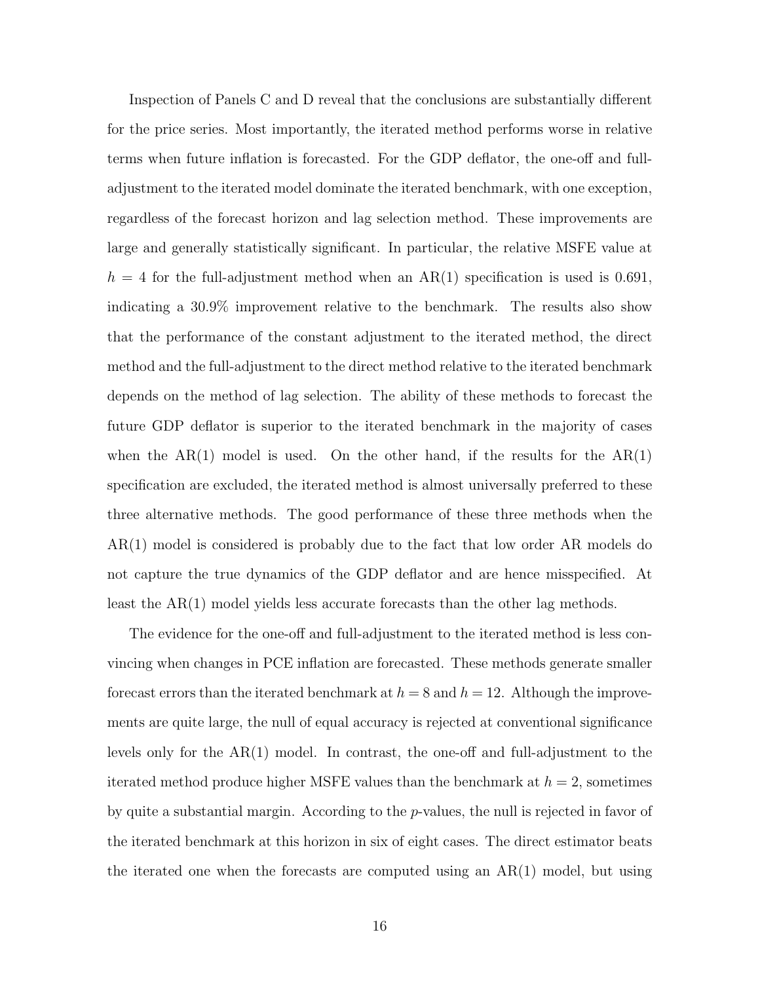Inspection of Panels C and D reveal that the conclusions are substantially different for the price series. Most importantly, the iterated method performs worse in relative terms when future inflation is forecasted. For the GDP deflator, the one-off and fulladjustment to the iterated model dominate the iterated benchmark, with one exception, regardless of the forecast horizon and lag selection method. These improvements are large and generally statistically significant. In particular, the relative MSFE value at  $h = 4$  for the full-adjustment method when an AR(1) specification is used is 0.691, indicating a 30.9% improvement relative to the benchmark. The results also show that the performance of the constant adjustment to the iterated method, the direct method and the full-adjustment to the direct method relative to the iterated benchmark depends on the method of lag selection. The ability of these methods to forecast the future GDP deflator is superior to the iterated benchmark in the majority of cases when the  $AR(1)$  model is used. On the other hand, if the results for the  $AR(1)$ specification are excluded, the iterated method is almost universally preferred to these three alternative methods. The good performance of these three methods when the AR(1) model is considered is probably due to the fact that low order AR models do not capture the true dynamics of the GDP deflator and are hence misspecified. At least the AR(1) model yields less accurate forecasts than the other lag methods.

The evidence for the one-off and full-adjustment to the iterated method is less convincing when changes in PCE inflation are forecasted. These methods generate smaller forecast errors than the iterated benchmark at  $h = 8$  and  $h = 12$ . Although the improvements are quite large, the null of equal accuracy is rejected at conventional significance levels only for the AR(1) model. In contrast, the one-off and full-adjustment to the iterated method produce higher MSFE values than the benchmark at  $h = 2$ , sometimes by quite a substantial margin. According to the p-values, the null is rejected in favor of the iterated benchmark at this horizon in six of eight cases. The direct estimator beats the iterated one when the forecasts are computed using an AR(1) model, but using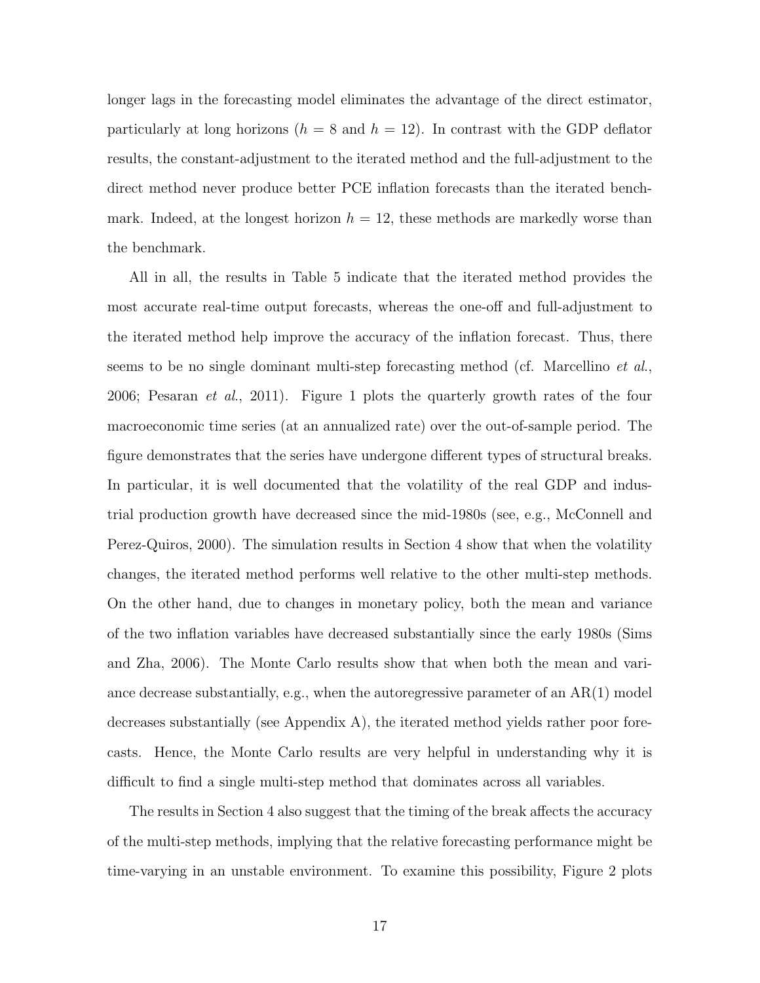longer lags in the forecasting model eliminates the advantage of the direct estimator, particularly at long horizons ( $h = 8$  and  $h = 12$ ). In contrast with the GDP deflator results, the constant-adjustment to the iterated method and the full-adjustment to the direct method never produce better PCE inflation forecasts than the iterated benchmark. Indeed, at the longest horizon  $h = 12$ , these methods are markedly worse than the benchmark.

All in all, the results in Table 5 indicate that the iterated method provides the most accurate real-time output forecasts, whereas the one-off and full-adjustment to the iterated method help improve the accuracy of the inflation forecast. Thus, there seems to be no single dominant multi-step forecasting method (cf. Marcellino *et al.*, 2006; Pesaran et al., 2011). Figure 1 plots the quarterly growth rates of the four macroeconomic time series (at an annualized rate) over the out-of-sample period. The figure demonstrates that the series have undergone different types of structural breaks. In particular, it is well documented that the volatility of the real GDP and industrial production growth have decreased since the mid-1980s (see, e.g., McConnell and Perez-Quiros, 2000). The simulation results in Section 4 show that when the volatility changes, the iterated method performs well relative to the other multi-step methods. On the other hand, due to changes in monetary policy, both the mean and variance of the two inflation variables have decreased substantially since the early 1980s (Sims and Zha, 2006). The Monte Carlo results show that when both the mean and variance decrease substantially, e.g., when the autoregressive parameter of an  $AR(1)$  model decreases substantially (see Appendix A), the iterated method yields rather poor forecasts. Hence, the Monte Carlo results are very helpful in understanding why it is difficult to find a single multi-step method that dominates across all variables.

The results in Section 4 also suggest that the timing of the break affects the accuracy of the multi-step methods, implying that the relative forecasting performance might be time-varying in an unstable environment. To examine this possibility, Figure 2 plots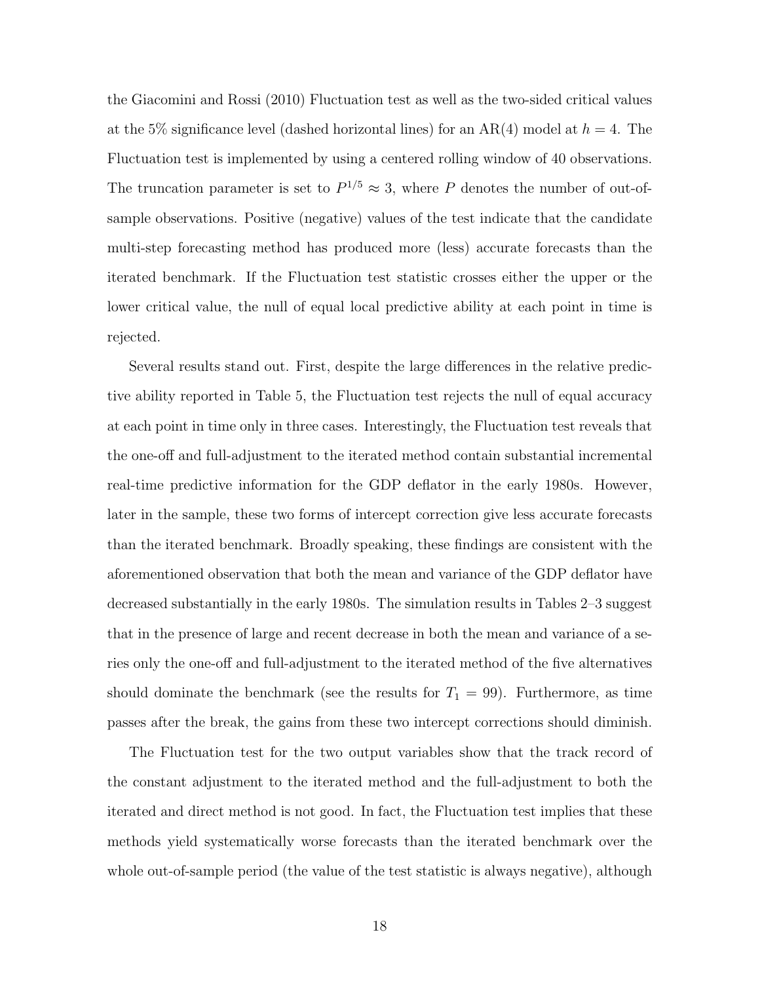the Giacomini and Rossi (2010) Fluctuation test as well as the two-sided critical values at the 5% significance level (dashed horizontal lines) for an AR(4) model at  $h = 4$ . The Fluctuation test is implemented by using a centered rolling window of 40 observations. The truncation parameter is set to  $P^{1/5} \approx 3$ , where P denotes the number of out-ofsample observations. Positive (negative) values of the test indicate that the candidate multi-step forecasting method has produced more (less) accurate forecasts than the iterated benchmark. If the Fluctuation test statistic crosses either the upper or the lower critical value, the null of equal local predictive ability at each point in time is rejected.

Several results stand out. First, despite the large differences in the relative predictive ability reported in Table 5, the Fluctuation test rejects the null of equal accuracy at each point in time only in three cases. Interestingly, the Fluctuation test reveals that the one-off and full-adjustment to the iterated method contain substantial incremental real-time predictive information for the GDP deflator in the early 1980s. However, later in the sample, these two forms of intercept correction give less accurate forecasts than the iterated benchmark. Broadly speaking, these findings are consistent with the aforementioned observation that both the mean and variance of the GDP deflator have decreased substantially in the early 1980s. The simulation results in Tables 2–3 suggest that in the presence of large and recent decrease in both the mean and variance of a series only the one-off and full-adjustment to the iterated method of the five alternatives should dominate the benchmark (see the results for  $T_1 = 99$ ). Furthermore, as time passes after the break, the gains from these two intercept corrections should diminish.

The Fluctuation test for the two output variables show that the track record of the constant adjustment to the iterated method and the full-adjustment to both the iterated and direct method is not good. In fact, the Fluctuation test implies that these methods yield systematically worse forecasts than the iterated benchmark over the whole out-of-sample period (the value of the test statistic is always negative), although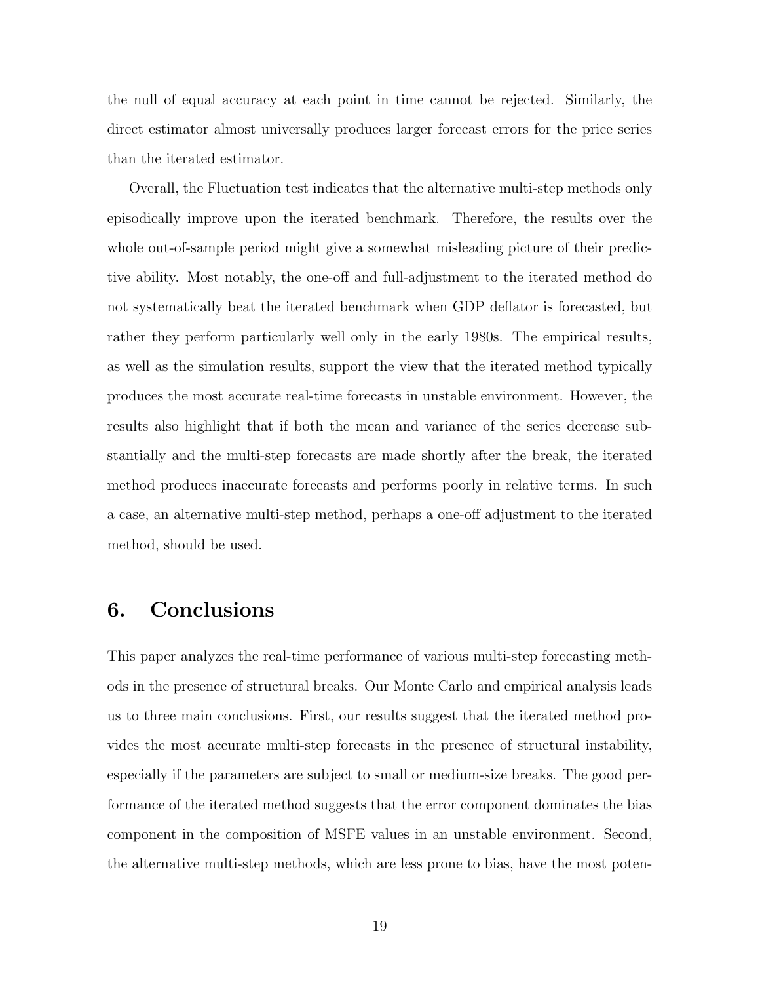the null of equal accuracy at each point in time cannot be rejected. Similarly, the direct estimator almost universally produces larger forecast errors for the price series than the iterated estimator.

Overall, the Fluctuation test indicates that the alternative multi-step methods only episodically improve upon the iterated benchmark. Therefore, the results over the whole out-of-sample period might give a somewhat misleading picture of their predictive ability. Most notably, the one-off and full-adjustment to the iterated method do not systematically beat the iterated benchmark when GDP deflator is forecasted, but rather they perform particularly well only in the early 1980s. The empirical results, as well as the simulation results, support the view that the iterated method typically produces the most accurate real-time forecasts in unstable environment. However, the results also highlight that if both the mean and variance of the series decrease substantially and the multi-step forecasts are made shortly after the break, the iterated method produces inaccurate forecasts and performs poorly in relative terms. In such a case, an alternative multi-step method, perhaps a one-off adjustment to the iterated method, should be used.

## 6. Conclusions

This paper analyzes the real-time performance of various multi-step forecasting methods in the presence of structural breaks. Our Monte Carlo and empirical analysis leads us to three main conclusions. First, our results suggest that the iterated method provides the most accurate multi-step forecasts in the presence of structural instability, especially if the parameters are subject to small or medium-size breaks. The good performance of the iterated method suggests that the error component dominates the bias component in the composition of MSFE values in an unstable environment. Second, the alternative multi-step methods, which are less prone to bias, have the most poten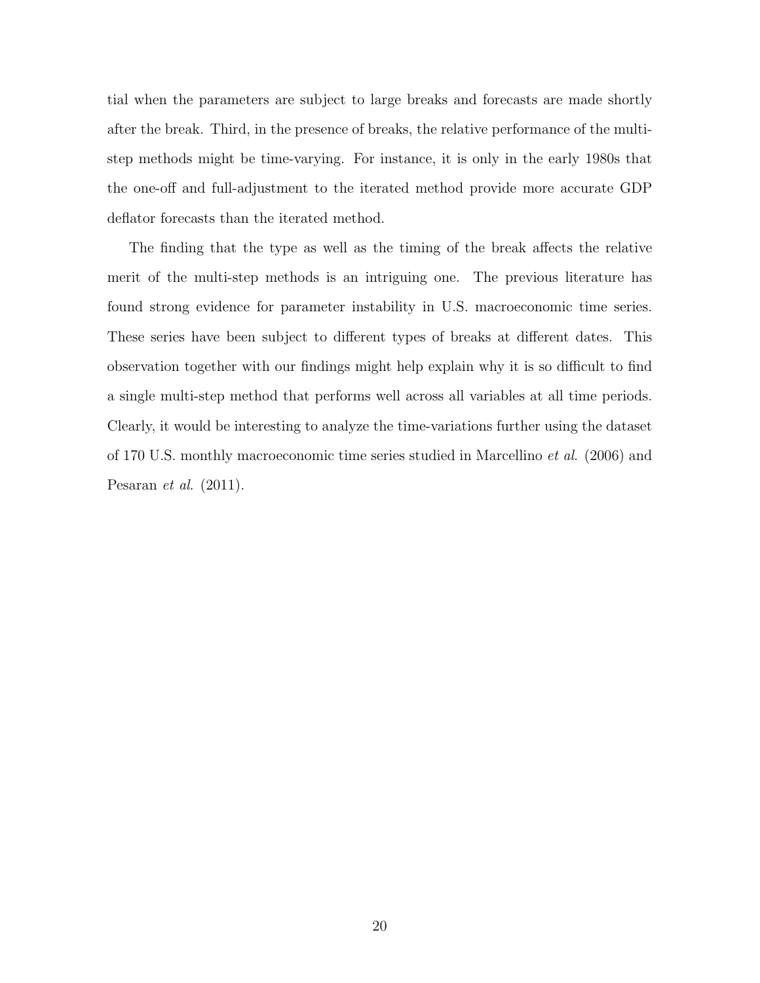tial when the parameters are subject to large breaks and forecasts are made shortly after the break. Third, in the presence of breaks, the relative performance of the multistep methods might be time-varying. For instance, it is only in the early 1980s that the one-off and full-adjustment to the iterated method provide more accurate GDP deflator forecasts than the iterated method.

The finding that the type as well as the timing of the break affects the relative merit of the multi-step methods is an intriguing one. The previous literature has found strong evidence for parameter instability in U.S. macroeconomic time series. These series have been subject to different types of breaks at different dates. This observation together with our findings might help explain why it is so difficult to find a single multi-step method that performs well across all variables at all time periods. Clearly, it would be interesting to analyze the time-variations further using the dataset of 170 U.S. monthly macroeconomic time series studied in Marcellino et al. (2006) and Pesaran et al. (2011).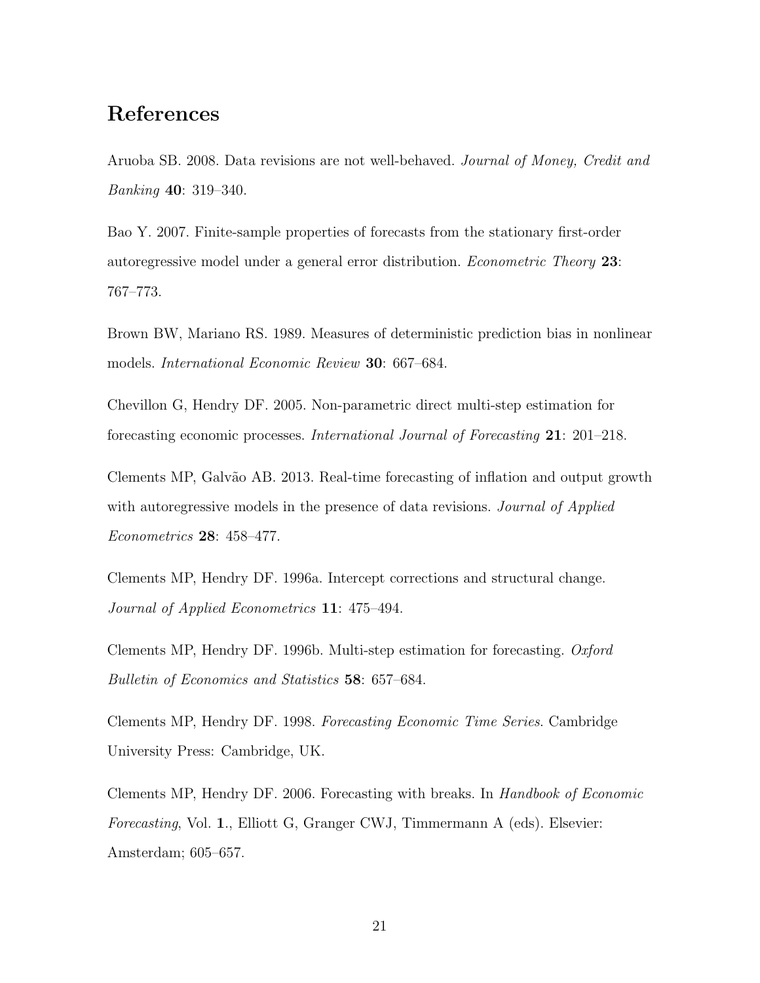#### References

Aruoba SB. 2008. Data revisions are not well-behaved. Journal of Money, Credit and Banking 40: 319–340.

Bao Y. 2007. Finite-sample properties of forecasts from the stationary first-order autoregressive model under a general error distribution. Econometric Theory 23: 767–773.

Brown BW, Mariano RS. 1989. Measures of deterministic prediction bias in nonlinear models. International Economic Review 30: 667–684.

Chevillon G, Hendry DF. 2005. Non-parametric direct multi-step estimation for forecasting economic processes. International Journal of Forecasting 21: 201–218.

Clements MP, Galv˜ao AB. 2013. Real-time forecasting of inflation and output growth with autoregressive models in the presence of data revisions. *Journal of Applied* Econometrics 28: 458–477.

Clements MP, Hendry DF. 1996a. Intercept corrections and structural change. Journal of Applied Econometrics 11: 475–494.

Clements MP, Hendry DF. 1996b. Multi-step estimation for forecasting. Oxford Bulletin of Economics and Statistics 58: 657–684.

Clements MP, Hendry DF. 1998. Forecasting Economic Time Series. Cambridge University Press: Cambridge, UK.

Clements MP, Hendry DF. 2006. Forecasting with breaks. In Handbook of Economic Forecasting, Vol. 1., Elliott G, Granger CWJ, Timmermann A (eds). Elsevier: Amsterdam; 605–657.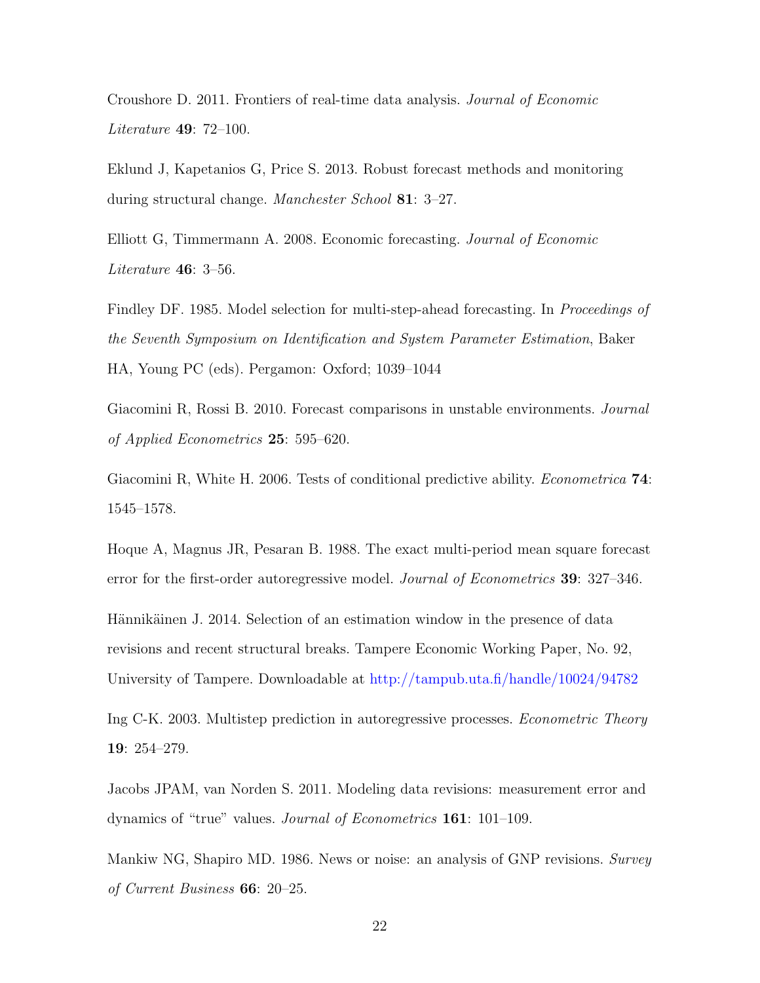Croushore D. 2011. Frontiers of real-time data analysis. Journal of Economic Literature 49: 72–100.

Eklund J, Kapetanios G, Price S. 2013. Robust forecast methods and monitoring during structural change. Manchester School 81: 3–27.

Elliott G, Timmermann A. 2008. Economic forecasting. Journal of Economic Literature 46: 3–56.

Findley DF. 1985. Model selection for multi-step-ahead forecasting. In Proceedings of the Seventh Symposium on Identification and System Parameter Estimation, Baker HA, Young PC (eds). Pergamon: Oxford; 1039–1044

Giacomini R, Rossi B. 2010. Forecast comparisons in unstable environments. Journal of Applied Econometrics 25: 595–620.

Giacomini R, White H. 2006. Tests of conditional predictive ability. *Econometrica* **74**: 1545–1578.

Hoque A, Magnus JR, Pesaran B. 1988. The exact multi-period mean square forecast error for the first-order autoregressive model. Journal of Econometrics 39: 327–346.

Hännikäinen J. 2014. Selection of an estimation window in the presence of data revisions and recent structural breaks. Tampere Economic Working Paper, No. 92, University of Tampere. Downloadable at [http://tampub.uta.fi/handle/10024/94782](http://tampub.uta.fi/bitstream/handle/10024/94782/wp92-2013.pdf?sequence=1)

Ing C-K. 2003. Multistep prediction in autoregressive processes. Econometric Theory 19: 254–279.

Jacobs JPAM, van Norden S. 2011. Modeling data revisions: measurement error and dynamics of "true" values. Journal of Econometrics 161: 101–109.

Mankiw NG, Shapiro MD. 1986. News or noise: an analysis of GNP revisions. Survey of Current Business 66: 20–25.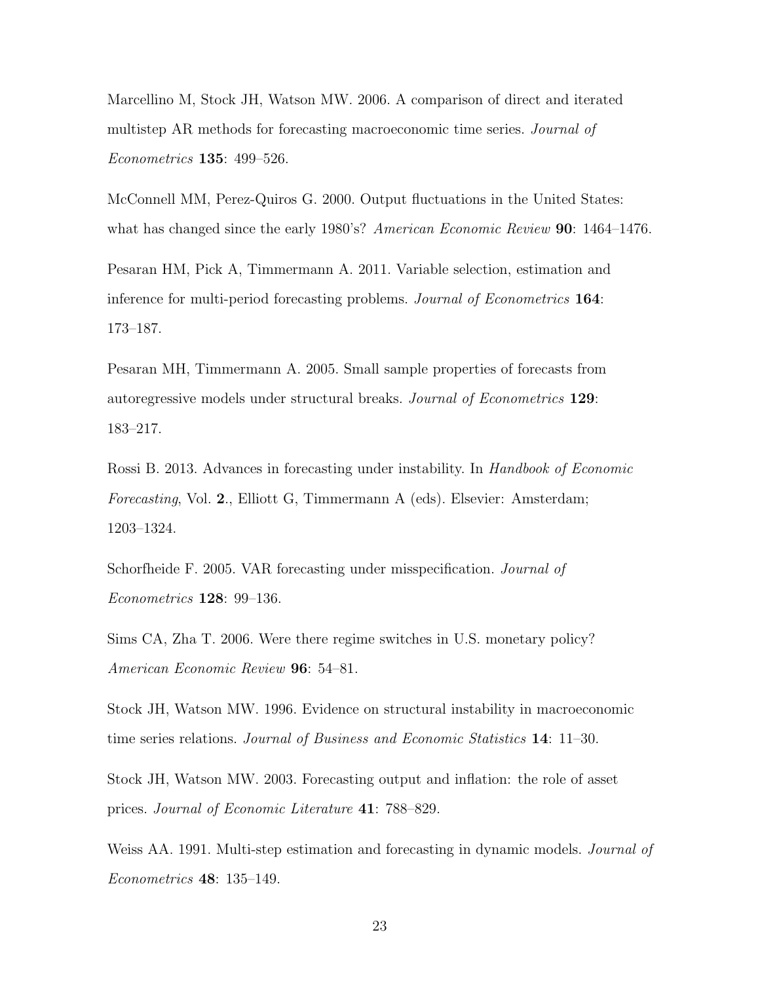Marcellino M, Stock JH, Watson MW. 2006. A comparison of direct and iterated multistep AR methods for forecasting macroeconomic time series. *Journal of* Econometrics 135: 499–526.

McConnell MM, Perez-Quiros G. 2000. Output fluctuations in the United States: what has changed since the early 1980's? American Economic Review **90**: 1464–1476.

Pesaran HM, Pick A, Timmermann A. 2011. Variable selection, estimation and inference for multi-period forecasting problems. Journal of Econometrics 164: 173–187.

Pesaran MH, Timmermann A. 2005. Small sample properties of forecasts from autoregressive models under structural breaks. Journal of Econometrics 129: 183–217.

Rossi B. 2013. Advances in forecasting under instability. In Handbook of Economic Forecasting, Vol. 2., Elliott G, Timmermann A (eds). Elsevier: Amsterdam; 1203–1324.

Schorfheide F. 2005. VAR forecasting under misspecification. Journal of Econometrics 128: 99–136.

Sims CA, Zha T. 2006. Were there regime switches in U.S. monetary policy? American Economic Review 96: 54–81.

Stock JH, Watson MW. 1996. Evidence on structural instability in macroeconomic time series relations. Journal of Business and Economic Statistics 14: 11–30.

Stock JH, Watson MW. 2003. Forecasting output and inflation: the role of asset prices. Journal of Economic Literature 41: 788–829.

Weiss AA. 1991. Multi-step estimation and forecasting in dynamic models. *Journal of* Econometrics 48: 135–149.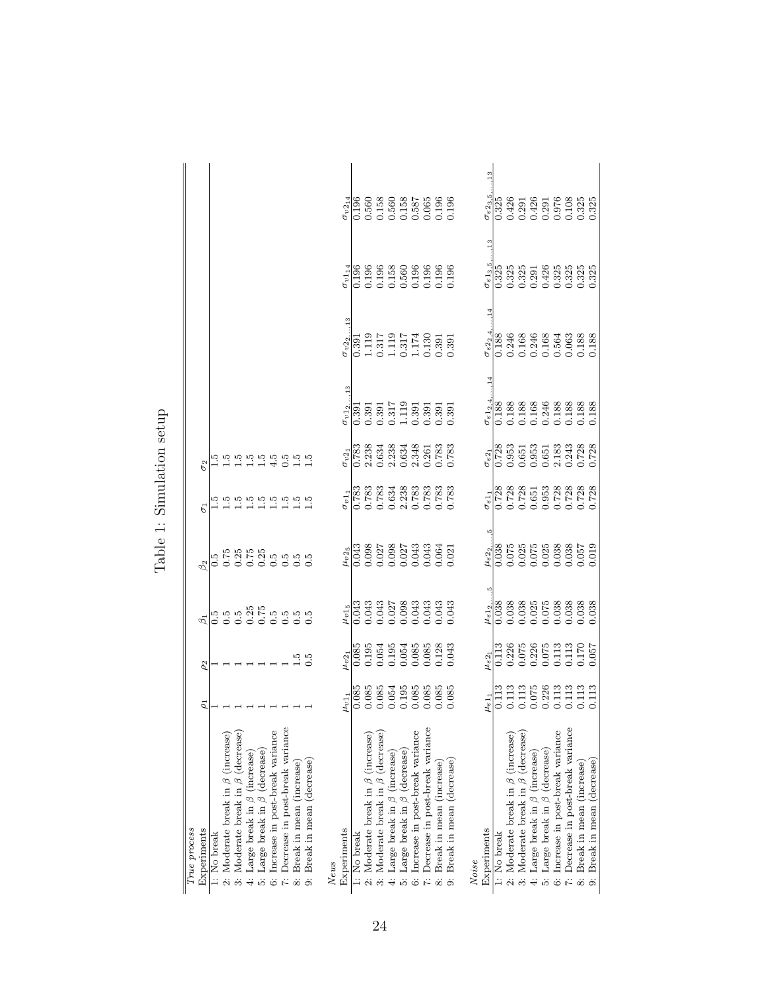| True process                                                                                                                      |                                                                                                               |                                                                                                          |                                                                                                                                                                            |                                                                                             |                                                                                                                                                                                                                                                                                                              |                                                                                                           |                                                                                                                                                                                                                                   |                                                                                                                       |                                                                   |                                                                                                                                                                                                                                                                                                                                                                                                                                                                      |
|-----------------------------------------------------------------------------------------------------------------------------------|---------------------------------------------------------------------------------------------------------------|----------------------------------------------------------------------------------------------------------|----------------------------------------------------------------------------------------------------------------------------------------------------------------------------|---------------------------------------------------------------------------------------------|--------------------------------------------------------------------------------------------------------------------------------------------------------------------------------------------------------------------------------------------------------------------------------------------------------------|-----------------------------------------------------------------------------------------------------------|-----------------------------------------------------------------------------------------------------------------------------------------------------------------------------------------------------------------------------------|-----------------------------------------------------------------------------------------------------------------------|-------------------------------------------------------------------|----------------------------------------------------------------------------------------------------------------------------------------------------------------------------------------------------------------------------------------------------------------------------------------------------------------------------------------------------------------------------------------------------------------------------------------------------------------------|
| Experiments                                                                                                                       | $\overline{\mathcal{L}}$                                                                                      | $\rho_2$                                                                                                 |                                                                                                                                                                            |                                                                                             | Б                                                                                                                                                                                                                                                                                                            |                                                                                                           |                                                                                                                                                                                                                                   |                                                                                                                       |                                                                   |                                                                                                                                                                                                                                                                                                                                                                                                                                                                      |
| 1: No break                                                                                                                       |                                                                                                               |                                                                                                          |                                                                                                                                                                            |                                                                                             |                                                                                                                                                                                                                                                                                                              |                                                                                                           |                                                                                                                                                                                                                                   |                                                                                                                       |                                                                   |                                                                                                                                                                                                                                                                                                                                                                                                                                                                      |
| 2: Moderate break in $\beta$ (increase)                                                                                           |                                                                                                               |                                                                                                          |                                                                                                                                                                            |                                                                                             |                                                                                                                                                                                                                                                                                                              |                                                                                                           |                                                                                                                                                                                                                                   |                                                                                                                       |                                                                   |                                                                                                                                                                                                                                                                                                                                                                                                                                                                      |
| Moderate break in $\beta$ (decrease)<br>.<br>ಉ                                                                                    |                                                                                                               |                                                                                                          |                                                                                                                                                                            |                                                                                             |                                                                                                                                                                                                                                                                                                              |                                                                                                           |                                                                                                                                                                                                                                   |                                                                                                                       |                                                                   |                                                                                                                                                                                                                                                                                                                                                                                                                                                                      |
| $\begin{array}{l} \text{Large break in } \beta \text{ (increase)} \\ \text{Large break in } \beta \text{ (decrease)} \end{array}$ |                                                                                                               |                                                                                                          |                                                                                                                                                                            |                                                                                             |                                                                                                                                                                                                                                                                                                              |                                                                                                           |                                                                                                                                                                                                                                   |                                                                                                                       |                                                                   |                                                                                                                                                                                                                                                                                                                                                                                                                                                                      |
|                                                                                                                                   |                                                                                                               |                                                                                                          |                                                                                                                                                                            |                                                                                             |                                                                                                                                                                                                                                                                                                              |                                                                                                           |                                                                                                                                                                                                                                   |                                                                                                                       |                                                                   |                                                                                                                                                                                                                                                                                                                                                                                                                                                                      |
| Increase in post-break variance<br>نخ بن                                                                                          |                                                                                                               |                                                                                                          |                                                                                                                                                                            |                                                                                             |                                                                                                                                                                                                                                                                                                              |                                                                                                           |                                                                                                                                                                                                                                   |                                                                                                                       |                                                                   |                                                                                                                                                                                                                                                                                                                                                                                                                                                                      |
| Decrease in post-break variance                                                                                                   |                                                                                                               |                                                                                                          |                                                                                                                                                                            |                                                                                             | nnnnnnnn<br>HHHHHHH                                                                                                                                                                                                                                                                                          | n n n n n n n n n<br>H H H H H Q H H                                                                      |                                                                                                                                                                                                                                   |                                                                                                                       |                                                                   |                                                                                                                                                                                                                                                                                                                                                                                                                                                                      |
| Break in mean (increase)                                                                                                          |                                                                                                               | $\frac{15}{0.5}$                                                                                         |                                                                                                                                                                            |                                                                                             |                                                                                                                                                                                                                                                                                                              |                                                                                                           |                                                                                                                                                                                                                                   |                                                                                                                       |                                                                   |                                                                                                                                                                                                                                                                                                                                                                                                                                                                      |
| Break in mean (decrease)                                                                                                          |                                                                                                               |                                                                                                          |                                                                                                                                                                            |                                                                                             |                                                                                                                                                                                                                                                                                                              |                                                                                                           |                                                                                                                                                                                                                                   |                                                                                                                       |                                                                   |                                                                                                                                                                                                                                                                                                                                                                                                                                                                      |
| News                                                                                                                              |                                                                                                               |                                                                                                          |                                                                                                                                                                            |                                                                                             |                                                                                                                                                                                                                                                                                                              |                                                                                                           |                                                                                                                                                                                                                                   |                                                                                                                       |                                                                   |                                                                                                                                                                                                                                                                                                                                                                                                                                                                      |
| Experiments                                                                                                                       | $\mu_{v\, 1_1}$                                                                                               | $\upsilon v2_1$                                                                                          |                                                                                                                                                                            |                                                                                             |                                                                                                                                                                                                                                                                                                              | $\sigma v2_1$                                                                                             | $\sigma_{v1_2}$                                                                                                                                                                                                                   | $\sigma_{v2_2}$                                                                                                       | $\sigma_{v114}$                                                   | $\sigma_{v2_{14}}$                                                                                                                                                                                                                                                                                                                                                                                                                                                   |
| 1: No break                                                                                                                       | 0.085                                                                                                         | $\frac{80}{10}$                                                                                          |                                                                                                                                                                            |                                                                                             |                                                                                                                                                                                                                                                                                                              |                                                                                                           |                                                                                                                                                                                                                                   | $\frac{1}{2}$                                                                                                         |                                                                   |                                                                                                                                                                                                                                                                                                                                                                                                                                                                      |
| 2: Moderate break in $\beta$ (increase)                                                                                           |                                                                                                               | 0.195<br>0.054                                                                                           |                                                                                                                                                                            |                                                                                             |                                                                                                                                                                                                                                                                                                              |                                                                                                           |                                                                                                                                                                                                                                   |                                                                                                                       |                                                                   |                                                                                                                                                                                                                                                                                                                                                                                                                                                                      |
| Moderate break in $\beta$ (decrease)<br>$\frac{1}{3}$                                                                             |                                                                                                               |                                                                                                          |                                                                                                                                                                            |                                                                                             |                                                                                                                                                                                                                                                                                                              |                                                                                                           |                                                                                                                                                                                                                                   |                                                                                                                       |                                                                   |                                                                                                                                                                                                                                                                                                                                                                                                                                                                      |
| Large break in $\beta$ (increase) Large break in $\beta$ (decrease)<br>$\ddot{+}$                                                 |                                                                                                               | $0.195$<br>$0.054$                                                                                       |                                                                                                                                                                            |                                                                                             |                                                                                                                                                                                                                                                                                                              |                                                                                                           |                                                                                                                                                                                                                                   |                                                                                                                       |                                                                   |                                                                                                                                                                                                                                                                                                                                                                                                                                                                      |
|                                                                                                                                   |                                                                                                               |                                                                                                          |                                                                                                                                                                            |                                                                                             |                                                                                                                                                                                                                                                                                                              |                                                                                                           |                                                                                                                                                                                                                                   |                                                                                                                       |                                                                   |                                                                                                                                                                                                                                                                                                                                                                                                                                                                      |
| Increase in post-break variance<br>$\ddot{\circ}$                                                                                 |                                                                                                               |                                                                                                          |                                                                                                                                                                            |                                                                                             |                                                                                                                                                                                                                                                                                                              |                                                                                                           |                                                                                                                                                                                                                                   |                                                                                                                       |                                                                   |                                                                                                                                                                                                                                                                                                                                                                                                                                                                      |
| Decrease in post-break variance                                                                                                   |                                                                                                               |                                                                                                          |                                                                                                                                                                            |                                                                                             |                                                                                                                                                                                                                                                                                                              |                                                                                                           |                                                                                                                                                                                                                                   |                                                                                                                       |                                                                   |                                                                                                                                                                                                                                                                                                                                                                                                                                                                      |
| Break in mean (increase)                                                                                                          | $\begin{array}{c} 0.085 \\ 0.085 \\ 0.054 \\ 0.195 \\ 0.085 \\ 0.085 \\ 0.085 \\ 0.085 \\ \end{array}$        | $\begin{array}{c} 0.085 \\ 0.085 \\ 0.128 \\ 0.043 \end{array}$                                          | $\frac{\mu_{v1_5}}{0.043}$<br>0.043<br>0.043<br>0.027<br>0.043<br>0.043<br>0.043                                                                                           | $\frac{\mu_{v2_\mathrm{g}}}{0.043}$<br>0.088 0.027<br>0.027 0.027<br>0.043 0.043 0.043      | $\frac{1}{6}$ $\frac{1}{783}$ $\frac{1}{83}$ $\frac{1}{783}$ $\frac{1}{83}$ $\frac{1}{83}$ $\frac{1}{83}$ $\frac{1}{83}$ $\frac{1}{83}$ $\frac{1}{83}$ $\frac{1}{83}$ $\frac{1}{83}$ $\frac{1}{83}$ $\frac{1}{83}$ $\frac{1}{83}$ $\frac{1}{83}$ $\frac{1}{83}$ $\frac{1}{83}$ $\frac{1}{83}$ $\frac{1}{83}$ | 1<br>1633 333<br>1633 34<br>1630 363 363<br>1630 363 363<br>1633 363                                      |                                                                                                                                                                                                                                   |                                                                                                                       |                                                                   |                                                                                                                                                                                                                                                                                                                                                                                                                                                                      |
| Break in mean (decrease)                                                                                                          |                                                                                                               |                                                                                                          |                                                                                                                                                                            |                                                                                             |                                                                                                                                                                                                                                                                                                              |                                                                                                           |                                                                                                                                                                                                                                   | $\begin{array}{l} 1.119 \\ 1.119 \\ 1.119 \\ 1.174 \\ 0.317 \\ 1.174 \\ 0.039 \\ 0.039 \\ \end{array}$                | 0.196<br>0.196<br>0.188<br>0.196<br>0.196<br>0.196<br>0.196       | $\begin{array}{r} 0.196\\ 0.560\\ 0.580\\ 0.158\\ 0.158\\ 0.158\\ 0.018\\ 0.018\\ 0.013\\ 0.019\\ 0.019\\ 0.019\\ 0.019\\ 0.019\\ 0.019\\ 0.019\\ 0.019\\ 0.019\\ 0.019\\ 0.019\\ 0.019\\ 0.019\\ 0.019\\ 0.019\\ 0.019\\ 0.019\\ 0.019\\ 0.019\\ 0.019\\ 0.019\\ 0.$                                                                                                                                                                                                |
| Noise                                                                                                                             |                                                                                                               |                                                                                                          |                                                                                                                                                                            |                                                                                             |                                                                                                                                                                                                                                                                                                              |                                                                                                           |                                                                                                                                                                                                                                   |                                                                                                                       |                                                                   |                                                                                                                                                                                                                                                                                                                                                                                                                                                                      |
| Experiments                                                                                                                       | $\mu_{\varepsilon 1_1}$                                                                                       |                                                                                                          |                                                                                                                                                                            |                                                                                             |                                                                                                                                                                                                                                                                                                              |                                                                                                           |                                                                                                                                                                                                                                   | $\sigma_{\varepsilon22.4}$                                                                                            | $\sigma_{\varepsilon13,5}$                                        | $\frac{3}{1}$                                                                                                                                                                                                                                                                                                                                                                                                                                                        |
| 1: No break                                                                                                                       | $\frac{13}{113}$                                                                                              | $\frac{\mu_{\varepsilon 2_1}}{0.113}$                                                                    |                                                                                                                                                                            |                                                                                             |                                                                                                                                                                                                                                                                                                              |                                                                                                           |                                                                                                                                                                                                                                   |                                                                                                                       |                                                                   |                                                                                                                                                                                                                                                                                                                                                                                                                                                                      |
| 2: Moderate break in $\beta$ (increase)                                                                                           |                                                                                                               |                                                                                                          |                                                                                                                                                                            |                                                                                             |                                                                                                                                                                                                                                                                                                              |                                                                                                           |                                                                                                                                                                                                                                   |                                                                                                                       |                                                                   |                                                                                                                                                                                                                                                                                                                                                                                                                                                                      |
| 3: Moderate break in $\beta$ (decrease)                                                                                           |                                                                                                               |                                                                                                          |                                                                                                                                                                            |                                                                                             |                                                                                                                                                                                                                                                                                                              |                                                                                                           |                                                                                                                                                                                                                                   |                                                                                                                       |                                                                   |                                                                                                                                                                                                                                                                                                                                                                                                                                                                      |
| Large break in $\beta$ (increase)                                                                                                 |                                                                                                               |                                                                                                          |                                                                                                                                                                            |                                                                                             |                                                                                                                                                                                                                                                                                                              |                                                                                                           |                                                                                                                                                                                                                                   |                                                                                                                       |                                                                   |                                                                                                                                                                                                                                                                                                                                                                                                                                                                      |
| Large break in $\beta$ (decrease)<br>$\ddot{\omega}$ $\ddot{\omega}$ $\ddot{\kappa}$                                              |                                                                                                               |                                                                                                          |                                                                                                                                                                            |                                                                                             |                                                                                                                                                                                                                                                                                                              |                                                                                                           |                                                                                                                                                                                                                                   |                                                                                                                       |                                                                   |                                                                                                                                                                                                                                                                                                                                                                                                                                                                      |
| Increase in post-break variance                                                                                                   |                                                                                                               |                                                                                                          |                                                                                                                                                                            |                                                                                             |                                                                                                                                                                                                                                                                                                              |                                                                                                           |                                                                                                                                                                                                                                   |                                                                                                                       |                                                                   |                                                                                                                                                                                                                                                                                                                                                                                                                                                                      |
| Decrease in post-break variance                                                                                                   | $\begin{array}{c} 0.113 \\ 0.0113 \\ 0.075 \\ 0.226 \\ 0.113 \\ 0.113 \\ 0.113 \\ 0.113 \\ 0.113 \end{array}$ | $\begin{array}{l} 0.226 \\ 0.075 \\ 0.226 \\ 0.075 \\ 0.075 \\ 0.0113 \\ 0.0113 \\ 0.057 \\ \end{array}$ | $\begin{array}{l} \frac{\mu_{e1_{2,1}}}{10038} \\ 0.038 \\ 0.038 \\ 0.037 \\ 0.038 \\ 0.000 \\ 0.000 \\ 0.000 \\ 0.038 \\ 0.038 \\ 0.038 \\ 0.038 \\ 0.038 \\ \end{array}$ | $\frac{\mu_{e2}}{0.038}$<br>0.075<br>0.075 75 88 88<br>0.075 0.038 857<br>0.010 0.000 0.000 | $\frac{1}{66}$ $\frac{1}{128}$ $\frac{28}{128}$ $\frac{8}{128}$ $\frac{1}{128}$ $\frac{1}{128}$ $\frac{1}{128}$ $\frac{1}{128}$ $\frac{1}{128}$ $\frac{1}{128}$ $\frac{1}{128}$ $\frac{1}{128}$ $\frac{1}{128}$ $\frac{1}{128}$ $\frac{1}{128}$ $\frac{1}{128}$ $\frac{1}{128}$ $\frac{1}{128}$ $\frac{1$    | $\frac{\sigma_{e2_1}}{0.728}$<br>0.953 51 53 51 63 63 64 65<br>0.0 65 51 63 63 65 65 65 65 65 65 66 67 28 | $\begin{array}{l} \texttt{c-124} \\ \texttt{0.188} \\ \texttt{0.188} \\ \texttt{0.189} \\ \texttt{0.189} \\ \texttt{0.160} \\ \texttt{0.246} \\ \texttt{0.188} \\ \texttt{0.189} \\ \texttt{0.189} \\ \texttt{0.189} \end{array}$ | $\begin{array}{r} 0.188 \\ 0.246 \\ 0.168 \\ 0.168 \\ 0.168 \\ 0.168 \\ 0.050 \\ 0.038 \\ 0.188 \\ 0.188 \end{array}$ | 1535<br>0.325 316 326<br>0.0.0.0.0.0.0.0.0.0<br>0.0.0.0.0.0.0.0.0 | $\begin{array}{l} \mathbf{c}^{1}_{23} \mathbf{c}^{1}_{31} \\ \mathbf{c}^{2}_{12} \mathbf{c}^{2}_{23} \\ \mathbf{0} \quad \mathbf{0} \quad \mathbf{1} \quad \mathbf{1} \quad \mathbf{2} \quad \mathbf{1} \quad \mathbf{1} \quad \mathbf{1} \quad \mathbf{1} \quad \mathbf{1} \quad \mathbf{1} \quad \mathbf{1} \quad \mathbf{1} \quad \mathbf{1} \quad \mathbf{1} \quad \mathbf{1} \quad \mathbf{1} \quad \mathbf{1} \quad \mathbf{1} \quad \mathbf{1} \quad \mathbf$ |
| Break in mean (increase)                                                                                                          |                                                                                                               |                                                                                                          |                                                                                                                                                                            |                                                                                             |                                                                                                                                                                                                                                                                                                              |                                                                                                           |                                                                                                                                                                                                                                   |                                                                                                                       |                                                                   |                                                                                                                                                                                                                                                                                                                                                                                                                                                                      |
| Break in mean (decrease)<br>$\dot{\infty}$                                                                                        |                                                                                                               |                                                                                                          |                                                                                                                                                                            |                                                                                             |                                                                                                                                                                                                                                                                                                              |                                                                                                           |                                                                                                                                                                                                                                   |                                                                                                                       |                                                                   |                                                                                                                                                                                                                                                                                                                                                                                                                                                                      |

Table 1: Simulation setup Table 1: Simulation setup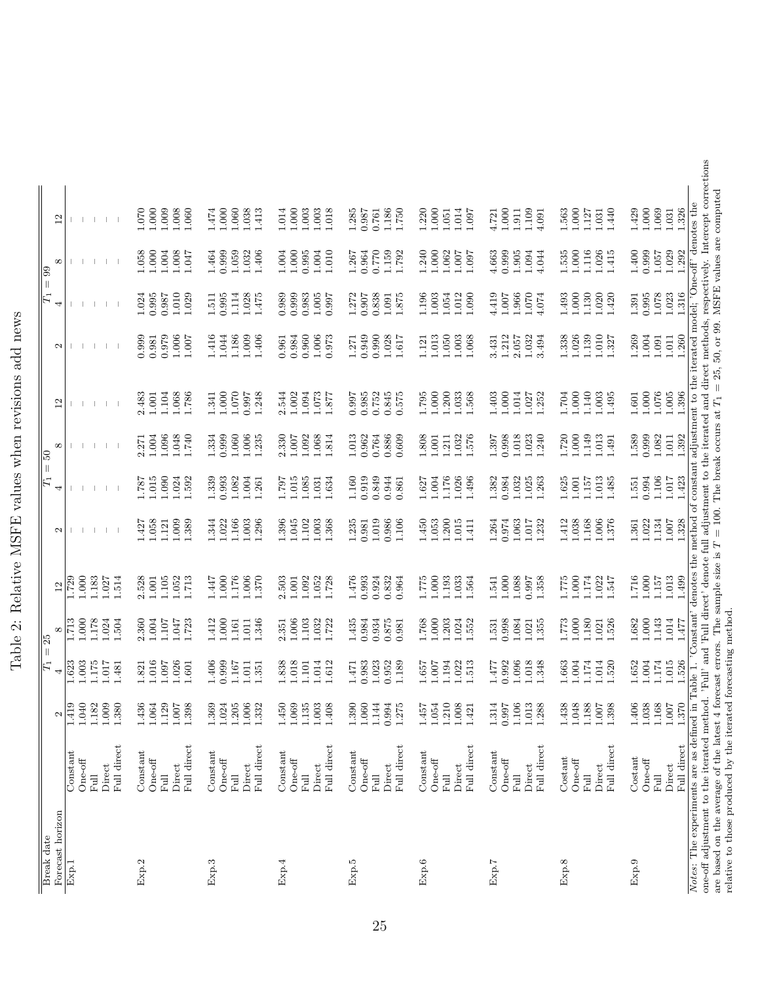| $\frac{1}{2}$                                                   |
|-----------------------------------------------------------------|
| j<br>Ī                                                          |
| こくそく きじゅうくう<br>֕<br>l                                           |
| $-1$<br>l<br>j<br>l                                             |
| $\frac{1}{2}$<br>j<br>l                                         |
| <br> <br> <br>I<br>I                                            |
| ֧֧֦֧֖֪ׅ֧֧֧֧֧֧֧֧֦֧֧֚֚֚֚֝֝֝֬֓֓֝֬֓֝֬֓֝֬֓֝֬֓֝֬֓<br>֧֧֪֪֧֝ <u>֚֓</u> |
| J                                                               |

| 1.000<br>1.326<br>1.009<br>1.000<br>1.429<br>1.069<br>1.000<br>1.008<br>1.060<br>1.000<br>1.060<br>1.038<br>1.000<br>1.003<br>1.003<br>1.018<br>1.285<br>1.186<br>1.220<br>1.000<br>1.014<br>$1.000\,$<br>1.109<br>1.440<br>1.070<br>$1.474\,$<br>1.413<br>1.014<br>0.987<br>1.750<br>1.563<br>1.127<br>1.031<br>1.097<br>1.031<br>0.761<br>1.911<br>1.051<br>4.721<br>4.091<br>$\frac{2}{1}$<br>1.026<br>0.999<br>1.029<br>1.000<br>1.008<br>0.999<br>1.059<br>1.000<br>0.770<br>1.159<br>1.000<br>0.999<br>1.000<br>1.116<br>1.400<br>1.057<br>1.292<br>1.058<br>1.004<br>1.032<br>1.406<br>1.004<br>0.995<br>$1.004\,$<br>$1.010\,$<br>0.964<br>1.792<br>1.240<br>1.062<br>4.663<br>1.905<br>1.094<br>4.044<br>1.535<br>1.415<br>1.047<br>1.464<br>1.007<br>1.097<br>1.267<br>$^{\circ}$<br>0.995<br>1.000<br>1.078<br>$1.023\,$<br>1.316<br>$1.010\,$<br>1.028<br>0.999<br>$1.005\,$<br>4.419<br>$1.070\,$<br>1.130<br>1.020<br>0.995<br>1.024<br>1.029<br>0.995<br>1.114<br>0.989<br>0.983<br>1.272<br>0.838<br>1.196<br>$1.003$<br>1.054<br>1.012<br>1.090<br>1.966<br>1.493<br>1.420<br>1.391<br>0.987<br>1.475<br>1.875<br>$1.007$<br>4.074<br>$1.511\,$<br>0.997<br>0.907<br>$1.091\,$<br>4<br>1.260<br>0.979<br>1.006<br>.416<br>1.186<br>1.009<br>0.984<br>0.960<br>1.006<br>0.949<br>0.990<br>1.028<br>1.013<br>1.212<br>1.026<br>1.010<br>1.269<br>1.004<br>1.011<br>0.999<br>1.044<br>1.406<br>0.973<br>1.003<br>1.068<br>1.032<br>1.338<br>1.139<br>1.091<br>0.981<br>1.050<br>1.007<br>0.961<br>1.271<br>1.617<br>2.057<br>3.494<br>1.327<br>1.121<br>3.431<br>$\mathbf{\Omega}$<br>1.000<br>1.000<br>1.076<br>1.068<br>$1.000\,$<br>1.070<br>$1.002\,$<br>1.073<br>0.985<br>0.752<br>0.845<br>1.200<br>1.033<br>1.000<br>1.014<br>1.000<br>1.140<br>1.003<br>1.495<br>1.005<br>1.396<br>2.483<br>$1.001\,$<br>1.104<br>1.786<br>1.248<br>2.544<br>1.094<br>0.575<br>1.795<br>1.568<br>1.403<br>1.252<br>1.704<br>1.601<br>1.341<br>0.997<br>0.997<br>1.877<br>1.027<br>$\mathbf{r}$<br>$000$ .<br>0.999<br>1.392<br>0.999<br>1.060<br>$1.006\,$<br>2.330<br>1.068<br>0.764<br>0.886<br>1.018<br>1.720<br>1.149<br>1.013<br>1.589<br>1.082<br>$1.011\,$<br>1.004<br>1.096<br>1.048<br>1.740<br>1.334<br>$1.007$<br>1.092<br>1.814<br>1.013<br>0.962<br>.808<br>1.032<br>1.576<br>0.998<br>1.023<br>1.240<br>1.235<br>0.609<br>1.001<br>1.397<br>1.491<br>2.271<br>1.211<br>$^{\circ}$<br>1.106<br>0.994<br>1.423<br>1.015<br>1.090<br>1.339<br>0.993<br>1.082<br>1.004<br>1.015<br>1.085<br>1.634<br>1.160<br>0.919<br>0.849<br>0.944<br>1.004<br>1.176<br>1.026<br>0.984<br>1.032<br>1.025<br>1.625<br>1.013<br>1.017<br>1.024<br>1.592<br>1.797<br>1.627<br>1.496<br>1.382<br>1.263<br>1.157<br>1.485<br>187<br>1.031<br>$1.001\,$<br>1.551<br>1.261<br>0.861<br>4<br>1.006<br>1.134<br>1.058<br>1.009<br>1.022<br>1.166<br>1.003<br>1.045<br>1.102<br>1.003<br>1.368<br>1.019<br>0.986<br>1.053<br>1.200<br>1.015<br>0.974<br>1.063<br>1.038<br>1.168<br>1.376<br>1.022<br>$1.007\,$<br>1.328<br>1.389<br>1.344<br>1.296<br>1.396<br>1.235<br>1.106<br>1.450<br>1.264<br>1.017<br>1.232<br>1.412<br>1.361<br>1.427<br>0.981<br>1.411<br>1.121<br>2<br>1.000<br>1.000<br>1.006<br>1.000<br>.000<br>1.716<br>1.157<br>1.013<br>1.499<br>1.000<br>.183<br>2.528<br>1.105<br>1.052<br>.176<br>1.370<br>1.092<br>1.052<br>1.728<br>0.993<br>0.924<br>0.832<br>1.000<br>1.193<br>1.033<br>1.088<br>1.358<br>.174<br>.022<br>1.027<br>1.514<br>1.001<br>1.713<br>2.503<br>$1.001\,$<br>1.476<br>0.964<br>.775<br>1.564<br>0.997<br>522<br>1.547<br>729<br>-447<br>1.541<br>$\overline{12}$<br>1.178<br>1.006<br>1.526<br>1.000<br>1.143<br>1.014<br>1.000<br>2.360<br>1.004<br>412<br>1.000<br>1.346<br>1.103<br>1.032<br>1.435<br>0.984<br>0.934<br>0.875<br>1.768<br>1.000<br>0.998<br>1.000<br>1.180<br>1.682<br>1.024<br>1.504<br>1.723<br>1.722<br>.203<br>1.024<br>1.552<br>1.084<br>1.021<br>1.355<br>1.773<br>$-713$<br>1.107<br>1.047<br>1.011<br>2.351<br>1.021<br>1.477<br>1.161<br>0.981<br>1.531<br>$^{\circ}$<br>1.004<br>1.174<br>1.015<br>1.003<br>1.175<br>1.016<br>1.026<br>0.999<br>1.838<br>1.018<br>1.014<br>1.612<br>0.983<br>1.023<br>0.952<br>1.194<br>0.992<br>1.096<br>1.018<br>1.348<br>1.004<br>1.174<br>1.014<br>1.520<br>1.526<br>1.623<br>1.406<br>1.189<br>1.657<br>1.022<br>1.513<br>1.663<br>1.652<br>1.017<br>1.097<br>1.601<br>1.167<br>$1.011\,$<br>1.481<br>1.821<br>1.101<br>1.007<br>1.351<br>1.477<br>1.471<br>4<br>1.370<br>$\begin{array}{c} 1.168 \\ 1.007 \end{array}$<br>Q.<br>$\circ$<br>1.406<br>$1.038\,$<br>1.419<br>1.040<br>Ñ<br>1.009<br>ē<br>७<br>1.064<br>$\infty$<br>G<br>$1.024\,$<br>$1.205\,$<br>$1.006\,$<br>N<br>$\circ$<br>$1.069\,$<br>r.<br>$1.003\,$<br>$\infty$<br>$1.060\,$<br>1.144<br>0.994<br>ĩΟ.<br>$\circ$<br>∞<br>1.106<br>S<br>$\infty$<br>ထထ<br>öō.<br>$\infty$<br>$1.007$<br>$1.054\,$<br>1.421<br>↤<br>Ŀ<br>$1.007$<br>1.18<br>1.38<br>1.43<br>1.12<br>1.39<br>1.36<br>1.33<br>1.45<br>1.13<br>1.40<br>1.39<br>1.27<br>1.45<br>1.21<br>1.00<br>1.31<br>0.99<br>1.01<br>1.28<br>1.43<br>1.04<br>1.18<br>1.39<br>2<br>Full direct<br>Full direct<br>Full direct<br>Full direct<br>Full direct<br>Full direct<br>Full direct<br>Full direct<br>Full direct<br>Constant<br>$\mbox{Constant}$<br>Constant<br>Constant<br>Constant<br>Constant<br>Constant<br>Costant<br>Costant<br>$One-off$<br>$One-off$<br>$\mathsf{One}\text{-off}$<br>$One-off$<br>$One-off$<br>$One-off$<br>$One-off$<br>$One-off$<br>$One-off$<br>Direct<br>Direct<br>Direct<br>Direct<br>Direct<br>Direct<br>Direct<br>Direct<br>Direct<br>司<br>Full<br>$\overline{E}$<br>Full<br>Full<br>Full<br>E<br>Ful<br>Ful<br>$_{\rm{Full}}$<br>Forecast horizon<br>Exp.8<br>Exp.9<br>Exp.2<br>Exp.3<br>Exp.4<br>Exp.5<br>Exp.6<br>Exp.7<br>Exp.1 | Notes: The experiments are as defined in                                                                                                                           |                                          |  |          |                                              |  |  |                                                                             |  |  |
|-----------------------------------------------------------------------------------------------------------------------------------------------------------------------------------------------------------------------------------------------------------------------------------------------------------------------------------------------------------------------------------------------------------------------------------------------------------------------------------------------------------------------------------------------------------------------------------------------------------------------------------------------------------------------------------------------------------------------------------------------------------------------------------------------------------------------------------------------------------------------------------------------------------------------------------------------------------------------------------------------------------------------------------------------------------------------------------------------------------------------------------------------------------------------------------------------------------------------------------------------------------------------------------------------------------------------------------------------------------------------------------------------------------------------------------------------------------------------------------------------------------------------------------------------------------------------------------------------------------------------------------------------------------------------------------------------------------------------------------------------------------------------------------------------------------------------------------------------------------------------------------------------------------------------------------------------------------------------------------------------------------------------------------------------------------------------------------------------------------------------------------------------------------------------------------------------------------------------------------------------------------------------------------------------------------------------------------------------------------------------------------------------------------------------------------------------------------------------------------------------------------------------------------------------------------------------------------------------------------------------------------------------------------------------------------------------------------------------------------------------------------------------------------------------------------------------------------------------------------------------------------------------------------------------------------------------------------------------------------------------------------------------------------------------------------------------------------------------------------------------------------------------------------------------------------------------------------------------------------------------------------------------------------------------------------------------------------------------------------------------------------------------------------------------------------------------------------------------------------------------------------------------------------------------------------------------------------------------------------------------------------------------------------------------------------------------------------------------------------------------------------------------------------------------------------------------------------------------------------------------------------------------------------------------------------------------------------------------------------------------------------------------------------------------------------------------------------------------------------------------------------------------------------------------------------------------------------------------------------------------------------------------------------------------------------------------------------------------------------------------------------------------------------------------------------------------------------------------------------------------------------------------------------------------------------------------------------------------------------------------------------------------------------------------------------------------------------------------------------------------------------------------------------------------------------------------------------------------------------------------------------------------------------------------------------------------------------------------------------------------------------------------------------------------------------------------------------------------------------------------------------------------------------------------------------------------------------------------------------------------------------------------------------------------------------------------------------------------------------------------------------------------------------------------------------------------------------------------------------------------------------------------------------------------------------------------------------------------------------------------------------------------------------------------------------------------------------------------------------------------------------------------------------------------------|--------------------------------------------------------------------------------------------------------------------------------------------------------------------|------------------------------------------|--|----------|----------------------------------------------|--|--|-----------------------------------------------------------------------------|--|--|
|                                                                                                                                                                                                                                                                                                                                                                                                                                                                                                                                                                                                                                                                                                                                                                                                                                                                                                                                                                                                                                                                                                                                                                                                                                                                                                                                                                                                                                                                                                                                                                                                                                                                                                                                                                                                                                                                                                                                                                                                                                                                                                                                                                                                                                                                                                                                                                                                                                                                                                                                                                                                                                                                                                                                                                                                                                                                                                                                                                                                                                                                                                                                                                                                                                                                                                                                                                                                                                                                                                                                                                                                                                                                                                                                                                                                                                                                                                                                                                                                                                                                                                                                                                                                                                                                                                                                                                                                                                                                                                                                                                                                                                                                                                                                                                                                                                                                                                                                                                                                                                                                                                                                                                                                                                                                                                                                                                                                                                                                                                                                                                                                                                                                                                                                                                                                     |                                                                                                                                                                    |                                          |  |          |                                              |  |  |                                                                             |  |  |
|                                                                                                                                                                                                                                                                                                                                                                                                                                                                                                                                                                                                                                                                                                                                                                                                                                                                                                                                                                                                                                                                                                                                                                                                                                                                                                                                                                                                                                                                                                                                                                                                                                                                                                                                                                                                                                                                                                                                                                                                                                                                                                                                                                                                                                                                                                                                                                                                                                                                                                                                                                                                                                                                                                                                                                                                                                                                                                                                                                                                                                                                                                                                                                                                                                                                                                                                                                                                                                                                                                                                                                                                                                                                                                                                                                                                                                                                                                                                                                                                                                                                                                                                                                                                                                                                                                                                                                                                                                                                                                                                                                                                                                                                                                                                                                                                                                                                                                                                                                                                                                                                                                                                                                                                                                                                                                                                                                                                                                                                                                                                                                                                                                                                                                                                                                                                     |                                                                                                                                                                    |                                          |  |          |                                              |  |  |                                                                             |  |  |
|                                                                                                                                                                                                                                                                                                                                                                                                                                                                                                                                                                                                                                                                                                                                                                                                                                                                                                                                                                                                                                                                                                                                                                                                                                                                                                                                                                                                                                                                                                                                                                                                                                                                                                                                                                                                                                                                                                                                                                                                                                                                                                                                                                                                                                                                                                                                                                                                                                                                                                                                                                                                                                                                                                                                                                                                                                                                                                                                                                                                                                                                                                                                                                                                                                                                                                                                                                                                                                                                                                                                                                                                                                                                                                                                                                                                                                                                                                                                                                                                                                                                                                                                                                                                                                                                                                                                                                                                                                                                                                                                                                                                                                                                                                                                                                                                                                                                                                                                                                                                                                                                                                                                                                                                                                                                                                                                                                                                                                                                                                                                                                                                                                                                                                                                                                                                     |                                                                                                                                                                    |                                          |  |          |                                              |  |  |                                                                             |  |  |
|                                                                                                                                                                                                                                                                                                                                                                                                                                                                                                                                                                                                                                                                                                                                                                                                                                                                                                                                                                                                                                                                                                                                                                                                                                                                                                                                                                                                                                                                                                                                                                                                                                                                                                                                                                                                                                                                                                                                                                                                                                                                                                                                                                                                                                                                                                                                                                                                                                                                                                                                                                                                                                                                                                                                                                                                                                                                                                                                                                                                                                                                                                                                                                                                                                                                                                                                                                                                                                                                                                                                                                                                                                                                                                                                                                                                                                                                                                                                                                                                                                                                                                                                                                                                                                                                                                                                                                                                                                                                                                                                                                                                                                                                                                                                                                                                                                                                                                                                                                                                                                                                                                                                                                                                                                                                                                                                                                                                                                                                                                                                                                                                                                                                                                                                                                                                     |                                                                                                                                                                    |                                          |  |          |                                              |  |  |                                                                             |  |  |
|                                                                                                                                                                                                                                                                                                                                                                                                                                                                                                                                                                                                                                                                                                                                                                                                                                                                                                                                                                                                                                                                                                                                                                                                                                                                                                                                                                                                                                                                                                                                                                                                                                                                                                                                                                                                                                                                                                                                                                                                                                                                                                                                                                                                                                                                                                                                                                                                                                                                                                                                                                                                                                                                                                                                                                                                                                                                                                                                                                                                                                                                                                                                                                                                                                                                                                                                                                                                                                                                                                                                                                                                                                                                                                                                                                                                                                                                                                                                                                                                                                                                                                                                                                                                                                                                                                                                                                                                                                                                                                                                                                                                                                                                                                                                                                                                                                                                                                                                                                                                                                                                                                                                                                                                                                                                                                                                                                                                                                                                                                                                                                                                                                                                                                                                                                                                     |                                                                                                                                                                    |                                          |  |          |                                              |  |  |                                                                             |  |  |
|                                                                                                                                                                                                                                                                                                                                                                                                                                                                                                                                                                                                                                                                                                                                                                                                                                                                                                                                                                                                                                                                                                                                                                                                                                                                                                                                                                                                                                                                                                                                                                                                                                                                                                                                                                                                                                                                                                                                                                                                                                                                                                                                                                                                                                                                                                                                                                                                                                                                                                                                                                                                                                                                                                                                                                                                                                                                                                                                                                                                                                                                                                                                                                                                                                                                                                                                                                                                                                                                                                                                                                                                                                                                                                                                                                                                                                                                                                                                                                                                                                                                                                                                                                                                                                                                                                                                                                                                                                                                                                                                                                                                                                                                                                                                                                                                                                                                                                                                                                                                                                                                                                                                                                                                                                                                                                                                                                                                                                                                                                                                                                                                                                                                                                                                                                                                     |                                                                                                                                                                    |                                          |  |          |                                              |  |  |                                                                             |  |  |
|                                                                                                                                                                                                                                                                                                                                                                                                                                                                                                                                                                                                                                                                                                                                                                                                                                                                                                                                                                                                                                                                                                                                                                                                                                                                                                                                                                                                                                                                                                                                                                                                                                                                                                                                                                                                                                                                                                                                                                                                                                                                                                                                                                                                                                                                                                                                                                                                                                                                                                                                                                                                                                                                                                                                                                                                                                                                                                                                                                                                                                                                                                                                                                                                                                                                                                                                                                                                                                                                                                                                                                                                                                                                                                                                                                                                                                                                                                                                                                                                                                                                                                                                                                                                                                                                                                                                                                                                                                                                                                                                                                                                                                                                                                                                                                                                                                                                                                                                                                                                                                                                                                                                                                                                                                                                                                                                                                                                                                                                                                                                                                                                                                                                                                                                                                                                     |                                                                                                                                                                    |                                          |  |          |                                              |  |  |                                                                             |  |  |
|                                                                                                                                                                                                                                                                                                                                                                                                                                                                                                                                                                                                                                                                                                                                                                                                                                                                                                                                                                                                                                                                                                                                                                                                                                                                                                                                                                                                                                                                                                                                                                                                                                                                                                                                                                                                                                                                                                                                                                                                                                                                                                                                                                                                                                                                                                                                                                                                                                                                                                                                                                                                                                                                                                                                                                                                                                                                                                                                                                                                                                                                                                                                                                                                                                                                                                                                                                                                                                                                                                                                                                                                                                                                                                                                                                                                                                                                                                                                                                                                                                                                                                                                                                                                                                                                                                                                                                                                                                                                                                                                                                                                                                                                                                                                                                                                                                                                                                                                                                                                                                                                                                                                                                                                                                                                                                                                                                                                                                                                                                                                                                                                                                                                                                                                                                                                     |                                                                                                                                                                    |                                          |  |          |                                              |  |  |                                                                             |  |  |
|                                                                                                                                                                                                                                                                                                                                                                                                                                                                                                                                                                                                                                                                                                                                                                                                                                                                                                                                                                                                                                                                                                                                                                                                                                                                                                                                                                                                                                                                                                                                                                                                                                                                                                                                                                                                                                                                                                                                                                                                                                                                                                                                                                                                                                                                                                                                                                                                                                                                                                                                                                                                                                                                                                                                                                                                                                                                                                                                                                                                                                                                                                                                                                                                                                                                                                                                                                                                                                                                                                                                                                                                                                                                                                                                                                                                                                                                                                                                                                                                                                                                                                                                                                                                                                                                                                                                                                                                                                                                                                                                                                                                                                                                                                                                                                                                                                                                                                                                                                                                                                                                                                                                                                                                                                                                                                                                                                                                                                                                                                                                                                                                                                                                                                                                                                                                     |                                                                                                                                                                    |                                          |  |          |                                              |  |  |                                                                             |  |  |
|                                                                                                                                                                                                                                                                                                                                                                                                                                                                                                                                                                                                                                                                                                                                                                                                                                                                                                                                                                                                                                                                                                                                                                                                                                                                                                                                                                                                                                                                                                                                                                                                                                                                                                                                                                                                                                                                                                                                                                                                                                                                                                                                                                                                                                                                                                                                                                                                                                                                                                                                                                                                                                                                                                                                                                                                                                                                                                                                                                                                                                                                                                                                                                                                                                                                                                                                                                                                                                                                                                                                                                                                                                                                                                                                                                                                                                                                                                                                                                                                                                                                                                                                                                                                                                                                                                                                                                                                                                                                                                                                                                                                                                                                                                                                                                                                                                                                                                                                                                                                                                                                                                                                                                                                                                                                                                                                                                                                                                                                                                                                                                                                                                                                                                                                                                                                     |                                                                                                                                                                    |                                          |  |          |                                              |  |  |                                                                             |  |  |
|                                                                                                                                                                                                                                                                                                                                                                                                                                                                                                                                                                                                                                                                                                                                                                                                                                                                                                                                                                                                                                                                                                                                                                                                                                                                                                                                                                                                                                                                                                                                                                                                                                                                                                                                                                                                                                                                                                                                                                                                                                                                                                                                                                                                                                                                                                                                                                                                                                                                                                                                                                                                                                                                                                                                                                                                                                                                                                                                                                                                                                                                                                                                                                                                                                                                                                                                                                                                                                                                                                                                                                                                                                                                                                                                                                                                                                                                                                                                                                                                                                                                                                                                                                                                                                                                                                                                                                                                                                                                                                                                                                                                                                                                                                                                                                                                                                                                                                                                                                                                                                                                                                                                                                                                                                                                                                                                                                                                                                                                                                                                                                                                                                                                                                                                                                                                     |                                                                                                                                                                    |                                          |  |          |                                              |  |  |                                                                             |  |  |
|                                                                                                                                                                                                                                                                                                                                                                                                                                                                                                                                                                                                                                                                                                                                                                                                                                                                                                                                                                                                                                                                                                                                                                                                                                                                                                                                                                                                                                                                                                                                                                                                                                                                                                                                                                                                                                                                                                                                                                                                                                                                                                                                                                                                                                                                                                                                                                                                                                                                                                                                                                                                                                                                                                                                                                                                                                                                                                                                                                                                                                                                                                                                                                                                                                                                                                                                                                                                                                                                                                                                                                                                                                                                                                                                                                                                                                                                                                                                                                                                                                                                                                                                                                                                                                                                                                                                                                                                                                                                                                                                                                                                                                                                                                                                                                                                                                                                                                                                                                                                                                                                                                                                                                                                                                                                                                                                                                                                                                                                                                                                                                                                                                                                                                                                                                                                     |                                                                                                                                                                    |                                          |  |          |                                              |  |  |                                                                             |  |  |
|                                                                                                                                                                                                                                                                                                                                                                                                                                                                                                                                                                                                                                                                                                                                                                                                                                                                                                                                                                                                                                                                                                                                                                                                                                                                                                                                                                                                                                                                                                                                                                                                                                                                                                                                                                                                                                                                                                                                                                                                                                                                                                                                                                                                                                                                                                                                                                                                                                                                                                                                                                                                                                                                                                                                                                                                                                                                                                                                                                                                                                                                                                                                                                                                                                                                                                                                                                                                                                                                                                                                                                                                                                                                                                                                                                                                                                                                                                                                                                                                                                                                                                                                                                                                                                                                                                                                                                                                                                                                                                                                                                                                                                                                                                                                                                                                                                                                                                                                                                                                                                                                                                                                                                                                                                                                                                                                                                                                                                                                                                                                                                                                                                                                                                                                                                                                     |                                                                                                                                                                    |                                          |  |          |                                              |  |  |                                                                             |  |  |
|                                                                                                                                                                                                                                                                                                                                                                                                                                                                                                                                                                                                                                                                                                                                                                                                                                                                                                                                                                                                                                                                                                                                                                                                                                                                                                                                                                                                                                                                                                                                                                                                                                                                                                                                                                                                                                                                                                                                                                                                                                                                                                                                                                                                                                                                                                                                                                                                                                                                                                                                                                                                                                                                                                                                                                                                                                                                                                                                                                                                                                                                                                                                                                                                                                                                                                                                                                                                                                                                                                                                                                                                                                                                                                                                                                                                                                                                                                                                                                                                                                                                                                                                                                                                                                                                                                                                                                                                                                                                                                                                                                                                                                                                                                                                                                                                                                                                                                                                                                                                                                                                                                                                                                                                                                                                                                                                                                                                                                                                                                                                                                                                                                                                                                                                                                                                     |                                                                                                                                                                    |                                          |  |          |                                              |  |  |                                                                             |  |  |
|                                                                                                                                                                                                                                                                                                                                                                                                                                                                                                                                                                                                                                                                                                                                                                                                                                                                                                                                                                                                                                                                                                                                                                                                                                                                                                                                                                                                                                                                                                                                                                                                                                                                                                                                                                                                                                                                                                                                                                                                                                                                                                                                                                                                                                                                                                                                                                                                                                                                                                                                                                                                                                                                                                                                                                                                                                                                                                                                                                                                                                                                                                                                                                                                                                                                                                                                                                                                                                                                                                                                                                                                                                                                                                                                                                                                                                                                                                                                                                                                                                                                                                                                                                                                                                                                                                                                                                                                                                                                                                                                                                                                                                                                                                                                                                                                                                                                                                                                                                                                                                                                                                                                                                                                                                                                                                                                                                                                                                                                                                                                                                                                                                                                                                                                                                                                     |                                                                                                                                                                    |                                          |  |          |                                              |  |  |                                                                             |  |  |
|                                                                                                                                                                                                                                                                                                                                                                                                                                                                                                                                                                                                                                                                                                                                                                                                                                                                                                                                                                                                                                                                                                                                                                                                                                                                                                                                                                                                                                                                                                                                                                                                                                                                                                                                                                                                                                                                                                                                                                                                                                                                                                                                                                                                                                                                                                                                                                                                                                                                                                                                                                                                                                                                                                                                                                                                                                                                                                                                                                                                                                                                                                                                                                                                                                                                                                                                                                                                                                                                                                                                                                                                                                                                                                                                                                                                                                                                                                                                                                                                                                                                                                                                                                                                                                                                                                                                                                                                                                                                                                                                                                                                                                                                                                                                                                                                                                                                                                                                                                                                                                                                                                                                                                                                                                                                                                                                                                                                                                                                                                                                                                                                                                                                                                                                                                                                     |                                                                                                                                                                    |                                          |  |          |                                              |  |  |                                                                             |  |  |
|                                                                                                                                                                                                                                                                                                                                                                                                                                                                                                                                                                                                                                                                                                                                                                                                                                                                                                                                                                                                                                                                                                                                                                                                                                                                                                                                                                                                                                                                                                                                                                                                                                                                                                                                                                                                                                                                                                                                                                                                                                                                                                                                                                                                                                                                                                                                                                                                                                                                                                                                                                                                                                                                                                                                                                                                                                                                                                                                                                                                                                                                                                                                                                                                                                                                                                                                                                                                                                                                                                                                                                                                                                                                                                                                                                                                                                                                                                                                                                                                                                                                                                                                                                                                                                                                                                                                                                                                                                                                                                                                                                                                                                                                                                                                                                                                                                                                                                                                                                                                                                                                                                                                                                                                                                                                                                                                                                                                                                                                                                                                                                                                                                                                                                                                                                                                     |                                                                                                                                                                    |                                          |  |          |                                              |  |  |                                                                             |  |  |
|                                                                                                                                                                                                                                                                                                                                                                                                                                                                                                                                                                                                                                                                                                                                                                                                                                                                                                                                                                                                                                                                                                                                                                                                                                                                                                                                                                                                                                                                                                                                                                                                                                                                                                                                                                                                                                                                                                                                                                                                                                                                                                                                                                                                                                                                                                                                                                                                                                                                                                                                                                                                                                                                                                                                                                                                                                                                                                                                                                                                                                                                                                                                                                                                                                                                                                                                                                                                                                                                                                                                                                                                                                                                                                                                                                                                                                                                                                                                                                                                                                                                                                                                                                                                                                                                                                                                                                                                                                                                                                                                                                                                                                                                                                                                                                                                                                                                                                                                                                                                                                                                                                                                                                                                                                                                                                                                                                                                                                                                                                                                                                                                                                                                                                                                                                                                     |                                                                                                                                                                    |                                          |  |          |                                              |  |  |                                                                             |  |  |
|                                                                                                                                                                                                                                                                                                                                                                                                                                                                                                                                                                                                                                                                                                                                                                                                                                                                                                                                                                                                                                                                                                                                                                                                                                                                                                                                                                                                                                                                                                                                                                                                                                                                                                                                                                                                                                                                                                                                                                                                                                                                                                                                                                                                                                                                                                                                                                                                                                                                                                                                                                                                                                                                                                                                                                                                                                                                                                                                                                                                                                                                                                                                                                                                                                                                                                                                                                                                                                                                                                                                                                                                                                                                                                                                                                                                                                                                                                                                                                                                                                                                                                                                                                                                                                                                                                                                                                                                                                                                                                                                                                                                                                                                                                                                                                                                                                                                                                                                                                                                                                                                                                                                                                                                                                                                                                                                                                                                                                                                                                                                                                                                                                                                                                                                                                                                     |                                                                                                                                                                    |                                          |  |          |                                              |  |  |                                                                             |  |  |
|                                                                                                                                                                                                                                                                                                                                                                                                                                                                                                                                                                                                                                                                                                                                                                                                                                                                                                                                                                                                                                                                                                                                                                                                                                                                                                                                                                                                                                                                                                                                                                                                                                                                                                                                                                                                                                                                                                                                                                                                                                                                                                                                                                                                                                                                                                                                                                                                                                                                                                                                                                                                                                                                                                                                                                                                                                                                                                                                                                                                                                                                                                                                                                                                                                                                                                                                                                                                                                                                                                                                                                                                                                                                                                                                                                                                                                                                                                                                                                                                                                                                                                                                                                                                                                                                                                                                                                                                                                                                                                                                                                                                                                                                                                                                                                                                                                                                                                                                                                                                                                                                                                                                                                                                                                                                                                                                                                                                                                                                                                                                                                                                                                                                                                                                                                                                     |                                                                                                                                                                    |                                          |  |          |                                              |  |  |                                                                             |  |  |
|                                                                                                                                                                                                                                                                                                                                                                                                                                                                                                                                                                                                                                                                                                                                                                                                                                                                                                                                                                                                                                                                                                                                                                                                                                                                                                                                                                                                                                                                                                                                                                                                                                                                                                                                                                                                                                                                                                                                                                                                                                                                                                                                                                                                                                                                                                                                                                                                                                                                                                                                                                                                                                                                                                                                                                                                                                                                                                                                                                                                                                                                                                                                                                                                                                                                                                                                                                                                                                                                                                                                                                                                                                                                                                                                                                                                                                                                                                                                                                                                                                                                                                                                                                                                                                                                                                                                                                                                                                                                                                                                                                                                                                                                                                                                                                                                                                                                                                                                                                                                                                                                                                                                                                                                                                                                                                                                                                                                                                                                                                                                                                                                                                                                                                                                                                                                     |                                                                                                                                                                    |                                          |  |          |                                              |  |  |                                                                             |  |  |
|                                                                                                                                                                                                                                                                                                                                                                                                                                                                                                                                                                                                                                                                                                                                                                                                                                                                                                                                                                                                                                                                                                                                                                                                                                                                                                                                                                                                                                                                                                                                                                                                                                                                                                                                                                                                                                                                                                                                                                                                                                                                                                                                                                                                                                                                                                                                                                                                                                                                                                                                                                                                                                                                                                                                                                                                                                                                                                                                                                                                                                                                                                                                                                                                                                                                                                                                                                                                                                                                                                                                                                                                                                                                                                                                                                                                                                                                                                                                                                                                                                                                                                                                                                                                                                                                                                                                                                                                                                                                                                                                                                                                                                                                                                                                                                                                                                                                                                                                                                                                                                                                                                                                                                                                                                                                                                                                                                                                                                                                                                                                                                                                                                                                                                                                                                                                     |                                                                                                                                                                    |                                          |  |          |                                              |  |  |                                                                             |  |  |
|                                                                                                                                                                                                                                                                                                                                                                                                                                                                                                                                                                                                                                                                                                                                                                                                                                                                                                                                                                                                                                                                                                                                                                                                                                                                                                                                                                                                                                                                                                                                                                                                                                                                                                                                                                                                                                                                                                                                                                                                                                                                                                                                                                                                                                                                                                                                                                                                                                                                                                                                                                                                                                                                                                                                                                                                                                                                                                                                                                                                                                                                                                                                                                                                                                                                                                                                                                                                                                                                                                                                                                                                                                                                                                                                                                                                                                                                                                                                                                                                                                                                                                                                                                                                                                                                                                                                                                                                                                                                                                                                                                                                                                                                                                                                                                                                                                                                                                                                                                                                                                                                                                                                                                                                                                                                                                                                                                                                                                                                                                                                                                                                                                                                                                                                                                                                     |                                                                                                                                                                    |                                          |  |          |                                              |  |  |                                                                             |  |  |
|                                                                                                                                                                                                                                                                                                                                                                                                                                                                                                                                                                                                                                                                                                                                                                                                                                                                                                                                                                                                                                                                                                                                                                                                                                                                                                                                                                                                                                                                                                                                                                                                                                                                                                                                                                                                                                                                                                                                                                                                                                                                                                                                                                                                                                                                                                                                                                                                                                                                                                                                                                                                                                                                                                                                                                                                                                                                                                                                                                                                                                                                                                                                                                                                                                                                                                                                                                                                                                                                                                                                                                                                                                                                                                                                                                                                                                                                                                                                                                                                                                                                                                                                                                                                                                                                                                                                                                                                                                                                                                                                                                                                                                                                                                                                                                                                                                                                                                                                                                                                                                                                                                                                                                                                                                                                                                                                                                                                                                                                                                                                                                                                                                                                                                                                                                                                     |                                                                                                                                                                    |                                          |  |          |                                              |  |  |                                                                             |  |  |
|                                                                                                                                                                                                                                                                                                                                                                                                                                                                                                                                                                                                                                                                                                                                                                                                                                                                                                                                                                                                                                                                                                                                                                                                                                                                                                                                                                                                                                                                                                                                                                                                                                                                                                                                                                                                                                                                                                                                                                                                                                                                                                                                                                                                                                                                                                                                                                                                                                                                                                                                                                                                                                                                                                                                                                                                                                                                                                                                                                                                                                                                                                                                                                                                                                                                                                                                                                                                                                                                                                                                                                                                                                                                                                                                                                                                                                                                                                                                                                                                                                                                                                                                                                                                                                                                                                                                                                                                                                                                                                                                                                                                                                                                                                                                                                                                                                                                                                                                                                                                                                                                                                                                                                                                                                                                                                                                                                                                                                                                                                                                                                                                                                                                                                                                                                                                     |                                                                                                                                                                    |                                          |  |          |                                              |  |  |                                                                             |  |  |
|                                                                                                                                                                                                                                                                                                                                                                                                                                                                                                                                                                                                                                                                                                                                                                                                                                                                                                                                                                                                                                                                                                                                                                                                                                                                                                                                                                                                                                                                                                                                                                                                                                                                                                                                                                                                                                                                                                                                                                                                                                                                                                                                                                                                                                                                                                                                                                                                                                                                                                                                                                                                                                                                                                                                                                                                                                                                                                                                                                                                                                                                                                                                                                                                                                                                                                                                                                                                                                                                                                                                                                                                                                                                                                                                                                                                                                                                                                                                                                                                                                                                                                                                                                                                                                                                                                                                                                                                                                                                                                                                                                                                                                                                                                                                                                                                                                                                                                                                                                                                                                                                                                                                                                                                                                                                                                                                                                                                                                                                                                                                                                                                                                                                                                                                                                                                     |                                                                                                                                                                    |                                          |  |          |                                              |  |  |                                                                             |  |  |
|                                                                                                                                                                                                                                                                                                                                                                                                                                                                                                                                                                                                                                                                                                                                                                                                                                                                                                                                                                                                                                                                                                                                                                                                                                                                                                                                                                                                                                                                                                                                                                                                                                                                                                                                                                                                                                                                                                                                                                                                                                                                                                                                                                                                                                                                                                                                                                                                                                                                                                                                                                                                                                                                                                                                                                                                                                                                                                                                                                                                                                                                                                                                                                                                                                                                                                                                                                                                                                                                                                                                                                                                                                                                                                                                                                                                                                                                                                                                                                                                                                                                                                                                                                                                                                                                                                                                                                                                                                                                                                                                                                                                                                                                                                                                                                                                                                                                                                                                                                                                                                                                                                                                                                                                                                                                                                                                                                                                                                                                                                                                                                                                                                                                                                                                                                                                     |                                                                                                                                                                    |                                          |  |          |                                              |  |  |                                                                             |  |  |
|                                                                                                                                                                                                                                                                                                                                                                                                                                                                                                                                                                                                                                                                                                                                                                                                                                                                                                                                                                                                                                                                                                                                                                                                                                                                                                                                                                                                                                                                                                                                                                                                                                                                                                                                                                                                                                                                                                                                                                                                                                                                                                                                                                                                                                                                                                                                                                                                                                                                                                                                                                                                                                                                                                                                                                                                                                                                                                                                                                                                                                                                                                                                                                                                                                                                                                                                                                                                                                                                                                                                                                                                                                                                                                                                                                                                                                                                                                                                                                                                                                                                                                                                                                                                                                                                                                                                                                                                                                                                                                                                                                                                                                                                                                                                                                                                                                                                                                                                                                                                                                                                                                                                                                                                                                                                                                                                                                                                                                                                                                                                                                                                                                                                                                                                                                                                     |                                                                                                                                                                    |                                          |  |          |                                              |  |  |                                                                             |  |  |
|                                                                                                                                                                                                                                                                                                                                                                                                                                                                                                                                                                                                                                                                                                                                                                                                                                                                                                                                                                                                                                                                                                                                                                                                                                                                                                                                                                                                                                                                                                                                                                                                                                                                                                                                                                                                                                                                                                                                                                                                                                                                                                                                                                                                                                                                                                                                                                                                                                                                                                                                                                                                                                                                                                                                                                                                                                                                                                                                                                                                                                                                                                                                                                                                                                                                                                                                                                                                                                                                                                                                                                                                                                                                                                                                                                                                                                                                                                                                                                                                                                                                                                                                                                                                                                                                                                                                                                                                                                                                                                                                                                                                                                                                                                                                                                                                                                                                                                                                                                                                                                                                                                                                                                                                                                                                                                                                                                                                                                                                                                                                                                                                                                                                                                                                                                                                     |                                                                                                                                                                    |                                          |  |          |                                              |  |  |                                                                             |  |  |
|                                                                                                                                                                                                                                                                                                                                                                                                                                                                                                                                                                                                                                                                                                                                                                                                                                                                                                                                                                                                                                                                                                                                                                                                                                                                                                                                                                                                                                                                                                                                                                                                                                                                                                                                                                                                                                                                                                                                                                                                                                                                                                                                                                                                                                                                                                                                                                                                                                                                                                                                                                                                                                                                                                                                                                                                                                                                                                                                                                                                                                                                                                                                                                                                                                                                                                                                                                                                                                                                                                                                                                                                                                                                                                                                                                                                                                                                                                                                                                                                                                                                                                                                                                                                                                                                                                                                                                                                                                                                                                                                                                                                                                                                                                                                                                                                                                                                                                                                                                                                                                                                                                                                                                                                                                                                                                                                                                                                                                                                                                                                                                                                                                                                                                                                                                                                     |                                                                                                                                                                    |                                          |  |          |                                              |  |  |                                                                             |  |  |
|                                                                                                                                                                                                                                                                                                                                                                                                                                                                                                                                                                                                                                                                                                                                                                                                                                                                                                                                                                                                                                                                                                                                                                                                                                                                                                                                                                                                                                                                                                                                                                                                                                                                                                                                                                                                                                                                                                                                                                                                                                                                                                                                                                                                                                                                                                                                                                                                                                                                                                                                                                                                                                                                                                                                                                                                                                                                                                                                                                                                                                                                                                                                                                                                                                                                                                                                                                                                                                                                                                                                                                                                                                                                                                                                                                                                                                                                                                                                                                                                                                                                                                                                                                                                                                                                                                                                                                                                                                                                                                                                                                                                                                                                                                                                                                                                                                                                                                                                                                                                                                                                                                                                                                                                                                                                                                                                                                                                                                                                                                                                                                                                                                                                                                                                                                                                     |                                                                                                                                                                    |                                          |  |          |                                              |  |  |                                                                             |  |  |
|                                                                                                                                                                                                                                                                                                                                                                                                                                                                                                                                                                                                                                                                                                                                                                                                                                                                                                                                                                                                                                                                                                                                                                                                                                                                                                                                                                                                                                                                                                                                                                                                                                                                                                                                                                                                                                                                                                                                                                                                                                                                                                                                                                                                                                                                                                                                                                                                                                                                                                                                                                                                                                                                                                                                                                                                                                                                                                                                                                                                                                                                                                                                                                                                                                                                                                                                                                                                                                                                                                                                                                                                                                                                                                                                                                                                                                                                                                                                                                                                                                                                                                                                                                                                                                                                                                                                                                                                                                                                                                                                                                                                                                                                                                                                                                                                                                                                                                                                                                                                                                                                                                                                                                                                                                                                                                                                                                                                                                                                                                                                                                                                                                                                                                                                                                                                     |                                                                                                                                                                    |                                          |  |          |                                              |  |  |                                                                             |  |  |
|                                                                                                                                                                                                                                                                                                                                                                                                                                                                                                                                                                                                                                                                                                                                                                                                                                                                                                                                                                                                                                                                                                                                                                                                                                                                                                                                                                                                                                                                                                                                                                                                                                                                                                                                                                                                                                                                                                                                                                                                                                                                                                                                                                                                                                                                                                                                                                                                                                                                                                                                                                                                                                                                                                                                                                                                                                                                                                                                                                                                                                                                                                                                                                                                                                                                                                                                                                                                                                                                                                                                                                                                                                                                                                                                                                                                                                                                                                                                                                                                                                                                                                                                                                                                                                                                                                                                                                                                                                                                                                                                                                                                                                                                                                                                                                                                                                                                                                                                                                                                                                                                                                                                                                                                                                                                                                                                                                                                                                                                                                                                                                                                                                                                                                                                                                                                     |                                                                                                                                                                    |                                          |  |          |                                              |  |  |                                                                             |  |  |
|                                                                                                                                                                                                                                                                                                                                                                                                                                                                                                                                                                                                                                                                                                                                                                                                                                                                                                                                                                                                                                                                                                                                                                                                                                                                                                                                                                                                                                                                                                                                                                                                                                                                                                                                                                                                                                                                                                                                                                                                                                                                                                                                                                                                                                                                                                                                                                                                                                                                                                                                                                                                                                                                                                                                                                                                                                                                                                                                                                                                                                                                                                                                                                                                                                                                                                                                                                                                                                                                                                                                                                                                                                                                                                                                                                                                                                                                                                                                                                                                                                                                                                                                                                                                                                                                                                                                                                                                                                                                                                                                                                                                                                                                                                                                                                                                                                                                                                                                                                                                                                                                                                                                                                                                                                                                                                                                                                                                                                                                                                                                                                                                                                                                                                                                                                                                     |                                                                                                                                                                    |                                          |  |          |                                              |  |  |                                                                             |  |  |
|                                                                                                                                                                                                                                                                                                                                                                                                                                                                                                                                                                                                                                                                                                                                                                                                                                                                                                                                                                                                                                                                                                                                                                                                                                                                                                                                                                                                                                                                                                                                                                                                                                                                                                                                                                                                                                                                                                                                                                                                                                                                                                                                                                                                                                                                                                                                                                                                                                                                                                                                                                                                                                                                                                                                                                                                                                                                                                                                                                                                                                                                                                                                                                                                                                                                                                                                                                                                                                                                                                                                                                                                                                                                                                                                                                                                                                                                                                                                                                                                                                                                                                                                                                                                                                                                                                                                                                                                                                                                                                                                                                                                                                                                                                                                                                                                                                                                                                                                                                                                                                                                                                                                                                                                                                                                                                                                                                                                                                                                                                                                                                                                                                                                                                                                                                                                     |                                                                                                                                                                    |                                          |  |          |                                              |  |  |                                                                             |  |  |
|                                                                                                                                                                                                                                                                                                                                                                                                                                                                                                                                                                                                                                                                                                                                                                                                                                                                                                                                                                                                                                                                                                                                                                                                                                                                                                                                                                                                                                                                                                                                                                                                                                                                                                                                                                                                                                                                                                                                                                                                                                                                                                                                                                                                                                                                                                                                                                                                                                                                                                                                                                                                                                                                                                                                                                                                                                                                                                                                                                                                                                                                                                                                                                                                                                                                                                                                                                                                                                                                                                                                                                                                                                                                                                                                                                                                                                                                                                                                                                                                                                                                                                                                                                                                                                                                                                                                                                                                                                                                                                                                                                                                                                                                                                                                                                                                                                                                                                                                                                                                                                                                                                                                                                                                                                                                                                                                                                                                                                                                                                                                                                                                                                                                                                                                                                                                     |                                                                                                                                                                    |                                          |  |          |                                              |  |  |                                                                             |  |  |
|                                                                                                                                                                                                                                                                                                                                                                                                                                                                                                                                                                                                                                                                                                                                                                                                                                                                                                                                                                                                                                                                                                                                                                                                                                                                                                                                                                                                                                                                                                                                                                                                                                                                                                                                                                                                                                                                                                                                                                                                                                                                                                                                                                                                                                                                                                                                                                                                                                                                                                                                                                                                                                                                                                                                                                                                                                                                                                                                                                                                                                                                                                                                                                                                                                                                                                                                                                                                                                                                                                                                                                                                                                                                                                                                                                                                                                                                                                                                                                                                                                                                                                                                                                                                                                                                                                                                                                                                                                                                                                                                                                                                                                                                                                                                                                                                                                                                                                                                                                                                                                                                                                                                                                                                                                                                                                                                                                                                                                                                                                                                                                                                                                                                                                                                                                                                     |                                                                                                                                                                    |                                          |  |          |                                              |  |  |                                                                             |  |  |
|                                                                                                                                                                                                                                                                                                                                                                                                                                                                                                                                                                                                                                                                                                                                                                                                                                                                                                                                                                                                                                                                                                                                                                                                                                                                                                                                                                                                                                                                                                                                                                                                                                                                                                                                                                                                                                                                                                                                                                                                                                                                                                                                                                                                                                                                                                                                                                                                                                                                                                                                                                                                                                                                                                                                                                                                                                                                                                                                                                                                                                                                                                                                                                                                                                                                                                                                                                                                                                                                                                                                                                                                                                                                                                                                                                                                                                                                                                                                                                                                                                                                                                                                                                                                                                                                                                                                                                                                                                                                                                                                                                                                                                                                                                                                                                                                                                                                                                                                                                                                                                                                                                                                                                                                                                                                                                                                                                                                                                                                                                                                                                                                                                                                                                                                                                                                     |                                                                                                                                                                    |                                          |  |          |                                              |  |  |                                                                             |  |  |
|                                                                                                                                                                                                                                                                                                                                                                                                                                                                                                                                                                                                                                                                                                                                                                                                                                                                                                                                                                                                                                                                                                                                                                                                                                                                                                                                                                                                                                                                                                                                                                                                                                                                                                                                                                                                                                                                                                                                                                                                                                                                                                                                                                                                                                                                                                                                                                                                                                                                                                                                                                                                                                                                                                                                                                                                                                                                                                                                                                                                                                                                                                                                                                                                                                                                                                                                                                                                                                                                                                                                                                                                                                                                                                                                                                                                                                                                                                                                                                                                                                                                                                                                                                                                                                                                                                                                                                                                                                                                                                                                                                                                                                                                                                                                                                                                                                                                                                                                                                                                                                                                                                                                                                                                                                                                                                                                                                                                                                                                                                                                                                                                                                                                                                                                                                                                     |                                                                                                                                                                    |                                          |  |          |                                              |  |  |                                                                             |  |  |
|                                                                                                                                                                                                                                                                                                                                                                                                                                                                                                                                                                                                                                                                                                                                                                                                                                                                                                                                                                                                                                                                                                                                                                                                                                                                                                                                                                                                                                                                                                                                                                                                                                                                                                                                                                                                                                                                                                                                                                                                                                                                                                                                                                                                                                                                                                                                                                                                                                                                                                                                                                                                                                                                                                                                                                                                                                                                                                                                                                                                                                                                                                                                                                                                                                                                                                                                                                                                                                                                                                                                                                                                                                                                                                                                                                                                                                                                                                                                                                                                                                                                                                                                                                                                                                                                                                                                                                                                                                                                                                                                                                                                                                                                                                                                                                                                                                                                                                                                                                                                                                                                                                                                                                                                                                                                                                                                                                                                                                                                                                                                                                                                                                                                                                                                                                                                     |                                                                                                                                                                    |                                          |  |          |                                              |  |  |                                                                             |  |  |
|                                                                                                                                                                                                                                                                                                                                                                                                                                                                                                                                                                                                                                                                                                                                                                                                                                                                                                                                                                                                                                                                                                                                                                                                                                                                                                                                                                                                                                                                                                                                                                                                                                                                                                                                                                                                                                                                                                                                                                                                                                                                                                                                                                                                                                                                                                                                                                                                                                                                                                                                                                                                                                                                                                                                                                                                                                                                                                                                                                                                                                                                                                                                                                                                                                                                                                                                                                                                                                                                                                                                                                                                                                                                                                                                                                                                                                                                                                                                                                                                                                                                                                                                                                                                                                                                                                                                                                                                                                                                                                                                                                                                                                                                                                                                                                                                                                                                                                                                                                                                                                                                                                                                                                                                                                                                                                                                                                                                                                                                                                                                                                                                                                                                                                                                                                                                     |                                                                                                                                                                    |                                          |  |          |                                              |  |  |                                                                             |  |  |
|                                                                                                                                                                                                                                                                                                                                                                                                                                                                                                                                                                                                                                                                                                                                                                                                                                                                                                                                                                                                                                                                                                                                                                                                                                                                                                                                                                                                                                                                                                                                                                                                                                                                                                                                                                                                                                                                                                                                                                                                                                                                                                                                                                                                                                                                                                                                                                                                                                                                                                                                                                                                                                                                                                                                                                                                                                                                                                                                                                                                                                                                                                                                                                                                                                                                                                                                                                                                                                                                                                                                                                                                                                                                                                                                                                                                                                                                                                                                                                                                                                                                                                                                                                                                                                                                                                                                                                                                                                                                                                                                                                                                                                                                                                                                                                                                                                                                                                                                                                                                                                                                                                                                                                                                                                                                                                                                                                                                                                                                                                                                                                                                                                                                                                                                                                                                     |                                                                                                                                                                    |                                          |  |          |                                              |  |  |                                                                             |  |  |
|                                                                                                                                                                                                                                                                                                                                                                                                                                                                                                                                                                                                                                                                                                                                                                                                                                                                                                                                                                                                                                                                                                                                                                                                                                                                                                                                                                                                                                                                                                                                                                                                                                                                                                                                                                                                                                                                                                                                                                                                                                                                                                                                                                                                                                                                                                                                                                                                                                                                                                                                                                                                                                                                                                                                                                                                                                                                                                                                                                                                                                                                                                                                                                                                                                                                                                                                                                                                                                                                                                                                                                                                                                                                                                                                                                                                                                                                                                                                                                                                                                                                                                                                                                                                                                                                                                                                                                                                                                                                                                                                                                                                                                                                                                                                                                                                                                                                                                                                                                                                                                                                                                                                                                                                                                                                                                                                                                                                                                                                                                                                                                                                                                                                                                                                                                                                     |                                                                                                                                                                    |                                          |  |          |                                              |  |  |                                                                             |  |  |
|                                                                                                                                                                                                                                                                                                                                                                                                                                                                                                                                                                                                                                                                                                                                                                                                                                                                                                                                                                                                                                                                                                                                                                                                                                                                                                                                                                                                                                                                                                                                                                                                                                                                                                                                                                                                                                                                                                                                                                                                                                                                                                                                                                                                                                                                                                                                                                                                                                                                                                                                                                                                                                                                                                                                                                                                                                                                                                                                                                                                                                                                                                                                                                                                                                                                                                                                                                                                                                                                                                                                                                                                                                                                                                                                                                                                                                                                                                                                                                                                                                                                                                                                                                                                                                                                                                                                                                                                                                                                                                                                                                                                                                                                                                                                                                                                                                                                                                                                                                                                                                                                                                                                                                                                                                                                                                                                                                                                                                                                                                                                                                                                                                                                                                                                                                                                     |                                                                                                                                                                    |                                          |  |          |                                              |  |  |                                                                             |  |  |
|                                                                                                                                                                                                                                                                                                                                                                                                                                                                                                                                                                                                                                                                                                                                                                                                                                                                                                                                                                                                                                                                                                                                                                                                                                                                                                                                                                                                                                                                                                                                                                                                                                                                                                                                                                                                                                                                                                                                                                                                                                                                                                                                                                                                                                                                                                                                                                                                                                                                                                                                                                                                                                                                                                                                                                                                                                                                                                                                                                                                                                                                                                                                                                                                                                                                                                                                                                                                                                                                                                                                                                                                                                                                                                                                                                                                                                                                                                                                                                                                                                                                                                                                                                                                                                                                                                                                                                                                                                                                                                                                                                                                                                                                                                                                                                                                                                                                                                                                                                                                                                                                                                                                                                                                                                                                                                                                                                                                                                                                                                                                                                                                                                                                                                                                                                                                     |                                                                                                                                                                    |                                          |  |          |                                              |  |  |                                                                             |  |  |
|                                                                                                                                                                                                                                                                                                                                                                                                                                                                                                                                                                                                                                                                                                                                                                                                                                                                                                                                                                                                                                                                                                                                                                                                                                                                                                                                                                                                                                                                                                                                                                                                                                                                                                                                                                                                                                                                                                                                                                                                                                                                                                                                                                                                                                                                                                                                                                                                                                                                                                                                                                                                                                                                                                                                                                                                                                                                                                                                                                                                                                                                                                                                                                                                                                                                                                                                                                                                                                                                                                                                                                                                                                                                                                                                                                                                                                                                                                                                                                                                                                                                                                                                                                                                                                                                                                                                                                                                                                                                                                                                                                                                                                                                                                                                                                                                                                                                                                                                                                                                                                                                                                                                                                                                                                                                                                                                                                                                                                                                                                                                                                                                                                                                                                                                                                                                     |                                                                                                                                                                    |                                          |  |          |                                              |  |  |                                                                             |  |  |
|                                                                                                                                                                                                                                                                                                                                                                                                                                                                                                                                                                                                                                                                                                                                                                                                                                                                                                                                                                                                                                                                                                                                                                                                                                                                                                                                                                                                                                                                                                                                                                                                                                                                                                                                                                                                                                                                                                                                                                                                                                                                                                                                                                                                                                                                                                                                                                                                                                                                                                                                                                                                                                                                                                                                                                                                                                                                                                                                                                                                                                                                                                                                                                                                                                                                                                                                                                                                                                                                                                                                                                                                                                                                                                                                                                                                                                                                                                                                                                                                                                                                                                                                                                                                                                                                                                                                                                                                                                                                                                                                                                                                                                                                                                                                                                                                                                                                                                                                                                                                                                                                                                                                                                                                                                                                                                                                                                                                                                                                                                                                                                                                                                                                                                                                                                                                     |                                                                                                                                                                    |                                          |  |          |                                              |  |  |                                                                             |  |  |
|                                                                                                                                                                                                                                                                                                                                                                                                                                                                                                                                                                                                                                                                                                                                                                                                                                                                                                                                                                                                                                                                                                                                                                                                                                                                                                                                                                                                                                                                                                                                                                                                                                                                                                                                                                                                                                                                                                                                                                                                                                                                                                                                                                                                                                                                                                                                                                                                                                                                                                                                                                                                                                                                                                                                                                                                                                                                                                                                                                                                                                                                                                                                                                                                                                                                                                                                                                                                                                                                                                                                                                                                                                                                                                                                                                                                                                                                                                                                                                                                                                                                                                                                                                                                                                                                                                                                                                                                                                                                                                                                                                                                                                                                                                                                                                                                                                                                                                                                                                                                                                                                                                                                                                                                                                                                                                                                                                                                                                                                                                                                                                                                                                                                                                                                                                                                     |                                                                                                                                                                    |                                          |  |          |                                              |  |  |                                                                             |  |  |
|                                                                                                                                                                                                                                                                                                                                                                                                                                                                                                                                                                                                                                                                                                                                                                                                                                                                                                                                                                                                                                                                                                                                                                                                                                                                                                                                                                                                                                                                                                                                                                                                                                                                                                                                                                                                                                                                                                                                                                                                                                                                                                                                                                                                                                                                                                                                                                                                                                                                                                                                                                                                                                                                                                                                                                                                                                                                                                                                                                                                                                                                                                                                                                                                                                                                                                                                                                                                                                                                                                                                                                                                                                                                                                                                                                                                                                                                                                                                                                                                                                                                                                                                                                                                                                                                                                                                                                                                                                                                                                                                                                                                                                                                                                                                                                                                                                                                                                                                                                                                                                                                                                                                                                                                                                                                                                                                                                                                                                                                                                                                                                                                                                                                                                                                                                                                     |                                                                                                                                                                    |                                          |  |          |                                              |  |  |                                                                             |  |  |
|                                                                                                                                                                                                                                                                                                                                                                                                                                                                                                                                                                                                                                                                                                                                                                                                                                                                                                                                                                                                                                                                                                                                                                                                                                                                                                                                                                                                                                                                                                                                                                                                                                                                                                                                                                                                                                                                                                                                                                                                                                                                                                                                                                                                                                                                                                                                                                                                                                                                                                                                                                                                                                                                                                                                                                                                                                                                                                                                                                                                                                                                                                                                                                                                                                                                                                                                                                                                                                                                                                                                                                                                                                                                                                                                                                                                                                                                                                                                                                                                                                                                                                                                                                                                                                                                                                                                                                                                                                                                                                                                                                                                                                                                                                                                                                                                                                                                                                                                                                                                                                                                                                                                                                                                                                                                                                                                                                                                                                                                                                                                                                                                                                                                                                                                                                                                     |                                                                                                                                                                    |                                          |  |          |                                              |  |  |                                                                             |  |  |
|                                                                                                                                                                                                                                                                                                                                                                                                                                                                                                                                                                                                                                                                                                                                                                                                                                                                                                                                                                                                                                                                                                                                                                                                                                                                                                                                                                                                                                                                                                                                                                                                                                                                                                                                                                                                                                                                                                                                                                                                                                                                                                                                                                                                                                                                                                                                                                                                                                                                                                                                                                                                                                                                                                                                                                                                                                                                                                                                                                                                                                                                                                                                                                                                                                                                                                                                                                                                                                                                                                                                                                                                                                                                                                                                                                                                                                                                                                                                                                                                                                                                                                                                                                                                                                                                                                                                                                                                                                                                                                                                                                                                                                                                                                                                                                                                                                                                                                                                                                                                                                                                                                                                                                                                                                                                                                                                                                                                                                                                                                                                                                                                                                                                                                                                                                                                     |                                                                                                                                                                    |                                          |  |          |                                              |  |  |                                                                             |  |  |
|                                                                                                                                                                                                                                                                                                                                                                                                                                                                                                                                                                                                                                                                                                                                                                                                                                                                                                                                                                                                                                                                                                                                                                                                                                                                                                                                                                                                                                                                                                                                                                                                                                                                                                                                                                                                                                                                                                                                                                                                                                                                                                                                                                                                                                                                                                                                                                                                                                                                                                                                                                                                                                                                                                                                                                                                                                                                                                                                                                                                                                                                                                                                                                                                                                                                                                                                                                                                                                                                                                                                                                                                                                                                                                                                                                                                                                                                                                                                                                                                                                                                                                                                                                                                                                                                                                                                                                                                                                                                                                                                                                                                                                                                                                                                                                                                                                                                                                                                                                                                                                                                                                                                                                                                                                                                                                                                                                                                                                                                                                                                                                                                                                                                                                                                                                                                     |                                                                                                                                                                    |                                          |  |          |                                              |  |  |                                                                             |  |  |
|                                                                                                                                                                                                                                                                                                                                                                                                                                                                                                                                                                                                                                                                                                                                                                                                                                                                                                                                                                                                                                                                                                                                                                                                                                                                                                                                                                                                                                                                                                                                                                                                                                                                                                                                                                                                                                                                                                                                                                                                                                                                                                                                                                                                                                                                                                                                                                                                                                                                                                                                                                                                                                                                                                                                                                                                                                                                                                                                                                                                                                                                                                                                                                                                                                                                                                                                                                                                                                                                                                                                                                                                                                                                                                                                                                                                                                                                                                                                                                                                                                                                                                                                                                                                                                                                                                                                                                                                                                                                                                                                                                                                                                                                                                                                                                                                                                                                                                                                                                                                                                                                                                                                                                                                                                                                                                                                                                                                                                                                                                                                                                                                                                                                                                                                                                                                     |                                                                                                                                                                    |                                          |  |          |                                              |  |  |                                                                             |  |  |
|                                                                                                                                                                                                                                                                                                                                                                                                                                                                                                                                                                                                                                                                                                                                                                                                                                                                                                                                                                                                                                                                                                                                                                                                                                                                                                                                                                                                                                                                                                                                                                                                                                                                                                                                                                                                                                                                                                                                                                                                                                                                                                                                                                                                                                                                                                                                                                                                                                                                                                                                                                                                                                                                                                                                                                                                                                                                                                                                                                                                                                                                                                                                                                                                                                                                                                                                                                                                                                                                                                                                                                                                                                                                                                                                                                                                                                                                                                                                                                                                                                                                                                                                                                                                                                                                                                                                                                                                                                                                                                                                                                                                                                                                                                                                                                                                                                                                                                                                                                                                                                                                                                                                                                                                                                                                                                                                                                                                                                                                                                                                                                                                                                                                                                                                                                                                     |                                                                                                                                                                    |                                          |  |          |                                              |  |  |                                                                             |  |  |
|                                                                                                                                                                                                                                                                                                                                                                                                                                                                                                                                                                                                                                                                                                                                                                                                                                                                                                                                                                                                                                                                                                                                                                                                                                                                                                                                                                                                                                                                                                                                                                                                                                                                                                                                                                                                                                                                                                                                                                                                                                                                                                                                                                                                                                                                                                                                                                                                                                                                                                                                                                                                                                                                                                                                                                                                                                                                                                                                                                                                                                                                                                                                                                                                                                                                                                                                                                                                                                                                                                                                                                                                                                                                                                                                                                                                                                                                                                                                                                                                                                                                                                                                                                                                                                                                                                                                                                                                                                                                                                                                                                                                                                                                                                                                                                                                                                                                                                                                                                                                                                                                                                                                                                                                                                                                                                                                                                                                                                                                                                                                                                                                                                                                                                                                                                                                     |                                                                                                                                                                    |                                          |  |          |                                              |  |  |                                                                             |  |  |
|                                                                                                                                                                                                                                                                                                                                                                                                                                                                                                                                                                                                                                                                                                                                                                                                                                                                                                                                                                                                                                                                                                                                                                                                                                                                                                                                                                                                                                                                                                                                                                                                                                                                                                                                                                                                                                                                                                                                                                                                                                                                                                                                                                                                                                                                                                                                                                                                                                                                                                                                                                                                                                                                                                                                                                                                                                                                                                                                                                                                                                                                                                                                                                                                                                                                                                                                                                                                                                                                                                                                                                                                                                                                                                                                                                                                                                                                                                                                                                                                                                                                                                                                                                                                                                                                                                                                                                                                                                                                                                                                                                                                                                                                                                                                                                                                                                                                                                                                                                                                                                                                                                                                                                                                                                                                                                                                                                                                                                                                                                                                                                                                                                                                                                                                                                                                     |                                                                                                                                                                    |                                          |  |          |                                              |  |  |                                                                             |  |  |
|                                                                                                                                                                                                                                                                                                                                                                                                                                                                                                                                                                                                                                                                                                                                                                                                                                                                                                                                                                                                                                                                                                                                                                                                                                                                                                                                                                                                                                                                                                                                                                                                                                                                                                                                                                                                                                                                                                                                                                                                                                                                                                                                                                                                                                                                                                                                                                                                                                                                                                                                                                                                                                                                                                                                                                                                                                                                                                                                                                                                                                                                                                                                                                                                                                                                                                                                                                                                                                                                                                                                                                                                                                                                                                                                                                                                                                                                                                                                                                                                                                                                                                                                                                                                                                                                                                                                                                                                                                                                                                                                                                                                                                                                                                                                                                                                                                                                                                                                                                                                                                                                                                                                                                                                                                                                                                                                                                                                                                                                                                                                                                                                                                                                                                                                                                                                     |                                                                                                                                                                    |                                          |  |          |                                              |  |  |                                                                             |  |  |
|                                                                                                                                                                                                                                                                                                                                                                                                                                                                                                                                                                                                                                                                                                                                                                                                                                                                                                                                                                                                                                                                                                                                                                                                                                                                                                                                                                                                                                                                                                                                                                                                                                                                                                                                                                                                                                                                                                                                                                                                                                                                                                                                                                                                                                                                                                                                                                                                                                                                                                                                                                                                                                                                                                                                                                                                                                                                                                                                                                                                                                                                                                                                                                                                                                                                                                                                                                                                                                                                                                                                                                                                                                                                                                                                                                                                                                                                                                                                                                                                                                                                                                                                                                                                                                                                                                                                                                                                                                                                                                                                                                                                                                                                                                                                                                                                                                                                                                                                                                                                                                                                                                                                                                                                                                                                                                                                                                                                                                                                                                                                                                                                                                                                                                                                                                                                     |                                                                                                                                                                    |                                          |  |          |                                              |  |  |                                                                             |  |  |
|                                                                                                                                                                                                                                                                                                                                                                                                                                                                                                                                                                                                                                                                                                                                                                                                                                                                                                                                                                                                                                                                                                                                                                                                                                                                                                                                                                                                                                                                                                                                                                                                                                                                                                                                                                                                                                                                                                                                                                                                                                                                                                                                                                                                                                                                                                                                                                                                                                                                                                                                                                                                                                                                                                                                                                                                                                                                                                                                                                                                                                                                                                                                                                                                                                                                                                                                                                                                                                                                                                                                                                                                                                                                                                                                                                                                                                                                                                                                                                                                                                                                                                                                                                                                                                                                                                                                                                                                                                                                                                                                                                                                                                                                                                                                                                                                                                                                                                                                                                                                                                                                                                                                                                                                                                                                                                                                                                                                                                                                                                                                                                                                                                                                                                                                                                                                     |                                                                                                                                                                    |                                          |  |          |                                              |  |  |                                                                             |  |  |
|                                                                                                                                                                                                                                                                                                                                                                                                                                                                                                                                                                                                                                                                                                                                                                                                                                                                                                                                                                                                                                                                                                                                                                                                                                                                                                                                                                                                                                                                                                                                                                                                                                                                                                                                                                                                                                                                                                                                                                                                                                                                                                                                                                                                                                                                                                                                                                                                                                                                                                                                                                                                                                                                                                                                                                                                                                                                                                                                                                                                                                                                                                                                                                                                                                                                                                                                                                                                                                                                                                                                                                                                                                                                                                                                                                                                                                                                                                                                                                                                                                                                                                                                                                                                                                                                                                                                                                                                                                                                                                                                                                                                                                                                                                                                                                                                                                                                                                                                                                                                                                                                                                                                                                                                                                                                                                                                                                                                                                                                                                                                                                                                                                                                                                                                                                                                     |                                                                                                                                                                    |                                          |  |          |                                              |  |  |                                                                             |  |  |
| Constant' denotes the method of constant adjustment to the iterated model; 'One-off' denotes the                                                                                                                                                                                                                                                                                                                                                                                                                                                                                                                                                                                                                                                                                                                                                                                                                                                                                                                                                                                                                                                                                                                                                                                                                                                                                                                                                                                                                                                                                                                                                                                                                                                                                                                                                                                                                                                                                                                                                                                                                                                                                                                                                                                                                                                                                                                                                                                                                                                                                                                                                                                                                                                                                                                                                                                                                                                                                                                                                                                                                                                                                                                                                                                                                                                                                                                                                                                                                                                                                                                                                                                                                                                                                                                                                                                                                                                                                                                                                                                                                                                                                                                                                                                                                                                                                                                                                                                                                                                                                                                                                                                                                                                                                                                                                                                                                                                                                                                                                                                                                                                                                                                                                                                                                                                                                                                                                                                                                                                                                                                                                                                                                                                                                                    |                                                                                                                                                                    |                                          |  | Table 1. |                                              |  |  |                                                                             |  |  |
|                                                                                                                                                                                                                                                                                                                                                                                                                                                                                                                                                                                                                                                                                                                                                                                                                                                                                                                                                                                                                                                                                                                                                                                                                                                                                                                                                                                                                                                                                                                                                                                                                                                                                                                                                                                                                                                                                                                                                                                                                                                                                                                                                                                                                                                                                                                                                                                                                                                                                                                                                                                                                                                                                                                                                                                                                                                                                                                                                                                                                                                                                                                                                                                                                                                                                                                                                                                                                                                                                                                                                                                                                                                                                                                                                                                                                                                                                                                                                                                                                                                                                                                                                                                                                                                                                                                                                                                                                                                                                                                                                                                                                                                                                                                                                                                                                                                                                                                                                                                                                                                                                                                                                                                                                                                                                                                                                                                                                                                                                                                                                                                                                                                                                                                                                                                                     | one-off adjustment to the iterated method. 'Full' and 'Full direct' denote full adjustment to the iterated and direct methods, respectively. Intercept corrections | are based on the average of the latest 4 |  |          | forecast errors. The sample size is $\cal T$ |  |  | = 100. The break occurs at $T_1 = 25$ , 50, or 99. MSFE values are computed |  |  |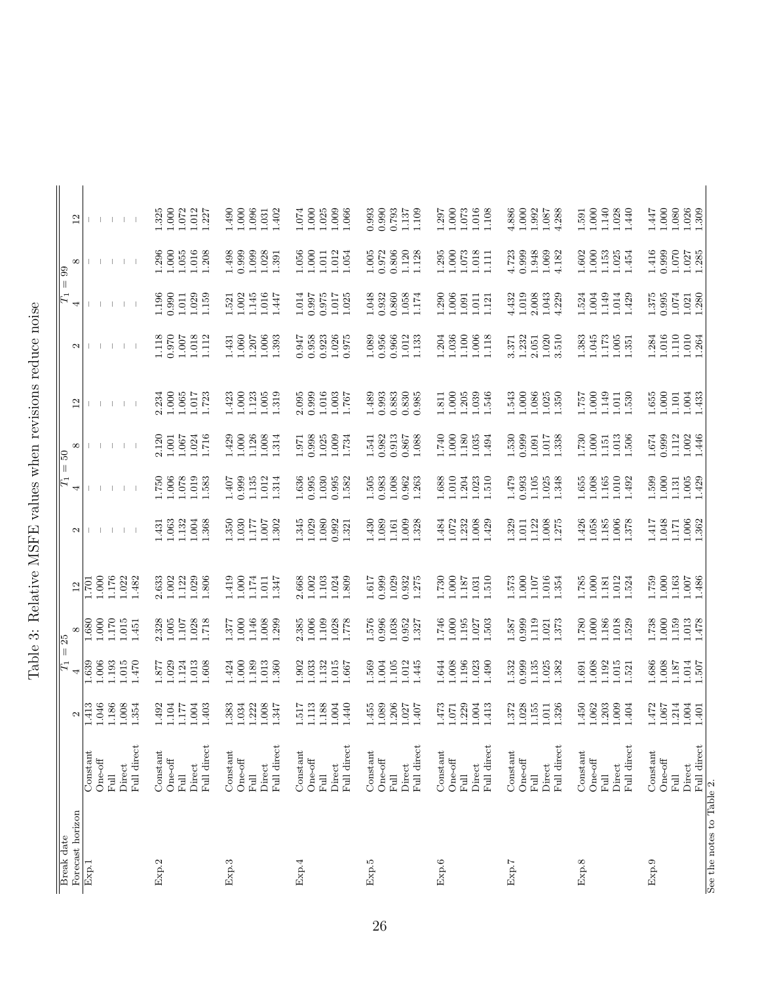| くてゃく くら くらい そくとう こうこくさく こうしょうこう こうこうしょう こくしゃ<br>i<br>J<br>Í |
|-------------------------------------------------------------|
| i<br>ì                                                      |
| ļ                                                           |
| ーー                                                          |
| ļ<br>I                                                      |
|                                                             |

| Break date                |                                                                  |                                                 | $\overline{F}$                                                           | $= 25$                                                          |                                                                          |                                               | $\overline{F}$                                | $\frac{1}{50}$                                  |                                                                          |                                               | $\overline{E}$                                                               | $= 99$                                           |                                           |
|---------------------------|------------------------------------------------------------------|-------------------------------------------------|--------------------------------------------------------------------------|-----------------------------------------------------------------|--------------------------------------------------------------------------|-----------------------------------------------|-----------------------------------------------|-------------------------------------------------|--------------------------------------------------------------------------|-----------------------------------------------|------------------------------------------------------------------------------|--------------------------------------------------|-------------------------------------------|
| Forecast horizon          |                                                                  | $\boldsymbol{\sim}$                             | 4                                                                        | $^{\infty}$                                                     | $\Xi$                                                                    | $\mathbf{\Omega}$                             | 4                                             | ${}^{\infty}$                                   | $\overline{12}$                                                          | $\mathbf{c}$                                  | 4                                                                            | $^{\infty}$                                      | $\overline{12}$                           |
| Exp.1                     | Full direct<br>Constant<br>$One-off$<br>Direct<br>Full           | 1.186<br>1.046<br>1.008<br>1.413<br>1.354       | 1.639<br>1.193<br>0.015<br>.470<br>0.006                                 | .000<br>1.170<br>.015<br>1.680<br>$-451$                        | 1.176<br>1.000<br>1.022<br>1.482<br>1.701                                |                                               |                                               |                                                 |                                                                          |                                               |                                                                              |                                                  |                                           |
| Exp.2                     | Full direct<br>Constant<br>$One-off$<br>Direct<br>Full           | 1.492<br>1.04<br>1.177<br>L.004<br>1.403        | 1.877<br>1.029<br>1.24<br>1.013<br>0.608                                 | 2.328<br>1.005<br>1.107<br>1.028<br>1.718                       | 1.122<br>1.002<br>1.029<br>1.806<br>2.633                                | 1.132<br>L.004<br>1.063<br>1.368<br>1.431     | 1.750<br>1.006<br>1.078<br>1.019<br>1.583     | 2.120<br>1.001<br>1.716<br>1.024<br>1.067       | $1.065\,$<br>2.234<br>1.000<br>1.017<br>1.723                            | 0.970<br>1.118<br>$1.007$<br>1.018<br>1.112   | $\begin{array}{c} 1.196 \\ 0.990 \end{array}$<br>1.029<br>$1.011\,$<br>1.159 | 1.055<br>1.016<br>1.000<br>1.208<br>1.296        | 1.000<br>1.072<br>1.012<br>1.325<br>1.227 |
| Exp.3                     | Full direct<br>Constant<br>$One-off$<br>Direct<br>Full           | 1.008<br>1.222<br>1.383<br>1.034<br>1.347       | 1.000<br>1.189<br>1.424<br>1.013<br>.360                                 | 1.000<br>1.146<br>1.008<br>1.299<br>1.377                       | 1.000<br>1.174<br>1.419<br>1.347<br>1.011                                | 1.350<br>0.30<br>1.302<br>1.177<br>1.007      | 0.999<br>1.135<br>1.012<br>1.314<br>1.407     | 1.429<br>1.000<br>1.126<br>1.008<br>1.314       | 1.000<br>1.123<br>1.423<br>1.005<br>1.319                                | $1.060$<br>$1.207$<br>1.006<br>1.393<br>.431  | 1.145<br>1.016<br>$1.521$<br>$1.002$<br>1.447                                | 0.999<br>1.099<br>1.028<br>1.498<br>1.391        | 1.000<br>1.490<br>1.096<br>1.402<br>1.031 |
| Exp.4                     | Full direct<br>Constant<br>$One-off$<br>Direct<br>Ful            | 1.188<br>1.113<br>1.517<br>1.004<br>1.440       | 1.32<br>1.033<br>.015<br>1.902<br>1.667                                  | 1.006<br>1.109<br>1.028<br>2.385<br>1.778                       | 2.668<br>$1.002$<br>$1.103$<br>1.024<br>1.809                            | 1.029<br>1.080<br>1.345<br>0.992<br>1.321     | 0.995<br>1.030<br>1.636<br>0.995<br>1.582     | 0.998<br>1.025<br>1.009<br>1.734<br>1.971       | $\begin{array}{c} 1.016 \\ 1.003 \end{array}$<br>2.095<br>0.999<br>1.767 | 0.958<br>0.923<br>1.026<br>0.947<br>0.975     | 0.975<br>1.014<br>$1.017$<br>0.997<br>1.025                                  | 1.056<br>1.000<br>1.012<br>1.054<br>1.011        | 1.000<br>1.025<br>1.009<br>1.074<br>1.066 |
| Exp.5                     | Full direct<br>Constant<br>$One-off$<br>Direct<br>Ful            | 1.206<br>1.455<br>1.089<br>1.027<br>1.407       | 1.569<br>1.105<br>L004<br>1.012<br>1.445                                 | 0.996<br>1.038<br>0.952<br>1.327<br>1.576                       | $\begin{array}{c} 1.029 \\ 0.932 \\ 1.275 \end{array}$<br>1.617<br>0.999 | 0.009<br>1.430<br>1.089<br>1.161<br>1.328     | $1.008\,$<br>0.962<br>1.505<br>0.983<br>1.263 | 0.913<br>0.982<br>0.867<br>1.088<br>1.541       | $0.883$<br>$0.830$<br>1.489<br>0.993<br>0.985                            | 0.956<br>0.966<br>1.089<br>1.012<br>1.133     | $\!0.860$<br>1.058<br>1.174<br>1.048<br>0.932                                | 0.806<br>$\frac{1.005}{0.972}$<br>1.120<br>1.128 | 0.990<br>0.993<br>0.793<br>1.137<br>1.109 |
| Exp.6                     | Full direct<br>Constant<br>$One-off$<br>Direct<br>Ful            | 1.229<br>1.473<br>1.004<br>1.413<br>1.071       | 1.644<br>1.008<br>1.196<br>1.023<br>$065$ .                              | 1.195<br>1.746<br>1.000<br>1.027<br>1.503                       | 1.000<br>1.730<br>187<br>1.510<br>1.031                                  | 1.232<br>1.008<br>1.072<br>1.484<br>1.429     | 1.023<br>1.688<br>1.010<br>1.204<br>1.510     | 1.80<br>1.740<br>1.000<br>1.035<br>1.494        | 1.039<br>1.000<br>1.205<br>1.811<br>1.546                                | $1.100\,$<br>1.036<br>1.006<br>1.204<br>1.118 | $1.290$<br>$1.006$<br>1.011<br>1.091<br>1.121                                | $1.295$<br>$1.000$<br>1.073<br>1.018<br>$\Xi$    | 1.000<br>1.297<br>1.073<br>1.016<br>1.108 |
| Exp.7                     | Full direct<br>Constant<br>$One-off$<br>Direct<br>司              | 1.028<br>1.155<br>1.372<br>1.326<br>1.011       | 1.135<br>1.532<br>0.999<br>1.025<br>1.382                                | 1.119<br>1.587<br>0.999<br>1.373<br>1.021                       | $\begin{array}{c} 1.000 \\ 1.107 \\ 1.016 \end{array}$<br>1.354<br>1.573 | 1.122<br>1.008<br>1.329<br>1.275<br>1.011     | $1.105$<br>1.479<br>0.993<br>1.025<br>1.348   | 1.530<br>0.999<br>1.017<br>1.338<br>1.091       | 1.543<br>1.086<br>1.025<br>000.1<br>1.350                                | 1.020<br>$1.232$<br>$2.051$<br>3.510<br>3.371 | 1.019<br>2.008<br>4.432<br>1.043<br>4.229                                    | 1.948<br>4.723<br>0.999<br>1.069<br>4.182        | 1.000<br>4.886<br>1.992<br>4.288<br>1.087 |
| Exp.8                     | Full direct<br>Constant<br>$One-off$<br>Direct<br>Full           | 1.450<br>1.062<br>1.203<br>1.009<br>1.404       | 0.008<br>1.192<br>1.015<br>1.691<br>.521                                 | 1.000<br>1.186<br>1.018<br>1.529<br>1.780                       | 000.1<br>1.785<br>1.012<br>1.181<br>1.524                                | 1.058<br>1.185<br>1.426<br>1.006<br>1.378     | 1.008<br>$1.165\,$<br>1.010<br>1.655<br>1.492 | 1.730<br>1.000<br>1.013<br>1.506<br>1.151       | 1.000<br>1.149<br>1.530<br>L <sub>9</sub> 2.1<br>$1.011$                 | 1.045<br>$1.173$<br>$1.005$<br>1.383<br>1.351 | 1.149<br>1.014<br>1.429<br>1.524<br>1.004                                    | 1.000<br>$1.153$<br>$1.025$<br>1.602<br>1.454    | 1.140<br>1.000<br>1.028<br>1.440<br>1.591 |
| Exp.9                     | Full direct<br>Constant<br>$One-off$<br>Direct<br>$_{\rm{Full}}$ | $1.472\,$<br>1.214<br>$1.004$<br>1.067<br>1.401 | $\begin{array}{c} 1.187 \\ 1.014 \\ 1.507 \end{array}$<br>1.686<br>0.008 | 1.738<br>$\begin{array}{c} 1.159 \\ 1.013 \\ 1.478 \end{array}$ | 1.759<br>1.000<br>$\begin{array}{c} 1.163 \\ 1.007 \\ 1.486 \end{array}$ | 1.048<br>$1.006\,$<br>1.362<br>1.417<br>1.171 | 1.000<br>1.599<br>$1.005\,$<br>1.429<br>1.131 | $1.674\,$<br>0.999<br>1.112<br>$1.002$<br>1.446 | $1.655$<br>$1.000$<br>$1.101$<br>$1.004$<br>1.433                        | 1.110<br>$1.010$<br>$1.264$<br>1.016<br>1.284 | $1.021$<br>$1.280$<br>$1.375$<br>$0.995$<br>$1.074\,$                        | 1.070<br>1.416<br>0.999<br>$1.027$<br>$1.285$    | 1.000<br>1.447<br>1.080<br>1.026<br>1.309 |
| See the notes to Table 2. |                                                                  |                                                 |                                                                          |                                                                 |                                                                          |                                               |                                               |                                                 |                                                                          |                                               |                                                                              |                                                  |                                           |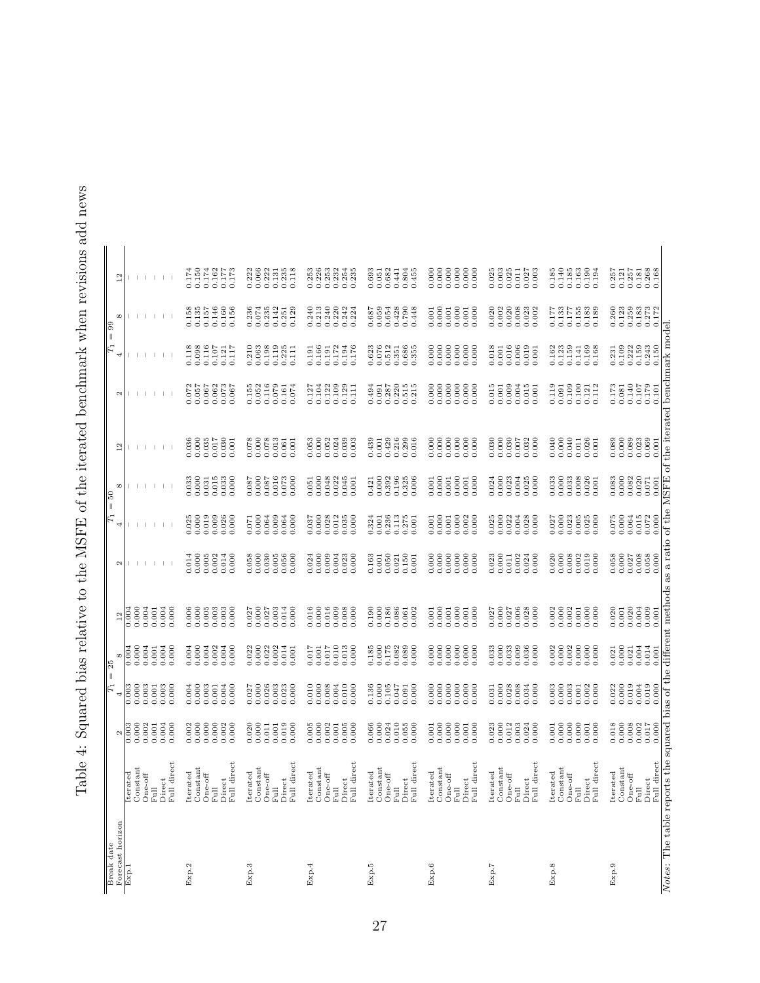Table 4: Squared bias relative to the MSFE of the iterated benchmark when revisions add news Table 4: Squared bias relative to the MSFE of the iterated benchmark when revisions add news

|                                                                                                                            |                                                                                                                               |                                                                 | $\vert_{\mathbb{F}_1}$ | $\frac{5}{2}$<br>H |                    |                    | $\left\vert {}\right\vert$<br>$F_1$ | ြင                 |                |                                                                 | $\lvert \rvert$<br>$F_1$ | ခြ                                                                                           |                                                        |
|----------------------------------------------------------------------------------------------------------------------------|-------------------------------------------------------------------------------------------------------------------------------|-----------------------------------------------------------------|------------------------|--------------------|--------------------|--------------------|-------------------------------------|--------------------|----------------|-----------------------------------------------------------------|--------------------------|----------------------------------------------------------------------------------------------|--------------------------------------------------------|
| Break date<br>Forecast horizon                                                                                             |                                                                                                                               | $\mathbf{c}$                                                    | 4                      | ${}^{\circ}$       | 12                 | $\mathbf{\Omega}$  | 4                                   | $\infty$           | $\frac{2}{1}$  | $\mathbf{\Omega}$                                               | 4                        | $\infty$                                                                                     | $\frac{2}{1}$                                          |
| Exp.1                                                                                                                      | erated                                                                                                                        | 0.000<br>0.003                                                  | 0.003<br>0.000         | 0.000<br>0.004     | 0.000<br>0.004     |                    |                                     |                    |                |                                                                 |                          |                                                                                              |                                                        |
|                                                                                                                            | $\begin{array}{c} \text{Constant} \\ \text{One-off} \\ \text{Full} \end{array}$                                               | 0.002                                                           | 0.003                  | 0.004              | 0.004              |                    |                                     |                    |                |                                                                 |                          |                                                                                              |                                                        |
|                                                                                                                            |                                                                                                                               | 0.001                                                           | 0.001                  | 0.001              | 0.001              |                    |                                     |                    |                |                                                                 |                          |                                                                                              |                                                        |
|                                                                                                                            | $\begin{array}{c}\text{Direct} \\ \text{Full direct}\end{array}$                                                              | 0.004<br>0.000                                                  | 0.003<br>0.000         | 0.000<br>0.004     | 0.004<br>0.000     |                    |                                     |                    |                |                                                                 |                          |                                                                                              |                                                        |
| Exp.2                                                                                                                      |                                                                                                                               | 0.002                                                           | 0.004                  | 0.004              | 0.006              | 0.014              | 0.025                               | 0.033              | 0.036          | 50                                                              | 0.118                    |                                                                                              | 0.174                                                  |
|                                                                                                                            | $\begin{array}{c} \text{Iterated}\\ \text{Constant}\\ \text{One-off}\\ \text{Full}\\ \text{Direct}\\ \text{Full} \end{array}$ | 0.000                                                           | 0.000                  | 0.000              | 0.000              | 0.000              | 0.000                               | 0.000              | 0.000          | 0.057                                                           | 0.098                    | $0.158$<br>$0.135$                                                                           | 0.150                                                  |
|                                                                                                                            |                                                                                                                               | 0.000                                                           | 0.003<br>0.001         | 0.002<br>0.004     | 0.003<br>0.005     | 0.005<br>0.002     | $0.019$<br>$0.009$                  | 0.015<br>0.031     | 0.035<br>0.017 | $0.067$<br>$0.062$                                              | 0.116<br>0.107           | $0.157$<br>$0.146$                                                                           | 0.174<br>0.162                                         |
|                                                                                                                            |                                                                                                                               |                                                                 | 0.004                  | 0.004              | 0.003              | 0.014              |                                     | 0.033              | 0.030          | 0.073                                                           | 0.121                    | 0.160                                                                                        |                                                        |
|                                                                                                                            |                                                                                                                               | 0.002                                                           | 0.000                  | 0.000              | 0.000              | 0.000              | $0.026$<br>$0.000$                  | 0.000              | 0.001          | 0.067                                                           | 0.117                    | 0.156                                                                                        | 0.177<br>771.0                                         |
| Exp.3                                                                                                                      | erated<br>$\sharp$                                                                                                            | 0.020                                                           | 0.027                  | 0.022              | 0.027              | 0.058              | 0.071                               | 0.087              | 0.078          | 0.155                                                           | 210                      | 236                                                                                          | 0.222                                                  |
|                                                                                                                            |                                                                                                                               | $0.000$<br>$0.011$                                              | 0.000                  | 0.000              | 0.000              | 0.000              | 0.000                               | 0.000              | 0.000          | 0.052                                                           | 0.063                    | $0.074\,$                                                                                    | 0.066                                                  |
|                                                                                                                            |                                                                                                                               |                                                                 | 0.026<br>0.003         | 0.002<br>0.022     | 0.003<br>0.027     | 0.030<br>$0.005\,$ | 0.009<br>0.064                      | 0.087<br>0.016     | 0.078<br>0.013 | 0.116<br>0.079                                                  | 0.198<br>0.119           | 0.235                                                                                        | 0.222<br>$\rm 0.131$                                   |
|                                                                                                                            | $\begin{array}{l} \text{Constant} \\ \text{One-off} \\ \text{Full} \\ \text{Direct} \\ \text{Full direct} \end{array}$        | $0.001$<br>$0.019$                                              | 0.023                  | 0.014              | 0.014              | 0.056              | 0.064                               | 0.073              | 0.061          | 0.161                                                           | 0.225                    | $0.142$<br>$0.251$                                                                           | 0.235                                                  |
|                                                                                                                            |                                                                                                                               | 0.000                                                           | 0.000                  | 0.001              | 0.000              | 0.000              | 0.000                               | 0.000              | 0.001          | 0.074                                                           | 0.111                    | 0.129                                                                                        | 0.118                                                  |
| Exp.4                                                                                                                      | erated<br>$\ddot{=}$                                                                                                          | 0.005                                                           | 0.010                  | 0.017              | 0.016              | 0.024              | 0.037                               | 0.051              | 0.053          | 0.127                                                           | 0.191                    | .240                                                                                         | 0.253                                                  |
|                                                                                                                            | Constant                                                                                                                      | 0.000                                                           | 0.000                  | 0.001              | 0.000              | 0.000              | 0.000                               | 0.000              | 0.000          | 0.104                                                           | 0.166                    | 0.213                                                                                        | 0.226                                                  |
|                                                                                                                            | $\begin{array}{c} \text{One-off} \\ \text{Full} \\ \text{Direct} \end{array}$                                                 | 0.002                                                           | 0.008<br>0.004         | 0.010<br>0.017     | 0.016<br>0.009     | 0.009<br>0.004     | 0.028                               | 0.048<br>0.022     | 0.052          | 0.122<br>0.109                                                  | 0.172<br>0.191           | 0.240                                                                                        | 0.232                                                  |
|                                                                                                                            |                                                                                                                               | $0.001$<br>$0.005$                                              | 0.010                  | 0.013              | 0.008              | 0.023              | $0.012$<br>$0.035$                  | 0.045              | 0.024          | 0.129                                                           | 0.194                    | $0.222$<br>$0.242$<br>$0.242$                                                                | 0.254                                                  |
|                                                                                                                            | Full direct                                                                                                                   | 0.000                                                           | 0.000                  | 0.000              | 0.000              | 0.000              | 0.000                               | 0.001              | 0.003          | 0.111                                                           | 0.176                    |                                                                                              | 0.235                                                  |
| Exp.5                                                                                                                      | erated<br>$\mathbf{H}$                                                                                                        |                                                                 | 0.136                  |                    | 0.190              | 0.163              |                                     |                    | 0.439          | 494<br>6                                                        |                          |                                                                                              | 0.693                                                  |
|                                                                                                                            | Constant                                                                                                                      | $0.066$<br>$0.000$                                              | 0.000                  | $0.185$<br>$0.000$ | 0.000              | 0.001              | $0.324$<br>$0.001$                  | $0.421$<br>$0.000$ | 0.001          | 0.091                                                           | 0.623                    | 0.687<br>0.059                                                                               | 0.051                                                  |
|                                                                                                                            |                                                                                                                               |                                                                 | 0.105                  | 0.175              | 0.186              | 0.050              | 0.236                               | 0.392              | 0.429          |                                                                 | 0.512                    | 0.654                                                                                        | 0.682                                                  |
|                                                                                                                            | $\begin{array}{l} \text{One-off}\\ \text{Full}\\ \text{Direct}\\ \text{Full direct}\\ \text{Full direct}\\ \end{array}$       | $\begin{array}{c} 0.024 \\ 0.010 \\ 0.055 \\ 0.000 \end{array}$ | 0.047<br>0.091         | 0.082<br>0.089     | 0.086<br>0.061     | 0.150<br>0.021     | 0.113<br>$0.275$<br>$0.001$         | 0.196<br>0.325     | 0.216<br>0.299 | $\begin{array}{c} 0.287 \\ 0.215 \\ 0.515 \\ 0.215 \end{array}$ | 0.686<br>0.351           | 0.428<br>0.790                                                                               | 0.804<br>0.441                                         |
|                                                                                                                            |                                                                                                                               |                                                                 | 0.000                  | 0.000              | 0.002              | 0.001              |                                     | 0.006              | 0.016          |                                                                 | 0.355                    | 0.448                                                                                        | 0.455                                                  |
| Exp.6                                                                                                                      | erated<br>$\mathbf{H}$                                                                                                        | 0.001                                                           | 0.000                  | 0.000              | 0.001              | 0.000              | 0.001                               | 0.001              | 0.000          | 0.000                                                           | 0.000                    | 0.001                                                                                        | 0.000                                                  |
|                                                                                                                            | Constant                                                                                                                      | 0.000                                                           | 0.000                  | 0.000              | 0.000              | 0.000              | 0.000                               | 0.000              | 0.000          | 0.000                                                           | 0.000                    | 0.000                                                                                        | 0.000                                                  |
|                                                                                                                            | One-off<br>Full<br>Direct<br>Full direct                                                                                      | $0.000\,$                                                       | 0.000<br>0.000         | 0.000<br>0.000     | 0.000<br>0.001     | 0.000<br>0.000     | 0.000<br>0.001                      | 0.000<br>0.001     | 0.000<br>0.000 | 0.000                                                           | 0.000<br>0.000           | 0.000<br>0.001                                                                               | 0.000<br>0.000                                         |
|                                                                                                                            |                                                                                                                               | 0.001                                                           | 0.000                  | 0.000              | 0.001              | 0.000              | 0.002                               | 0.001              | 0.000          | 0.000                                                           | 0.000                    | 0.001                                                                                        | 0.000                                                  |
|                                                                                                                            |                                                                                                                               | 0.000                                                           | 0.000                  | 0.000              | 0.000              | 0.000              | 0.000                               | 0.000              | 0.000          | 0.000                                                           | 0.000                    | 0.000                                                                                        | 0.000                                                  |
| Exp.7                                                                                                                      | Iterated                                                                                                                      | 0.023                                                           | 0.031                  | 0.033              | 0.027              | 0.023              | 0.025                               | 0.024              | 0.030          | 0.015                                                           | 0.018                    | 0.020                                                                                        | 0.025                                                  |
|                                                                                                                            | Constant                                                                                                                      | $0.000$<br>$0.012$                                              | 0.000                  | 0.000              | 0.000              | 0.000              | $0.000$<br>$0.022$                  | 0.000              | 0.000          | $0.001$<br>$0.009$                                              | 0.001                    | 0.002                                                                                        | 0.003                                                  |
|                                                                                                                            | $One-off$                                                                                                                     |                                                                 | 0.028<br>0.008         | 0.033<br>0.009     | 0.006<br>0.027     | 0.002<br>0.011     |                                     | 0.023<br>0.004     | 0.030<br>0.007 |                                                                 | 0.016<br>0.006           | 0.020<br>0.008                                                                               | 0.025<br>0.011                                         |
|                                                                                                                            | Full<br>Direct<br>Full direct                                                                                                 | $0.003$<br>$0.024$                                              | 0.034                  | 0.036              | 0.028              | 0.024              | $0.004$<br>$0.028$                  | 0.025              | 0.032          | $0.004$<br>$0.015$                                              | 0.019                    | 0.023                                                                                        | 0.027                                                  |
|                                                                                                                            |                                                                                                                               | 0.000                                                           | 0.000                  | 0.000              | 0.000              | 0.000              | 0.000                               | 0.000              | 0.000          | 0.001                                                           | 0.001                    | 0.002                                                                                        | 0.003                                                  |
| Exp.8                                                                                                                      |                                                                                                                               | 0.001                                                           | 0.003                  | 0.002              | 0.002              | 0.020              | 0.027                               | 0.033              | 0.040          | 0.119                                                           | 0.162                    | 0.177                                                                                        | 0.185                                                  |
|                                                                                                                            | $\begin{array}{c} \text{Iterated} \\ \text{Constant} \end{array}$                                                             | 0.000                                                           | 0.000                  | 0.000              | 0.000              | 0.000              | 0.000                               | 0.000              | 0.000          | 0.091                                                           | 0.123                    |                                                                                              | 0.140                                                  |
|                                                                                                                            | $_{\rm Full}^{\rm One-off}$                                                                                                   | 0.000<br>0.000                                                  | 0.003<br>0.001         | 0.002<br>0.000     | 0.002<br>0.001     | 0.008<br>0.002     | 0.023<br>0.005                      | 0.033<br>0.008     | 0.040<br>0.011 | 0.109<br>0.100                                                  | 0.159<br>0.141           | $\begin{array}{c} 0.133 \\ 0.177 \\ 0.155 \end{array}$                                       | 0.185<br>0.163                                         |
|                                                                                                                            | ${\rm Direct} \\ {\rm Full~direct} \\$                                                                                        | 0.001                                                           | 0.002                  | 0.000              | 0.000              | 0.019              | 0.025                               | 0.026              | 0.026          | 0.121                                                           | 0.169                    | 0.183                                                                                        | 0.190                                                  |
|                                                                                                                            |                                                                                                                               | 0.000                                                           | 0.000                  | 0.000              | 0.000              | 0.000              | 0.000                               | 0.001              | 0.001          | 0.112                                                           | 0.168                    |                                                                                              | 0.194                                                  |
| Exp.9                                                                                                                      | Iterated                                                                                                                      | 0.018                                                           | 0.022                  | 0.021              | 0.020              | 0.058              | 0.075                               | 0.083              | 0.089          | 0.173                                                           | 0.231                    | 0.260                                                                                        | 0.257                                                  |
|                                                                                                                            | Constant                                                                                                                      |                                                                 | 0.000                  | 0.000              | 0.001              | 0.000              | 0.000<br>0.064                      | 0.000              | 0.000          | 0.081                                                           | 0.109                    |                                                                                              | $\begin{array}{c} 0.121 \\ 0.257 \\ 0.181 \end{array}$ |
|                                                                                                                            | $One-off$<br>$_{\rm{Full}}$                                                                                                   | $\begin{array}{c} 0.008 \\ 0.002 \\ 0.017 \end{array}$          | 0.019<br>0.004         | 0.004<br>0.021     | $0.020$<br>$0.004$ | 0.008<br>0.027     | 0.015                               | 0.082<br>0.020     | 0.089<br>0.023 | 0.140<br>0.107                                                  | 0.159<br>0.222           |                                                                                              |                                                        |
|                                                                                                                            | ${\rm Direct} \atop {\rm Full~direct}$                                                                                        | 0.000                                                           | 0.019                  | 0.014              | 0.009              | 0.058<br>0.000     | 0.072                               | 0.071              | 0.069          | 0.179                                                           | 0.243<br>0.150           | $\begin{array}{c} 0.123 \\ 0.259 \\ 0.183 \\ 0.1273 \\ 0.0172 \\ 0.172 \\ 0.172 \end{array}$ | 0.268                                                  |
| Notes: The table reports the squared bias of the different methods as a ratio of the MSFE of the iterated benchmark model. |                                                                                                                               |                                                                 | 0.000                  | 0.001              | 0.001              |                    | 0.000                               | 0.001              | 0.001          | 0.101                                                           |                          |                                                                                              |                                                        |
|                                                                                                                            |                                                                                                                               |                                                                 |                        |                    |                    |                    |                                     |                    |                |                                                                 |                          |                                                                                              |                                                        |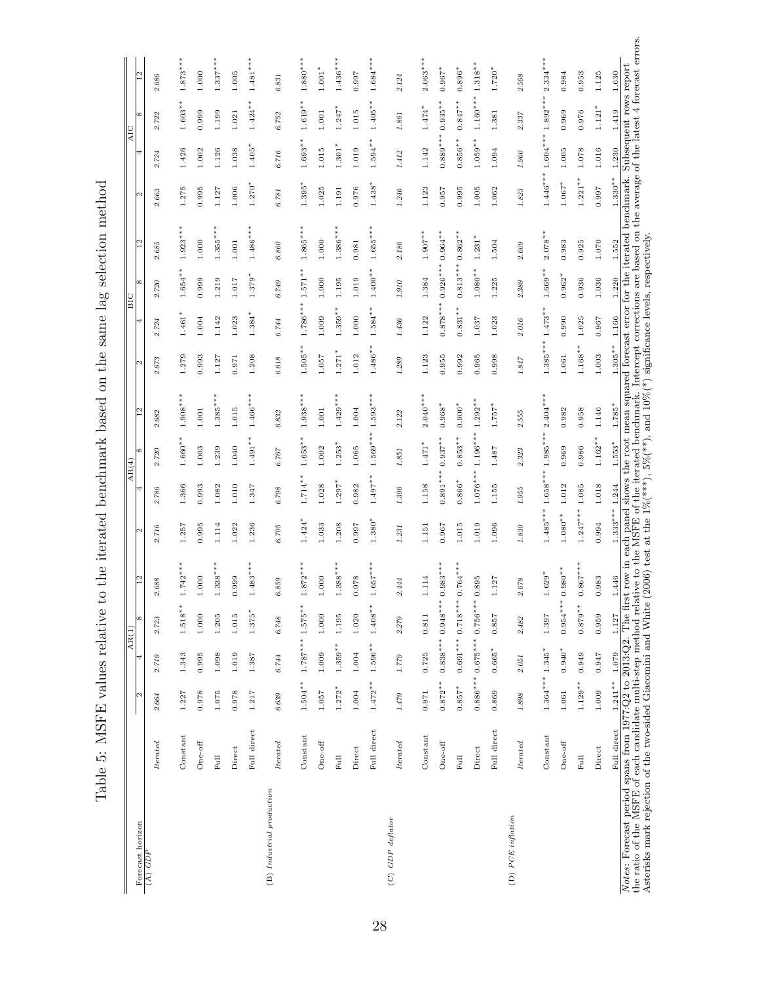| Forecast horizon          |                         | M                |            | Ιœ<br>$\overline{ARI}$                                                   | $\frac{2}{1}$                    | M          | $\overline{\text{AR}(4)}$  |                        | $\frac{2}{1}$ | N          | 4          | Ιœ<br>BIC  | $\overline{12}$ | N          |            | ∞<br>AIC      | $\overline{2}$                  |
|---------------------------|-------------------------|------------------|------------|--------------------------------------------------------------------------|----------------------------------|------------|----------------------------|------------------------|---------------|------------|------------|------------|-----------------|------------|------------|---------------|---------------------------------|
| $(A)$ $GDP$               | $_{tered}$              | 2.664            | 2.719      | 2.723                                                                    | 688<br>$\sim$                    | 2.716      | 2.786                      | 2.720                  | 2.682         | 2.673      | 2.724      | 2.720      | 2.685           | 2.663      | 2.724      | 2.722         | 2.686                           |
|                           | Constant                | 1.227            | 1.343      | $1.518***$                                                               | $742***$<br>Η                    | 1.257      | 1.366                      | $1.660**$              | $1.908***$    | 1.279      | $1.461*$   | $1.654***$ | $1.923***$      | 1.275      | 1.426      | $1.603***$    | $1.873***$                      |
|                           | $One-off$               | 0.978            | 0.995      | 1.000                                                                    | $\frac{0}{2}$<br>$\overline{a}$  | 0.995      | 0.993                      | 1.003                  | 1.001         | 0.993      | 1.004      | 0.999      | 1.000           | 0.995      | 1.002      | 0.999         | 1.000                           |
|                           | <b>Full</b>             | 1.075            | 1.098      | 1.205                                                                    | $1.338***$                       | 1.114      | 1.082                      | 1.239                  | $1.385***$    | 1.127      | 1.142      | 1.219      | $1.355***$      | 1.127      | 1.126      | 1.199         | $1.337***$                      |
|                           | Direct                  | 0.978            | 1.019      | 1.015                                                                    | 999<br>$\circ$                   | 1.022      | 1.010                      | 1.040                  | 1.015         | 0.971      | 1.023      | 1.017      | 1.001           | 1.006      | 1.038      | 1.021         | 1.005                           |
|                           | Full direct             | 1.217            | 1.387      | $1.375*$                                                                 | $.483***$<br>$\overline{a}$      | 1.236      | 1.347                      | $1.491***$             | $1.466***$    | 1.208      | $1.384*$   | $1.379*$   | $1.486***$      | $1.270*$   | $1.405*$   | $*$<br>1.424' | $1.481***$                      |
| (B) Industrial production | <i>Iterated</i>         | 6.639            | 6.744      | $6.748\,$                                                                | 859<br>$\circ$                   | 6.705      | $6.798\,$                  | 6.767                  | 6.832         | $6.618\,$  | 6.744      | 6.749      | $6.860\,$       | 6.781      | $6.716\,$  | 6.752         | 6.831                           |
|                           | Constant                | $1.504***$       | $1.787***$ | $1.575**$                                                                | ₩<br>$.872***$<br>$\overline{a}$ | $1.424*$   | $1.714**$                  | $1.653**$              | $1.938***$    | $1.505**$  | $1.786***$ | $1.571***$ | $1.865***$      | $1.395*$   | $1.693**$  | $1.619**$     | $1.880***$                      |
|                           | $One-off$               | 1.057            | 1.009      | 1.000                                                                    | 000<br>$\overline{\phantom{0}}$  | 1.033      | 1.028                      | 1.002                  | 1.001         | 1.057      | 1.009      | 1.000      | 1.000           | 1.025      | 1.015      | 1.001         | $1.001*$                        |
|                           | $_{\rm{Full}}$          | $1.272*$         | $1.359**$  | 1.195                                                                    | $.388***$<br>$\overline{ }$      | 1.208      | $1.297*$                   | $1.253*$               | $1.429***$    | $1.271*$   | $1.359**$  | 1.195      | $1.386***$      | 1.191      | $1.301*$   | $1.247*$      | $1.436***$                      |
|                           | Direct                  | $1.004\,$        | 1.004      | 1.020                                                                    | 978<br>$\circ$                   | 0.997      | 0.982                      | 1.065                  | $1.004\,$     | 1.012      | 1.000      | 1.019      | 0.981           | 0.976      | 1.019      | 1.015         | 0.997                           |
|                           | Full direct             | $1.472***$       | $1.596**$  | $1.408**$                                                                | $.657***$<br>$\overline{a}$      | $1.380*$   | $\ddot{\ast}$<br>$1.497**$ | $*$<br>$*$<br>$1.569*$ | $1.593***$    | $1.486***$ | $1.584***$ | $1.400***$ | $1.655***$      | $1.438*$   | $1.594***$ | $1.405***$    | $1.684***$                      |
| (C) GDP deflator          | <i>Iterated</i>         | $1.479\,$        | 1.779      | 2.279                                                                    | 444<br>$\sim$                    | 1.231      | 1.396                      | 1.851                  | 2.122         | 1.289      | 1.436      | 1.910      | $2.186\,$       | 1.246      | 1.412      | 1.861         | 2.124                           |
|                           | Constant                | 0.971            | 0.725      | 0.811                                                                    | .114<br>Η                        | 1.151      | 1.158                      | $1.471*$               | $2.040***$    | 1.123      | 1.122      | 1.384      | $1.907***$      | 1.123      | 1.142      | $1.474*$      | $2.063***$                      |
|                           | $One-off$               | $0.872***$       | $0.838***$ | $0.948***$                                                               | $.983***$<br>$\circ$             | 0.967      | $0.891***$                 | $0.937***$             | $0.968*$      | 0.955      | $0.878***$ | $0.926**$  | $0.964**$       | 0.957      | $0.889***$ | $0.935***$    | $0.967*$                        |
|                           | Full                    | $0.857*$         | $0.691***$ | $0.***0$                                                                 | $764***$                         | 1.015      | $0.866*$                   | $0.853**$              | $0.900*$      | 0.992      | $0.831***$ | $0.813***$ | $0.862**$       | 0.995      | $0.856**$  | $0.847***$    | $0.896*$                        |
|                           | Direct                  | $0.886***$       | $0.675***$ | $0.756***0.$                                                             | 895                              | 1.019      | $1.076*$                   | $1.196**$              | $1.292**$     | 0.965      | 1.037      | $1.080**$  | $1.231*$        | $1.005\,$  | $1.059**$  | $1.160***$    | $1.318**$                       |
|                           | Full direct             | 0.869            | $0.665*$   | 0.857                                                                    | .127<br>$\overline{ }$           | 1.096      | 1.155                      | 1.487                  | $1.757*$      | 0.998      | 1.023      | 1.225      | 1.504           | 1.062      | 1.094      | 1.381         | $1.720*$                        |
| (D) PCE inflation         | It created              | $1.898\,$        | 2.051      | 2.482                                                                    | 678<br>$\sim$                    | 1.830      | 1.955                      | 2.323                  | 2.555         | 1.847      | 2.016      | 2.389      | 2.609           | 1.823      | 1.960      | 2.337         | 2.568                           |
|                           | Constant                | $1.364***$       | $1.345*$   | 1.397                                                                    | $.629*$<br>$\overline{a}$        | $1.485***$ | $1.658***$                 | $1.985***$             | $2.404***$    | $1.385***$ | $1.473**$  | $1.669**$  | $*$<br>2.078'   | $1.446***$ | $1.604***$ | ***<br>1.892  | $2.334***$                      |
|                           | $One-off$               | 1.061            | $0.940*$   | $0.954***0.$                                                             | $0.980**$                        | $1.080**$  | 1.012                      | 0.969                  | 0.982         | 1.061      | 0.990      | $0.962*$   | 0.983           | $1.067^*$  | 1.005      | 0.969         | 0.984                           |
|                           | $\overline{\mathrm{F}}$ | $1.129***$       | 0.949      | $0.879**$                                                                | $.867***$<br>$\circ$             | $1.247***$ | 1.085                      | 0.986                  | 0.958         | $1.168**$  | 1.025      | 0.936      | 0.925           | $1.221***$ | 1.078      | 0.976         | 0.953                           |
|                           | $\rm Direct$            | 1.009            | 0.947      | 0.959                                                                    | .983<br>$\circ$                  | 0.994      | $1.018\,$                  | $1.162**$              | 1.146         | 1.003      | 0.967      | 1.036      | $1.070\,$       | 0.997      | $1.016\,$  | $1.121*$      | 1.125                           |
|                           | Full direct             | $1.241***$ 1.079 |            | Notes: Forecast period spans from 1977:Q2 to 2013:Q2. The first<br>1.127 | 1.446                            | $1.333***$ | 1.244                      | $1.553*$               | $1.785*$      | $1.305***$ | 1.166      | 1.220      | 1.552           | $1.330**$  | 1.230      | 1.419         | Subsequent rows report<br>1.630 |

Table 5: MSFE values relative to the iterated benchmark based on the same lag selection method Table 5: MSFE values relative to the iterated benchmark based on the same lag selection method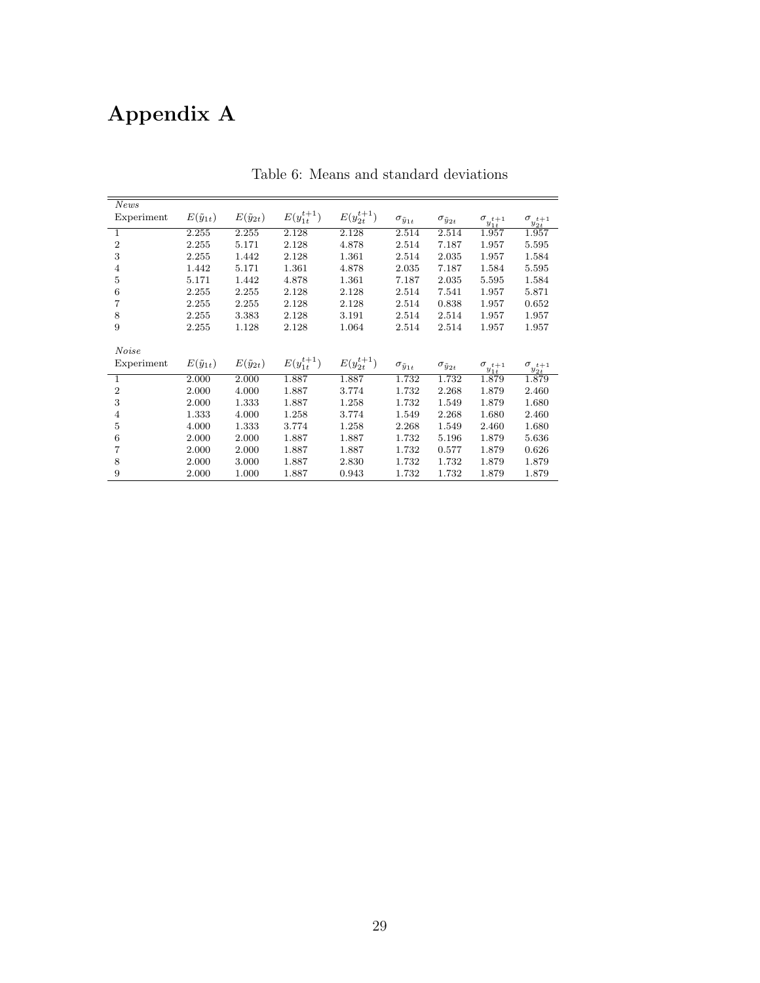# Appendix A

| <b>News</b>    |                     |                     |                   |                   |                           |                           |                                  |                                  |
|----------------|---------------------|---------------------|-------------------|-------------------|---------------------------|---------------------------|----------------------------------|----------------------------------|
| Experiment     | $E(\tilde{y}_{1t})$ | $E(\tilde{y}_{2t})$ | $E(y_{1t}^{t+1})$ | $E(y_{2t}^{t+1})$ | $\sigma_{\tilde{y}_{1t}}$ | $\sigma_{\tilde y_{2t}}$  | $\sigma_{y_{1t}^{t+1}}$          | $\sigma_{y_{2t}^{t+1}}$          |
| $\mathbf{1}$   | 2.255               | 2.255               | 2.128             | 2.128             | 2.514                     | 2.514                     | 1.957                            | 1.957                            |
| $\sqrt{2}$     | 2.255               | 5.171               | 2.128             | 4.878             | 2.514                     | 7.187                     | 1.957                            | 5.595                            |
| 3              | 2.255               | 1.442               | 2.128             | 1.361             | 2.514                     | 2.035                     | 1.957                            | 1.584                            |
| $\overline{4}$ | 1.442               | 5.171               | 1.361             | 4.878             | 2.035                     | 7.187                     | 1.584                            | 5.595                            |
| $\bf 5$        | 5.171               | 1.442               | 4.878             | 1.361             | 7.187                     | 2.035                     | 5.595                            | 1.584                            |
| 6              | 2.255               | 2.255               | 2.128             | 2.128             | 2.514                     | 7.541                     | 1.957                            | 5.871                            |
| $\overline{7}$ | 2.255               | 2.255               | 2.128             | 2.128             | 2.514                     | 0.838                     | 1.957                            | 0.652                            |
| 8              | 2.255               | 3.383               | 2.128             | 3.191             | 2.514                     | 2.514                     | 1.957                            | 1.957                            |
| 9              | 2.255               | 1.128               | 2.128             | 1.064             | 2.514                     | 2.514                     | 1.957                            | 1.957                            |
|                |                     |                     |                   |                   |                           |                           |                                  |                                  |
| <i>Noise</i>   |                     |                     |                   |                   |                           |                           |                                  |                                  |
| Experiment     | $E(\tilde{y}_{1t})$ | $E(\tilde{y}_{2t})$ | $E(y_{1t}^{t+1})$ | $E(y_{2t}^{t+1})$ | $\sigma_{\tilde{y}_{1t}}$ | $\sigma_{\tilde{y}_{2t}}$ |                                  |                                  |
| $\mathbf{1}$   | 2.000               | 2.000               | 1.887             | 1.887             | 1.732                     | 1.732                     | $\sigma_{y_{1t}^{t+1}}$<br>1.879 | $\sigma_{y_{2t}^{t+1}}$<br>1.879 |
| $\sqrt{2}$     | 2.000               | 4.000               | 1.887             | 3.774             | 1.732                     | 2.268                     | 1.879                            | 2.460                            |
| 3              | 2.000               | 1.333               | 1.887             | 1.258             | 1.732                     | 1.549                     | 1.879                            | 1.680                            |
| $\,4\,$        | 1.333               | 4.000               | 1.258             | 3.774             | 1.549                     | 2.268                     | 1.680                            | 2.460                            |
| $\overline{5}$ | 4.000               | 1.333               | 3.774             | 1.258             | 2.268                     | 1.549                     | 2.460                            | 1.680                            |
| $\,6$          | 2.000               | 2.000               | 1.887             | 1.887             | 1.732                     | 5.196                     | 1.879                            | 5.636                            |
| 7              | 2.000               | 2.000               | 1.887             | 1.887             | 1.732                     | 0.577                     | 1.879                            | 0.626                            |
| 8              | 2.000               | 3.000               | 1.887             | 2.830             | 1.732                     | 1.732                     | 1.879                            | 1.879                            |

Table 6: Means and standard deviations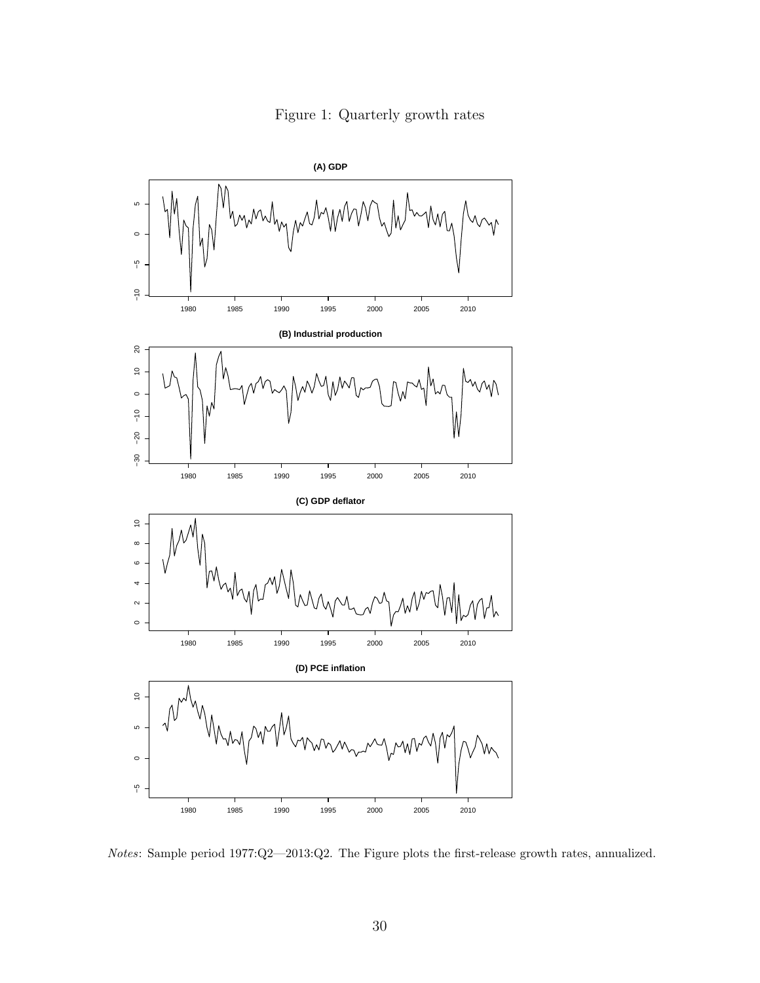Figure 1: Quarterly growth rates



Notes: Sample period 1977:Q2—2013:Q2. The Figure plots the first-release growth rates, annualized.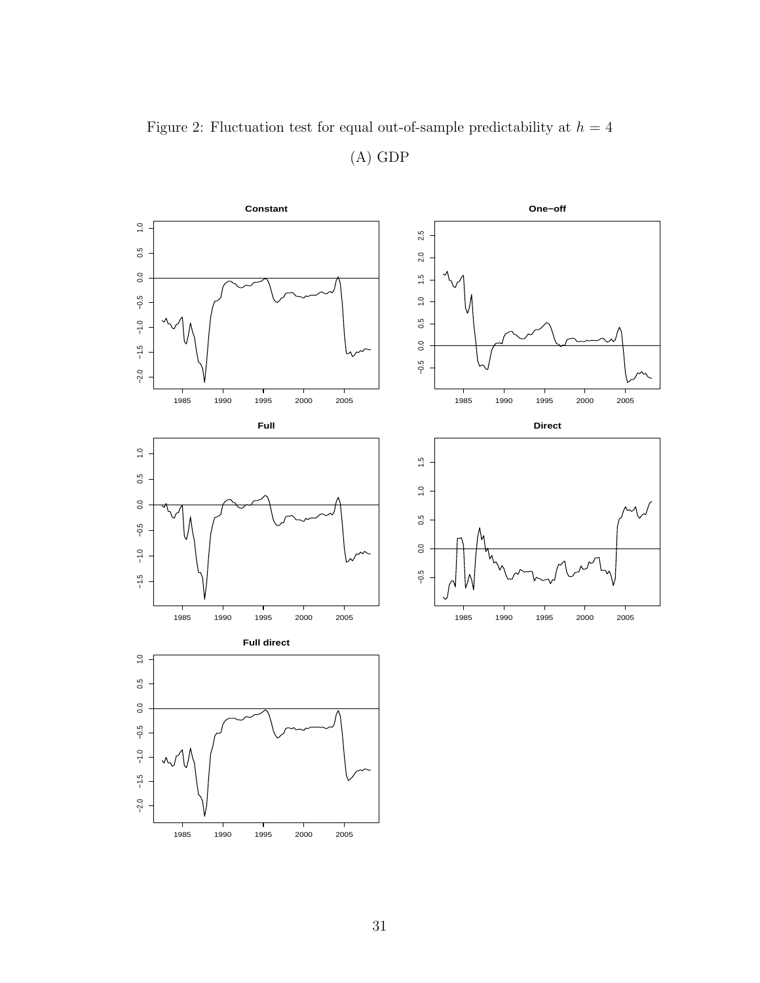

Figure 2: Fluctuation test for equal out-of-sample predictability at  $h=4$ (A) GDP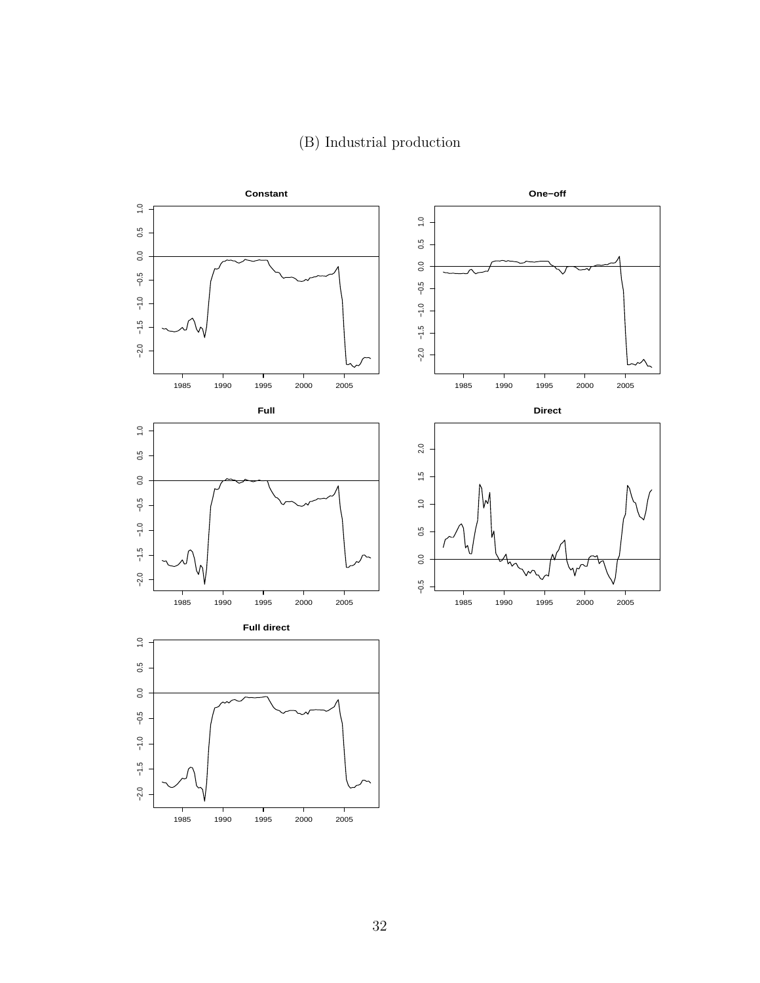

#### (B) Industrial production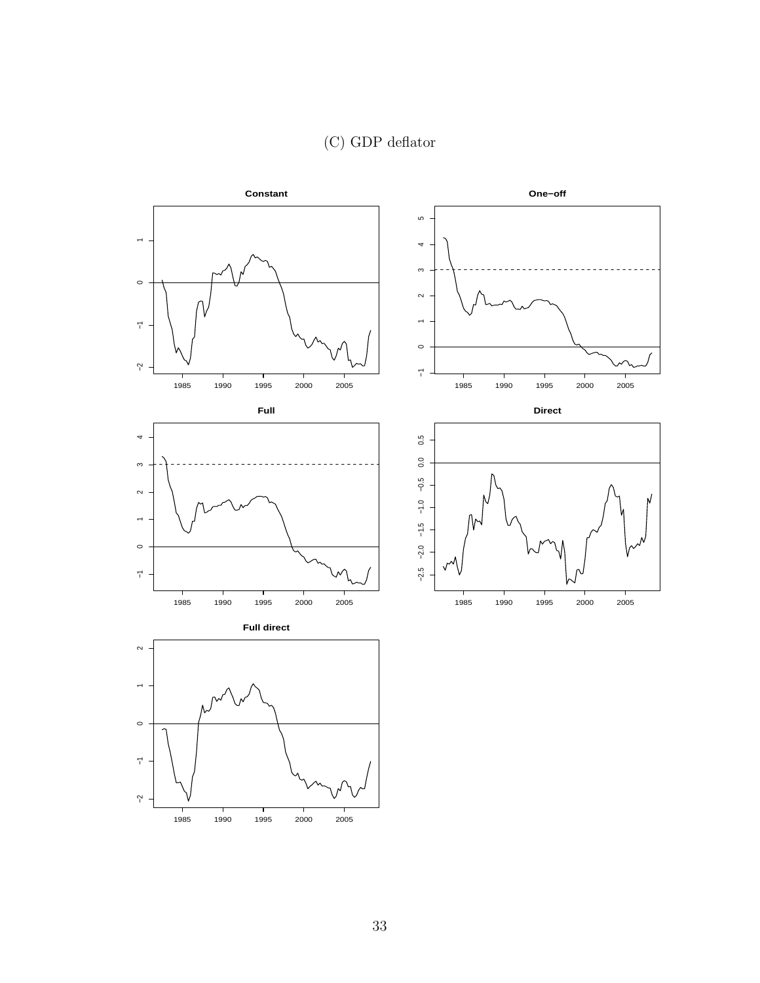## (C) GDP deflator